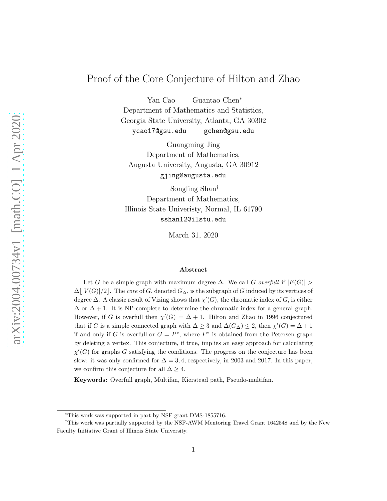# Proof of the Core Conjecture of Hilton and Zhao

Yan Cao Guantao Chen<sup>∗</sup>

Department of Mathematics and Statistics, Georgia State University, Atlanta, GA 30302 ycao17@gsu.edu gchen@gsu.edu

Guangming Jing Department of Mathematics, Augusta University, Augusta, GA 30912 gjing@augusta.edu

Songling Shan† Department of Mathematics, Illinois State Univeristy, Normal, IL 61790 sshan12@ilstu.edu

March 31, 2020

#### Abstract

Let G be a simple graph with maximum degree  $\Delta$ . We call G overfull if  $|E(G)| >$  $\Delta\lfloor |V(G)|/2\rfloor$ . The core of G, denoted  $G_{\Delta}$ , is the subgraph of G induced by its vertices of degree  $\Delta$ . A classic result of Vizing shows that  $\chi'(G)$ , the chromatic index of G, is either  $\Delta$  or  $\Delta + 1$ . It is NP-complete to determine the chromatic index for a general graph. However, if G is overfull then  $\chi'(G) = \Delta + 1$ . Hilton and Zhao in 1996 conjectured that if G is a simple connected graph with  $\Delta \geq 3$  and  $\Delta(G_{\Delta}) \leq 2$ , then  $\chi'(G) = \Delta + 1$ if and only if G is overfull or  $G = P^*$ , where  $P^*$  is obtained from the Petersen graph by deleting a vertex. This conjecture, if true, implies an easy approach for calculating  $\chi'(G)$  for graphs G satisfying the conditions. The progress on the conjecture has been slow: it was only confirmed for  $\Delta = 3, 4$ , respectively, in 2003 and 2017. In this paper, we confirm this conjecture for all  $\Delta \geq 4$ .

Keywords: Overfull graph, Multifan, Kierstead path, Pseudo-multifan.

<sup>∗</sup>This work was supported in part by NSF grant DMS-1855716.

<sup>†</sup>This work was partially supported by the NSF-AWM Mentoring Travel Grant 1642548 and by the New Faculty Initiative Grant of Illinois State University.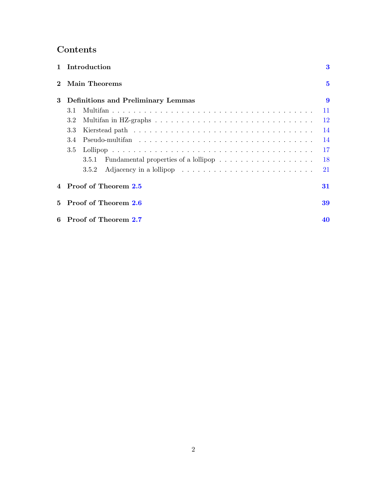# Contents

|              | 1 Introduction                            | $\bf{3}$ |
|--------------|-------------------------------------------|----------|
| $\mathbf{2}$ | Main Theorems                             | $\bf{5}$ |
| 3            | <b>Definitions and Preliminary Lemmas</b> | 9        |
|              | 3.1                                       | 11       |
|              | 3.2                                       | 12       |
|              | 3.3                                       | 14       |
|              | 3.4                                       | 14       |
|              | 3.5                                       | 17       |
|              | 3.5.1                                     | 18       |
|              | 3.5.2                                     | 21       |
|              | 4 Proof of Theorem 2.5                    | 31       |
|              | 5 Proof of Theorem 2.6                    | 39       |
|              | 6 Proof of Theorem 2.7                    | 40       |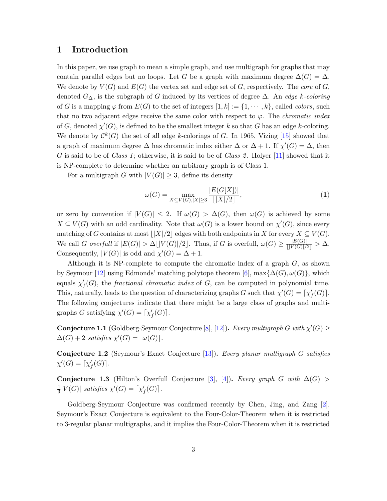### <span id="page-2-0"></span>1 Introduction

In this paper, we use graph to mean a simple graph, and use multigraph for graphs that may contain parallel edges but no loops. Let G be a graph with maximum degree  $\Delta(G) = \Delta$ . We denote by  $V(G)$  and  $E(G)$  the vertex set and edge set of G, respectively. The core of G, denoted  $G_{\Delta}$ , is the subgraph of G induced by its vertices of degree  $\Delta$ . An *edge k-coloring* of G is a mapping  $\varphi$  from  $E(G)$  to the set of integers  $[1, k] := \{1, \dots, k\}$ , called *colors*, such that no two adjacent edges receive the same color with respect to  $\varphi$ . The *chromatic index* of G, denoted  $\chi'(G)$ , is defined to be the smallest integer k so that G has an edge k-coloring. We denote by  $\mathcal{C}^k(G)$  the set of all edge k-colorings of G. In 1965, Vizing [\[15\]](#page-48-0) showed that a graph of maximum degree  $\Delta$  has chromatic index either  $\Delta$  or  $\Delta + 1$ . If  $\chi'(G) = \Delta$ , then G is said to be of Class 1; otherwise, it is said to be of Class 2. Holyer [\[11\]](#page-47-0) showed that it is NP-complete to determine whether an arbitrary graph is of Class 1.

For a multigraph G with  $|V(G)| \geq 3$ , define its density

<span id="page-2-1"></span>
$$
\omega(G) = \max_{X \subseteq V(G), |X| \ge 3} \frac{|E(G[X])|}{\lfloor |X|/2 \rfloor},\tag{1}
$$

or zero by convention if  $|V(G)| \leq 2$ . If  $\omega(G) > \Delta(G)$ , then  $\omega(G)$  is achieved by some  $X \subseteq V(G)$  with an odd cardinality. Note that  $\omega(G)$  is a lower bound on  $\chi'(G)$ , since every matching of G contains at most  $\lfloor |X|/2 \rfloor$  edges with both endpoints in X for every  $X \subseteq V(G)$ . We call G overfull if  $|E(G)| > \Delta \lfloor |V(G)|/2 \rfloor$ . Thus, if G is overfull,  $\omega(G) \ge \frac{|E(G)|}{\lfloor |V(G)|/2 \rfloor} > \Delta$ . Consequently,  $|V(G)|$  is odd and  $\chi'(G) = \Delta + 1$ .

Although it is NP-complete to compute the chromatic index of a graph  $G$ , as shown by Seymour [\[12\]](#page-47-1) using Edmonds' matching polytope theorem [\[6\]](#page-47-2), max $\{\Delta(G), \omega(G)\}\$ , which equals  $\chi'_{f}(G)$ , the *fractional chromatic index* of G, can be computed in polynomial time. This, naturally, leads to the question of characterizing graphs G such that  $\chi'(G) = [\chi'_{f}(G)]$ . The following conjectures indicate that there might be a large class of graphs and multigraphs G satisfying  $\chi'(G) = [\chi'_{f}(G)].$ 

**Conjecture 1.1** (Goldberg-Seymour Conjecture [\[8\]](#page-47-3), [\[12\]](#page-47-1)). Every multigraph G with  $\chi'(G) \geq$  $\Delta(G) + 2$  satisfies  $\chi'(G) = [\omega(G)].$ 

Conjecture 1.2 (Seymour's Exact Conjecture [\[13\]](#page-47-4)). Every planar multigraph G satisfies  $\chi'(G) = \lceil \chi'_f(G) \rceil$ .

Conjecture 1.3 (Hilton's Overfull Conjecture [\[3\]](#page-47-5), [\[4\]](#page-47-6)). Every graph G with  $\Delta(G)$ 1  $\frac{1}{3}|V(G)|$  satisfies  $\chi'(G) = \lceil \chi'_f(G) \rceil$ .

Goldberg-Seymour Conjecture was confirmed recently by Chen, Jing, and Zang [\[2\]](#page-47-7). Seymour's Exact Conjecture is equivalent to the Four-Color-Theorem when it is restricted to 3-regular planar multigraphs, and it implies the Four-Color-Theorem when it is restricted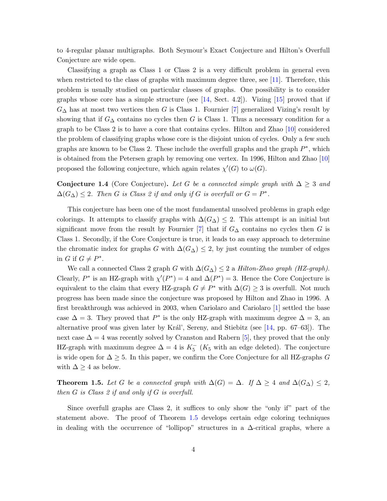to 4-regular planar multigraphs. Both Seymour's Exact Conjecture and Hilton's Overfull Conjecture are wide open.

Classifying a graph as Class 1 or Class 2 is a very difficult problem in general even when restricted to the class of graphs with maximum degree three, see [\[11\]](#page-47-0). Therefore, this problem is usually studied on particular classes of graphs. One possibility is to consider graphs whose core has a simple structure (see  $[14, \text{ Sect. } 4.2]$ ). Vizing  $[15]$  proved that if  $G_{\Delta}$  has at most two vertices then G is Class 1. Fournier [\[7\]](#page-47-8) generalized Vizing's result by showing that if  $G_{\Delta}$  contains no cycles then G is Class 1. Thus a necessary condition for a graph to be Class 2 is to have a core that contains cycles. Hilton and Zhao [\[10\]](#page-47-9) considered the problem of classifying graphs whose core is the disjoint union of cycles. Only a few such graphs are known to be Class 2. These include the overfull graphs and the graph  $P^*$ , which is obtained from the Petersen graph by removing one vertex. In 1996, Hilton and Zhao [\[10\]](#page-47-9) proposed the following conjecture, which again relates  $\chi'(G)$  to  $\omega(G)$ .

<span id="page-3-1"></span>Conjecture 1.4 (Core Conjecture). Let G be a connected simple graph with  $\Delta \geq 3$  and  $\Delta(G_{\Delta}) \leq 2$ . Then G is Class 2 if and only if G is overfull or  $G = P^*$ .

This conjecture has been one of the most fundamental unsolved problems in graph edge colorings. It attempts to classify graphs with  $\Delta(G_{\Delta}) \leq 2$ . This attempt is an initial but significant move from the result by Fournier [\[7\]](#page-47-8) that if  $G<sub>\Delta</sub>$  contains no cycles then G is Class 1. Secondly, if the Core Conjecture is true, it leads to an easy approach to determine the chromatic index for graphs G with  $\Delta(G_{\Delta}) \leq 2$ , by just counting the number of edges in G if  $G \neq P^*$ .

We call a connected Class 2 graph G with  $\Delta(G_{\Delta}) \leq 2$  a Hilton-Zhao graph (HZ-graph). Clearly,  $P^*$  is an HZ-graph with  $\chi'(P^*) = 4$  and  $\Delta(P^*) = 3$ . Hence the Core Conjecture is equivalent to the claim that every HZ-graph  $G \neq P^*$  with  $\Delta(G) \geq 3$  is overfull. Not much progress has been made since the conjecture was proposed by Hilton and Zhao in 1996. A first breakthrough was achieved in 2003, when Cariolaro and Cariolaro [\[1\]](#page-47-10) settled the base case  $\Delta = 3$ . They proved that  $P^*$  is the only HZ-graph with maximum degree  $\Delta = 3$ , and alternative proof was given later by Král', Sereny, and Stiebitz (see  $[14, pp. 67–63]$ ). The next case  $\Delta = 4$  was recently solved by Cranston and Rabern [\[5\]](#page-47-11), they proved that the only HZ-graph with maximum degree  $\Delta = 4$  is  $K_5^-$  ( $K_5$  with an edge deleted). The conjecture is wide open for  $\Delta \geq 5$ . In this paper, we confirm the Core Conjecture for all HZ-graphs G with  $\Delta \geq 4$  as below.

<span id="page-3-0"></span>**Theorem 1.5.** Let G be a connected graph with  $\Delta(G) = \Delta$ . If  $\Delta \geq 4$  and  $\Delta(G_{\Delta}) \leq 2$ , then G is Class 2 if and only if G is overfull.

Since overfull graphs are Class 2, it suffices to only show the "only if" part of the statement above. The proof of Theorem [1.5](#page-3-0) develops certain edge coloring techniques in dealing with the occurrence of "lollipop" structures in a  $\Delta$ -critical graphs, where a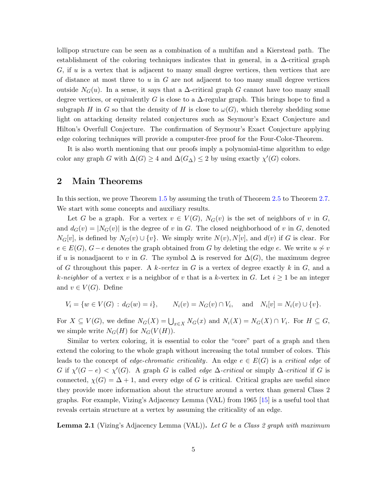lollipop structure can be seen as a combination of a multifan and a Kierstead path. The establishment of the coloring techniques indicates that in general, in a  $\Delta$ -critical graph  $G$ , if  $u$  is a vertex that is adjacent to many small degree vertices, then vertices that are of distance at most three to  $u$  in  $G$  are not adjacent to too many small degree vertices outside  $N_G(u)$ . In a sense, it says that a  $\Delta$ -critical graph G cannot have too many small degree vertices, or equivalently G is close to a  $\Delta$ -regular graph. This brings hope to find a subgraph H in G so that the density of H is close to  $\omega(G)$ , which thereby shedding some light on attacking density related conjectures such as Seymour's Exact Conjecture and Hilton's Overfull Conjecture. The confirmation of Seymour's Exact Conjecture applying edge coloring techniques will provide a computer-free proof for the Four-Color-Theorem.

It is also worth mentioning that our proofs imply a polynomial-time algorithm to edge color any graph G with  $\Delta(G) \geq 4$  and  $\Delta(G_{\Delta}) \leq 2$  by using exactly  $\chi'(G)$  colors.

### <span id="page-4-0"></span>2 Main Theorems

In this section, we prove Theorem [1.5](#page-3-0) by assuming the truth of Theorem [2.5](#page-6-0) to Theorem [2.7.](#page-6-2) We start with some concepts and auxiliary results.

Let G be a graph. For a vertex  $v \in V(G)$ ,  $N_G(v)$  is the set of neighbors of v in G, and  $d_G(v) = |N_G(v)|$  is the degree of v in G. The closed neighborhood of v in G, denoted  $N_G[v]$ , is defined by  $N_G(v) \cup \{v\}$ . We simply write  $N(v)$ ,  $N[v]$ , and  $d(v)$  if G is clear. For  $e \in E(G)$ ,  $G-e$  denotes the graph obtained from G by deleting the edge e. We write  $u \not\sim v$ if u is nonadjacent to v in G. The symbol  $\Delta$  is reserved for  $\Delta(G)$ , the maximum degree of G throughout this paper. A k-vertex in G is a vertex of degree exactly k in G, and a k-neighbor of a vertex v is a neighbor of v that is a k-vertex in G. Let  $i \geq 1$  be an integer and  $v \in V(G)$ . Define

$$
V_i = \{ w \in V(G) : d_G(w) = i \}, \qquad N_i(v) = N_G(v) \cap V_i, \quad \text{and} \quad N_i[v] = N_i(v) \cup \{ v \}.
$$

For  $X \subseteq V(G)$ , we define  $N_G(X) = \bigcup_{x \in X} N_G(x)$  and  $N_i(X) = N_G(X) \cap V_i$ . For  $H \subseteq G$ , we simple write  $N_G(H)$  for  $N_G(V(H))$ .

Similar to vertex coloring, it is essential to color the "core" part of a graph and then extend the coloring to the whole graph without increasing the total number of colors. This leads to the concept of edge-chromatic criticality. An edge  $e \in E(G)$  is a critical edge of G if  $\chi'(G-e) < \chi'(G)$ . A graph G is called *edge*  $\Delta$ -*critical* or simply  $\Delta$ -*critical* if G is connected,  $\chi(G) = \Delta + 1$ , and every edge of G is critical. Critical graphs are useful since they provide more information about the structure around a vertex than general Class 2 graphs. For example, Vizing's Adjacency Lemma (VAL) from 1965 [\[15\]](#page-48-0) is a useful tool that reveals certain structure at a vertex by assuming the criticality of an edge.

**Lemma 2.1** (Vizing's Adjacency Lemma (VAL)). Let G be a Class 2 graph with maximum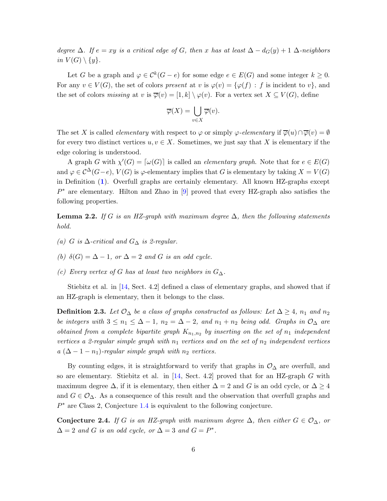degree  $\Delta$ . If  $e = xy$  is a critical edge of G, then x has at least  $\Delta - d_G(y) + 1$   $\Delta$ -neighbors in  $V(G) \setminus \{y\}.$ 

Let G be a graph and  $\varphi \in \mathcal{C}^k(G-e)$  for some edge  $e \in E(G)$  and some integer  $k \geq 0$ . For any  $v \in V(G)$ , the set of colors present at v is  $\varphi(v) = \{\varphi(f) : f$  is incident to v, and the set of colors missing at v is  $\overline{\varphi}(v) = [1, k] \setminus \varphi(v)$ . For a vertex set  $X \subseteq V(G)$ , define

$$
\overline{\varphi}(X) = \bigcup_{v \in X} \overline{\varphi}(v).
$$

The set X is called *elementary* with respect to  $\varphi$  or simply  $\varphi$ -elementary if  $\overline{\varphi}(u) \cap \overline{\varphi}(v) = \emptyset$ for every two distinct vertices  $u, v \in X$ . Sometimes, we just say that X is elementary if the edge coloring is understood.

A graph G with  $\chi'(G) = [\omega(G)]$  is called an *elementary graph*. Note that for  $e \in E(G)$ and  $\varphi \in \mathcal{C}^{\Delta}(G-e)$ ,  $V(G)$  is  $\varphi$ -elementary implies that G is elementary by taking  $X = V(G)$ in Definition ([1](#page-2-1)). Overfull graphs are certainly elementary. All known HZ-graphs except  $P^*$  are elementary. Hilton and Zhao in [\[9\]](#page-47-12) proved that every HZ-graph also satisfies the following properties.

<span id="page-5-0"></span>**Lemma 2.2.** If G is an HZ-graph with maximum degree  $\Delta$ , then the following statements hold.

- (a) G is  $\Delta$ -critical and  $G_{\Delta}$  is 2-regular.
- (b)  $\delta(G) = \Delta 1$ , or  $\Delta = 2$  and G is an odd cycle.
- (c) Every vertex of G has at least two neighbors in  $G_{\Delta}$ .

Stiebitz et al. in [\[14,](#page-48-1) Sect. 4.2] defined a class of elementary graphs, and showed that if an HZ-graph is elementary, then it belongs to the class.

**Definition 2.3.** Let  $\mathcal{O}_{\Delta}$  be a class of graphs constructed as follows: Let  $\Delta \geq 4$ ,  $n_1$  and  $n_2$ be integers with  $3 \leq n_1 \leq \Delta - 1$ ,  $n_2 = \Delta - 2$ , and  $n_1 + n_2$  being odd. Graphs in  $\mathcal{O}_{\Delta}$  are obtained from a complete bipartite graph  $K_{n_1,n_2}$  by inserting on the set of  $n_1$  independent vertices a 2-regular simple graph with  $n_1$  vertices and on the set of  $n_2$  independent vertices a  $(\Delta - 1 - n_1)$ -regular simple graph with  $n_2$  vertices.

By counting edges, it is straightforward to verify that graphs in  $\mathcal{O}_{\Delta}$  are overfull, and so are elementary. Stiebitz et al. in [\[14,](#page-48-1) Sect. 4.2] proved that for an HZ-graph  $G$  with maximum degree  $\Delta$ , if it is elementary, then either  $\Delta = 2$  and G is an odd cycle, or  $\Delta \geq 4$ and  $G \in \mathcal{O}_{\Delta}$ . As a consequence of this result and the observation that overfull graphs and P <sup>∗</sup> are Class 2, Conjecture [1.4](#page-3-1) is equivalent to the following conjecture.

<span id="page-5-1"></span>Conjecture 2.4. If G is an HZ-graph with maximum degree  $\Delta$ , then either  $G \in \mathcal{O}_{\Delta}$ , or  $\Delta = 2$  and G is an odd cycle, or  $\Delta = 3$  and  $G = P^*$ .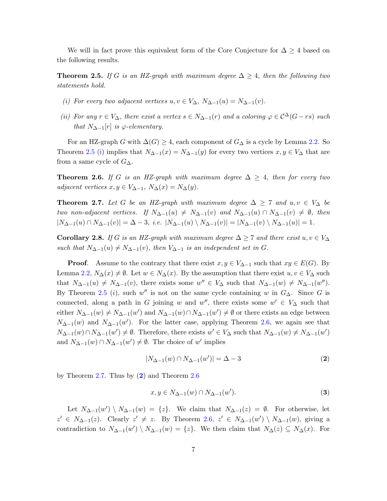We will in fact prove this equivalent form of the Core Conjecture for  $\Delta \geq 4$  based on the following results.

<span id="page-6-3"></span><span id="page-6-0"></span>**Theorem 2.5.** If G is an HZ-graph with maximum degree  $\Delta \geq 4$ , then the following two statements hold.

- <span id="page-6-6"></span>(i) For every two adjacent vertices  $u, v \in V_{\Delta}$ ,  $N_{\Delta-1}(u) = N_{\Delta-1}(v)$ .
- (ii) For any  $r \in V_\Delta$ , there exist a vertex  $s \in N_{\Delta-1}(r)$  and a coloring  $\varphi \in C^{\Delta}(G rs)$  such that  $N_{\Delta-1}[r]$  is  $\varphi$ -elementary.

For an HZ-graph G with  $\Delta(G) \geq 4$ , each component of  $G_{\Delta}$  is a cycle by Lemma [2.2.](#page-5-0) So Theorem [2.5](#page-6-0) [\(i\)](#page-6-3) implies that  $N_{\Delta-1}(x) = N_{\Delta-1}(y)$  for every two vertices  $x, y \in V_{\Delta}$  that are from a same cycle of  $G_{\Delta}$ .

<span id="page-6-1"></span>**Theorem 2.6.** If G is an HZ-graph with maximum degree  $\Delta \geq 4$ , then for every two adjacent vertices  $x, y \in V_{\Delta-1}, N_{\Delta}(x) = N_{\Delta}(y)$ .

<span id="page-6-2"></span>**Theorem 2.7.** Let G be an HZ-graph with maximum degree  $\Delta \geq 7$  and  $u, v \in V_{\Delta}$  be two non-adjacent vertices. If  $N_{\Delta-1}(u) \neq N_{\Delta-1}(v)$  and  $N_{\Delta-1}(u) \cap N_{\Delta-1}(v) \neq \emptyset$ , then  $|N_{\Delta-1}(u) \cap N_{\Delta-1}(v)| = \Delta - 3$ , i.e.  $|N_{\Delta-1}(u) \setminus N_{\Delta-1}(v)| = |N_{\Delta-1}(v) \setminus N_{\Delta-1}(u)| = 1$ .

<span id="page-6-7"></span>Corollary 2.8. If G is an HZ-graph with maximum degree  $\Delta \geq 7$  and there exist  $u, v \in V_{\Delta}$ such that  $N_{\Delta-1}(u) \neq N_{\Delta-1}(v)$ , then  $V_{\Delta-1}$  is an independent set in G.

**Proof.** Assume to the contrary that there exist  $x, y \in V_{\Delta-1}$  such that  $xy \in E(G)$ . By Lemma [2.2,](#page-5-0)  $N_{\Delta}(x) \neq \emptyset$ . Let  $w \in N_{\Delta}(x)$ . By the assumption that there exist  $u, v \in V_{\Delta}$  such that  $N_{\Delta-1}(u) \neq N_{\Delta-1}(v)$ , there exists some  $w'' \in V_{\Delta}$  such that  $N_{\Delta-1}(w) \neq N_{\Delta-1}(w'')$ . By Theorem [2.5](#page-6-0) (*i*), such w'' is not on the same cycle containing w in  $G_{\Delta}$ . Since G is connected, along a path in G joining w and w'', there exists some  $w' \in V_\Delta$  such that either  $N_{\Delta-1}(w) \neq N_{\Delta-1}(w')$  and  $N_{\Delta-1}(w) \cap N_{\Delta-1}(w') \neq \emptyset$  or there exists an edge between  $N_{\Delta-1}(w)$  and  $N_{\Delta-1}(w')$ . For the latter case, applying Theorem [2.6,](#page-6-1) we again see that  $N_{\Delta-1}(w) \cap N_{\Delta-1}(w') \neq \emptyset$ . Therefore, there exists  $w' \in V_{\Delta}$  such that  $N_{\Delta-1}(w) \neq N_{\Delta-1}(w')$ and  $N_{\Delta-1}(w) \cap N_{\Delta-1}(w') \neq \emptyset$ . The choice of w' implies

<span id="page-6-4"></span>
$$
|N_{\Delta-1}(w) \cap N_{\Delta-1}(w')| = \Delta - 3 \tag{2}
$$

by Theorem [2.7.](#page-6-2) Thus by  $(2)$  $(2)$  $(2)$  and Theorem [2.6](#page-6-1)

<span id="page-6-5"></span>
$$
x, y \in N_{\Delta - 1}(w) \cap N_{\Delta - 1}(w').
$$
\n
$$
(3)
$$

Let  $N_{\Delta-1}(w') \setminus N_{\Delta-1}(w) = \{z\}$ . We claim that  $N_{\Delta-1}(z) = \emptyset$ . For otherwise, let  $z' \in N_{\Delta-1}(z)$ . Clearly  $z' \neq z$ . By Theorem [2.6,](#page-6-1)  $z' \in N_{\Delta-1}(w') \setminus N_{\Delta-1}(w)$ , giving a contradiction to  $N_{\Delta-1}(w') \setminus N_{\Delta-1}(w) = \{z\}$ . We then claim that  $N_{\Delta}(z) \subseteq N_{\Delta}(x)$ . For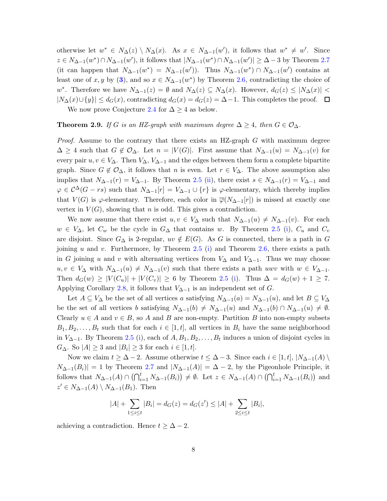otherwise let  $w^* \in N_\Delta(z) \setminus N_\Delta(x)$ . As  $x \in N_{\Delta-1}(w')$ , it follows that  $w^* \neq w'$ . Since  $z \in N_{\Delta-1}(w^*) \cap N_{\Delta-1}(w')$ , it follows that  $|N_{\Delta-1}(w^*) \cap N_{\Delta-1}(w')| \geq \Delta - 3$  by Theorem [2.7](#page-6-2) (it can happen that  $N_{\Delta-1}(w^*) = N_{\Delta-1}(w')$ ). Thus  $N_{\Delta-1}(w^*) \cap N_{\Delta-1}(w')$  contains at least one of x, y by ([3](#page-6-5)), and so  $x \in N_{\Delta-1}(w^*)$  by Theorem [2.6,](#page-6-1) contradicting the choice of w<sup>\*</sup>. Therefore we have  $N_{\Delta-1}(z) = \emptyset$  and  $N_{\Delta}(z) \subseteq N_{\Delta}(x)$ . However,  $d_G(z) \leq |N_{\Delta}(x)| <$  $|N_{\Delta}(x) \cup \{y\}| \leq d_G(x)$ , contradicting  $d_G(x) = d_G(z) = \Delta - 1$ . This completes the proof.  $\Box$ 

We now prove Conjecture [2.4](#page-5-1) for  $\Delta \geq 4$  as below.

#### **Theorem 2.9.** If G is an HZ-graph with maximum degree  $\Delta \geq 4$ , then  $G \in \mathcal{O}_{\Delta}$ .

*Proof.* Assume to the contrary that there exists an HZ-graph  $G$  with maximum degree  $\Delta \geq 4$  such that  $G \notin \mathcal{O}_{\Delta}$ . Let  $n = |V(G)|$ . First assume that  $N_{\Delta-1}(u) = N_{\Delta-1}(v)$  for every pair  $u, v \in V_\Delta$ . Then  $V_\Delta$ ,  $V_{\Delta-1}$  and the edges between them form a complete bipartite graph. Since  $G \notin \mathcal{O}_{\Delta}$ , it follows that n is even. Let  $r \in V_{\Delta}$ . The above assumption also implies that  $N_{\Delta-1}(r) = V_{\Delta-1}$ . By Theorem [2.5](#page-6-0) [\(ii\)](#page-6-6), there exist  $s \in N_{\Delta-1}(r) = V_{\Delta-1}$  and  $\varphi \in C^{\Delta}(G - rs)$  such that  $N_{\Delta-1}[r] = V_{\Delta-1} \cup \{r\}$  is  $\varphi$ -elementary, which thereby implies that  $V(G)$  is  $\varphi$ -elementary. Therefore, each color in  $\overline{\varphi}(N_{\Delta-1}[r])$  is missed at exactly one vertex in  $V(G)$ , showing that n is odd. This gives a contradiction.

We now assume that there exist  $u, v \in V_{\Delta}$  such that  $N_{\Delta-1}(u) \neq N_{\Delta-1}(v)$ . For each  $w \in V_{\Delta}$ , let  $C_w$  be the cycle in  $G_{\Delta}$  that contains w. By Theorem [2.5](#page-6-0) [\(i\)](#page-6-3),  $C_u$  and  $C_v$ are disjoint. Since  $G_{\Delta}$  is 2-regular,  $uv \notin E(G)$ . As G is connected, there is a path in G joining  $u$  and  $v$ . Furthermore, by Theorem [2.5](#page-6-0) [\(i\)](#page-6-3) and Theorem [2.6,](#page-6-1) there exists a path in G joining u and v with alternating vertices from  $V_{\Delta}$  and  $V_{\Delta-1}$ . Thus we may choose  $u, v \in V_{\Delta}$  with  $N_{\Delta-1}(u) \neq N_{\Delta-1}(v)$  such that there exists a path uwv with  $w \in V_{\Delta-1}$ . Then  $d_G(w) \geq |V(C_u)| + |V(C_v)| \geq 6$  by Theorem [2.5](#page-6-0) [\(i\)](#page-6-3). Thus  $\Delta = d_G(w) + 1 \geq 7$ . Applying Corollary [2.8,](#page-6-7) it follows that  $V_{\Delta-1}$  is an independent set of G.

Let  $A \subseteq V_{\Delta}$  be the set of all vertices a satisfying  $N_{\Delta-1}(a) = N_{\Delta-1}(u)$ , and let  $B \subseteq V_{\Delta}$ be the set of all vertices b satisfying  $N_{\Delta-1}(b) \neq N_{\Delta-1}(u)$  and  $N_{\Delta-1}(b) \cap N_{\Delta-1}(u) \neq \emptyset$ . Clearly  $u \in A$  and  $v \in B$ , so A and B are non-empty. Partition B into non-empty subsets  $B_1, B_2, \ldots, B_t$  such that for each  $i \in [1, t]$ , all vertices in  $B_i$  have the same neighborhood in  $V_{\Delta-1}$ . By Theorem [2.5](#page-6-0) [\(i\)](#page-6-3), each of  $A, B_1, B_2, \ldots, B_t$  induces a union of disjoint cycles in  $G_{\Delta}$ . So  $|A| \geq 3$  and  $|B_i| \geq 3$  for each  $i \in [1, t]$ .

Now we claim  $t \geq \Delta - 2$ . Assume otherwise  $t \leq \Delta - 3$ . Since each  $i \in [1, t], |N_{\Delta-1}(A)|$  $N_{\Delta-1}(B_i)|=1$  by Theorem [2.7](#page-6-2) and  $|N_{\Delta-1}(A)|=\Delta-2$ , by the Pigeonhole Principle, it follows that  $N_{\Delta-1}(A) \cap (\bigcap_{i=1}^t N_{\Delta-1}(B_i)) \neq \emptyset$ . Let  $z \in N_{\Delta-1}(A) \cap (\bigcap_{i=1}^t N_{\Delta-1}(B_i))$  and  $z' \in N_{\Delta-1}(A) \setminus N_{\Delta-1}(B_1)$ . Then

$$
|A| + \sum_{1 \le i \le t} |B_i| = d_G(z) = d_G(z') \le |A| + \sum_{2 \le i \le t} |B_i|,
$$

achieving a contradiction. Hence  $t \geq \Delta - 2$ .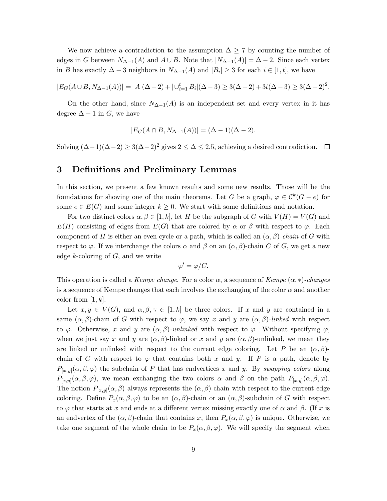We now achieve a contradiction to the assumption  $\Delta \geq 7$  by counting the number of edges in G between  $N_{\Delta-1}(A)$  and  $A \cup B$ . Note that  $|N_{\Delta-1}(A)| = \Delta - 2$ . Since each vertex in B has exactly  $\Delta - 3$  neighbors in  $N_{\Delta - 1}(A)$  and  $|B_i| \geq 3$  for each  $i \in [1, t]$ , we have

$$
|E_G(A \cup B, N_{\Delta - 1}(A))| = |A|(\Delta - 2) + |\cup_{i=1}^t B_i|(\Delta - 3) \ge 3(\Delta - 2) + 3t(\Delta - 3) \ge 3(\Delta - 2)^2.
$$

On the other hand, since  $N_{\Delta-1}(A)$  is an independent set and every vertex in it has degree  $\Delta - 1$  in G, we have

$$
|E_G(A \cap B, N_{\Delta - 1}(A))| = (\Delta - 1)(\Delta - 2).
$$

<span id="page-8-0"></span>Solving  $(\Delta-1)(\Delta-2) \geq 3(\Delta-2)^2$  gives  $2 \leq \Delta \leq 2.5$ , achieving a desired contradiction.  $\Box$ 

### 3 Definitions and Preliminary Lemmas

In this section, we present a few known results and some new results. Those will be the foundations for showing one of the main theorems. Let G be a graph,  $\varphi \in C^k(G-e)$  for some  $e \in E(G)$  and some integer  $k \geq 0$ . We start with some definitions and notation.

For two distinct colors  $\alpha, \beta \in [1, k]$ , let H be the subgraph of G with  $V(H) = V(G)$  and  $E(H)$  consisting of edges from  $E(G)$  that are colored by  $\alpha$  or  $\beta$  with respect to  $\varphi$ . Each component of H is either an even cycle or a path, which is called an  $(\alpha, \beta)$ -chain of G with respect to  $\varphi$ . If we interchange the colors  $\alpha$  and  $\beta$  on an  $(\alpha, \beta)$ -chain C of G, we get a new edge  $k$ -coloring of  $G$ , and we write

$$
\varphi' = \varphi/C.
$$

This operation is called a Kempe change. For a color  $\alpha$ , a sequence of Kempe  $(\alpha, *)$ -changes is a sequence of Kempe changes that each involves the exchanging of the color  $\alpha$  and another color from  $[1, k]$ .

Let  $x, y \in V(G)$ , and  $\alpha, \beta, \gamma \in [1, k]$  be three colors. If x and y are contained in a same  $(\alpha, \beta)$ -chain of G with respect to  $\varphi$ , we say x and y are  $(\alpha, \beta)$ -linked with respect to  $\varphi$ . Otherwise, x and y are  $(\alpha, \beta)$ -unlinked with respect to  $\varphi$ . Without specifying  $\varphi$ , when we just say x and y are  $(\alpha, \beta)$ -linked or x and y are  $(\alpha, \beta)$ -unlinked, we mean they are linked or unlinked with respect to the current edge coloring. Let P be an  $(\alpha, \beta)$ chain of G with respect to  $\varphi$  that contains both x and y. If P is a path, denote by  $P_{[x,y]}(\alpha,\beta,\varphi)$  the subchain of P that has endvertices x and y. By swapping colors along  $P_{[x,y]}(\alpha,\beta,\varphi)$ , we mean exchanging the two colors  $\alpha$  and  $\beta$  on the path  $P_{[x,y]}(\alpha,\beta,\varphi)$ . The notion  $P_{[x,y]}(\alpha, \beta)$  always represents the  $(\alpha, \beta)$ -chain with respect to the current edge coloring. Define  $P_x(\alpha, \beta, \varphi)$  to be an  $(\alpha, \beta)$ -chain or an  $(\alpha, \beta)$ -subchain of G with respect to  $\varphi$  that starts at x and ends at a different vertex missing exactly one of  $\alpha$  and  $\beta$ . (If x is an endvertex of the  $(\alpha, \beta)$ -chain that contains x, then  $P_x(\alpha, \beta, \varphi)$  is unique. Otherwise, we take one segment of the whole chain to be  $P_x(\alpha, \beta, \varphi)$ . We will specify the segment when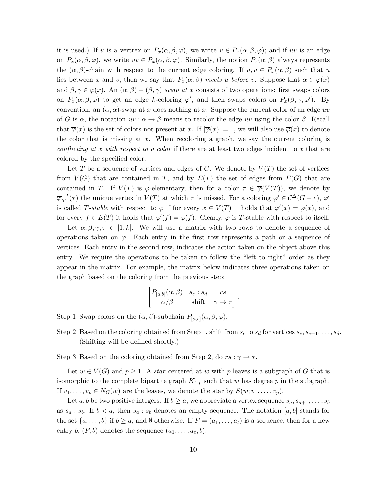it is used.) If u is a vertrex on  $P_x(\alpha, \beta, \varphi)$ , we write  $u \in P_x(\alpha, \beta, \varphi)$ ; and if uv is an edge on  $P_x(\alpha, \beta, \varphi)$ , we write  $uv \in P_x(\alpha, \beta, \varphi)$ . Similarly, the notion  $P_x(\alpha, \beta)$  always represents the  $(\alpha, \beta)$ -chain with respect to the current edge coloring. If  $u, v \in P_x(\alpha, \beta)$  such that u lies between x and v, then we say that  $P_x(\alpha, \beta)$  meets u before v. Suppose that  $\alpha \in \overline{\varphi}(x)$ and  $\beta, \gamma \in \varphi(x)$ . An  $(\alpha, \beta) - (\beta, \gamma)$  swap at x consists of two operations: first swaps colors on  $P_x(\alpha, \beta, \varphi)$  to get an edge k-coloring  $\varphi'$ , and then swaps colors on  $P_x(\beta, \gamma, \varphi')$ . By convention, an  $(\alpha, \alpha)$ -swap at x does nothing at x. Suppose the current color of an edge uv of G is  $\alpha$ , the notation  $uv : \alpha \to \beta$  means to recolor the edge uv using the color  $\beta$ . Recall that  $\overline{\varphi}(x)$  is the set of colors not present at x. If  $|\overline{\varphi}(x)| = 1$ , we will also use  $\overline{\varphi}(x)$  to denote the color that is missing at  $x$ . When recoloring a graph, we say the current coloring is conflicting at x with respect to a color if there are at least two edges incident to x that are colored by the specified color.

Let T be a sequence of vertices and edges of G. We denote by  $V(T)$  the set of vertices from  $V(G)$  that are contained in T, and by  $E(T)$  the set of edges from  $E(G)$  that are contained in T. If  $V(T)$  is  $\varphi$ -elementary, then for a color  $\tau \in \overline{\varphi}(V(T))$ , we denote by  $\overline{\varphi}_T^{-1}(\tau)$  the unique vertex in  $V(T)$  at which  $\tau$  is missed. For a coloring  $\varphi' \in C^{\Delta}(G-e)$ ,  $\varphi'$ is called T-stable with respect to  $\varphi$  if for every  $x \in V(T)$  it holds that  $\overline{\varphi}'(x) = \overline{\varphi}(x)$ , and for every  $f \in E(T)$  it holds that  $\varphi'(f) = \varphi(f)$ . Clearly,  $\varphi$  is T-stable with respect to itself.

Let  $\alpha, \beta, \gamma, \tau \in [1, k]$ . We will use a matrix with two rows to denote a sequence of operations taken on  $\varphi$ . Each entry in the first row represents a path or a sequence of vertices. Each entry in the second row, indicates the action taken on the object above this entry. We require the operations to be taken to follow the "left to right" order as they appear in the matrix. For example, the matrix below indicates three operations taken on the graph based on the coloring from the previous step:

$$
\begin{bmatrix} P_{[a,b]}(\alpha,\beta) & s_c : s_d & rs \\ \alpha/\beta & \text{shift} & \gamma \to \tau \end{bmatrix}.
$$

Step 1 Swap colors on the  $(\alpha, \beta)$ -subchain  $P_{[a,b]}(\alpha, \beta, \varphi)$ .

- Step 2 Based on the coloring obtained from Step 1, shift from  $s_c$  to  $s_d$  for vertices  $s_c, s_{c+1}, \ldots, s_d$ . (Shifting will be defined shortly.)
- Step 3 Based on the coloring obtained from Step 2, do  $rs : \gamma \to \tau$ .

Let  $w \in V(G)$  and  $p \geq 1$ . A star centered at w with p leaves is a subgraph of G that is isomorphic to the complete bipartite graph  $K_{1,p}$  such that w has degree p in the subgraph. If  $v_1, \ldots, v_p \in N_G(w)$  are the leaves, we denote the star by  $S(w; v_1, \ldots, v_p)$ .

Let a, b be two positive integers. If  $b \ge a$ , we abbreviate a vertex sequence  $s_a, s_{a+1}, \ldots, s_b$ as  $s_a : s_b$ . If  $b < a$ , then  $s_a : s_b$  denotes an empty sequence. The notation [a, b] stands for the set  $\{a, \ldots, b\}$  if  $b \ge a$ , and  $\emptyset$  otherwise. If  $F = (a_1, \ldots, a_t)$  is a sequence, then for a new entry b,  $(F, b)$  denotes the sequence  $(a_1, \ldots, a_t, b)$ .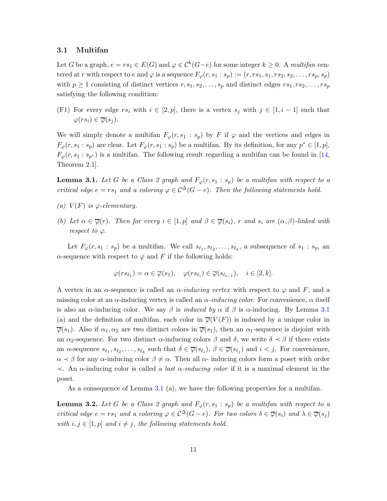#### <span id="page-10-0"></span>3.1 Multifan

Let G be a graph,  $e = rs_1 \in E(G)$  and  $\varphi \in C^k(G-e)$  for some integer  $k \geq 0$ . A multifan centered at r with respect to e and  $\varphi$  is a sequence  $F_{\varphi}(r, s_1 : s_p) := (r, rs_1, s_1, rs_2, s_2, \ldots, rs_p, s_p)$ with  $p \geq 1$  consisting of distinct vertices  $r, s_1, s_2, \ldots, s_p$  and distinct edges  $rs_1, rs_2, \ldots, rs_p$ satisfying the following condition:

(F1) For every edge  $rs_i$  with  $i \in [2, p]$ , there is a vertex  $s_j$  with  $j \in [1, i-1]$  such that  $\varphi(rs_i) \in \overline{\varphi}(s_i)$ .

We will simply denote a multifan  $F_{\varphi}(r, s_1 : s_p)$  by F if  $\varphi$  and the vertices and edges in  $F_{\varphi}(r, s_1 : s_p)$  are clear. Let  $F_{\varphi}(r, s_1 : s_p)$  be a multifan. By its definition, for any  $p^* \in [1, p]$ ,  $F_{\varphi}(r, s_1 : s_{p^*})$  is a multifan. The following result regarding a multifan can be found in [\[14,](#page-48-1) Theorem 2.1].

<span id="page-10-3"></span><span id="page-10-1"></span>**Lemma 3.1.** Let G be a Class 2 graph and  $F_{\varphi}(r, s_1 : s_p)$  be a multifan with respect to a critical edge  $e = rs_1$  and a coloring  $\varphi \in C^{\Delta}(G - e)$ . Then the following statements hold.

- <span id="page-10-4"></span>(a)  $V(F)$  is  $\varphi$ -elementary.
- (b) Let  $\alpha \in \overline{\varphi}(r)$ . Then for every  $i \in [1, p]$  and  $\beta \in \overline{\varphi}(s_i)$ , r and  $s_i$  are  $(\alpha, \beta)$ -linked with respect to  $\varphi$ .

Let  $F_{\varphi}(r, s_1 : s_p)$  be a multifan. We call  $s_{\ell_1}, s_{\ell_2}, \ldots, s_{\ell_k}$ , a subsequence of  $s_1 : s_p$ , an  $\alpha$ -sequence with respect to  $\varphi$  and F if the following holds:

$$
\varphi(rs_{\ell_1}) = \alpha \in \overline{\varphi}(s_1), \quad \varphi(rs_{\ell_i}) \in \overline{\varphi}(s_{\ell_{i-1}}), \quad i \in [2, k].
$$

A vertex in an  $\alpha$ -sequence is called an  $\alpha$ -inducing vertex with respect to  $\varphi$  and F, and a missing color at an  $\alpha$ -inducing vertex is called an  $\alpha$ -*inducing color*. For convenience,  $\alpha$  itself is also an  $\alpha$ -inducing color. We say  $\beta$  is *induced by*  $\alpha$  if  $\beta$  is  $\alpha$ -inducing. By Lemma [3.1](#page-10-1) (a) and the definition of multifan, each color in  $\overline{\varphi}(V(F))$  is induced by a unique color in  $\overline{\varphi}(s_1)$ . Also if  $\alpha_1, \alpha_2$  are two distinct colors in  $\overline{\varphi}(s_1)$ , then an  $\alpha_1$ -sequence is disjoint with an  $\alpha_2$ -sequence. For two distinct  $\alpha$ -inducing colors  $\beta$  and  $\delta$ , we write  $\delta \prec \beta$  if there exists an  $\alpha$ -sequence  $s_{\ell_1}, s_{\ell_2}, \ldots, s_{\ell_k}$  such that  $\delta \in \overline{\varphi}(s_{\ell_i}), \beta \in \overline{\varphi}(s_{\ell_j})$  and  $i < j$ . For convenience,  $\alpha \prec \beta$  for any  $\alpha$ -inducing color  $\beta \neq \alpha$ . Then all  $\alpha$ -inducing colors form a poset with order  $\prec$ . An α-inducing color is called a *last α-inducing color* if it is a maximal element in the poset.

As a consequence of Lemma [3.1](#page-10-1) (a), we have the following properties for a multifan.

<span id="page-10-2"></span>**Lemma 3.2.** Let G be a Class 2 graph and  $F_{\varphi}(r, s_1 : s_p)$  be a multifan with respect to a critical edge  $e = rs_1$  and a coloring  $\varphi \in C^{\Delta}(G-e)$ . For two colors  $\delta \in \overline{\varphi}(s_i)$  and  $\lambda \in \overline{\varphi}(s_j)$ with  $i, j \in [1, p]$  and  $i \neq j$ , the following statements hold.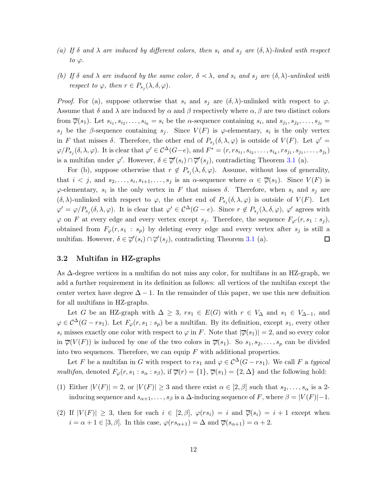- <span id="page-11-2"></span><span id="page-11-1"></span>(a) If  $\delta$  and  $\lambda$  are induced by different colors, then  $s_i$  and  $s_j$  are  $(\delta, \lambda)$ -linked with respect to  $\varphi$ .
- (b) If  $\delta$  and  $\lambda$  are induced by the same color,  $\delta \prec \lambda$ , and  $s_i$  and  $s_j$  are  $(\delta, \lambda)$ -unlinked with respect to  $\varphi$ , then  $r \in P_{s_j}(\lambda, \delta, \varphi)$ .

*Proof.* For (a), suppose otherwise that  $s_i$  and  $s_j$  are  $(\delta, \lambda)$ -unlinked with respect to  $\varphi$ . Assume that  $\delta$  and  $\lambda$  are induced by  $\alpha$  and  $\beta$  respectively where  $\alpha, \beta$  are two distinct colors from  $\overline{\varphi}(s_1)$ . Let  $s_{i_1}, s_{i_2}, \ldots, s_{i_k} = s_i$  be the  $\alpha$ -sequence containing  $s_i$ , and  $s_{j_1}, s_{j_2}, \ldots, s_{j_\ell} =$ s<sub>j</sub> be the β-sequence containing s<sub>j</sub>. Since  $V(F)$  is  $\varphi$ -elementary, s<sub>i</sub> is the only vertex in F that misses  $\delta$ . Therefore, the other end of  $P_{s_j}(\delta,\lambda,\varphi)$  is outside of  $V(F)$ . Let  $\varphi' =$  $\varphi/P_{s_j}(\delta,\lambda,\varphi)$ . It is clear that  $\varphi' \in C^{\Delta}(G-e)$ , and  $F^* = (r, rs_{i_1}, s_{i_2}, \ldots, s_{i_k}, rs_{j_1}, s_{j_1}, \ldots, s_{j_\ell})$ is a multifan under  $\varphi'$ . However,  $\delta \in \overline{\varphi}'(s_i) \cap \overline{\varphi}'(s_j)$ , contradicting Theorem [3.1](#page-10-1) (a).

For (b), suppose otherwise that  $r \notin P_{s_j}(\lambda, \delta, \varphi)$ . Assume, without loss of generality, that  $i < j$ , and  $s_2, \ldots, s_i, s_{i+1}, \ldots, s_j$  is an  $\alpha$ -sequence where  $\alpha \in \overline{\varphi}(s_1)$ . Since  $V(F)$  is  $\varphi$ -elementary,  $s_i$  is the only vertex in F that misses  $\delta$ . Therefore, when  $s_i$  and  $s_j$  are  $(\delta, \lambda)$ -unlinked with respect to  $\varphi$ , the other end of  $P_{s_j}(\delta, \lambda, \varphi)$  is outside of  $V(F)$ . Let  $\varphi' = \varphi/P_{s_j}(\delta, \lambda, \varphi)$ . It is clear that  $\varphi' \in C^{\Delta}(G - e)$ . Since  $r \notin P_{s_j}(\lambda, \delta, \varphi)$ ,  $\varphi'$  agrees with  $\varphi$  on F at every edge and every vertex except  $s_j$ . Therefore, the sequence  $F_{\varphi}(r, s_1 : s_j)$ , obtained from  $F_{\varphi}(r, s_1 : s_p)$  by deleting every edge and every vertex after  $s_j$  is still a multifan. However,  $\delta \in \overline{\varphi}'(s_i) \cap \overline{\varphi}'(s_j)$ , contradicting Theorem [3.1](#page-10-1) (a).  $\Box$ 

#### <span id="page-11-0"></span>3.2 Multifan in HZ-graphs

As ∆-degree vertices in a multifan do not miss any color, for multifans in an HZ-graph, we add a further requirement in its definition as follows: all vertices of the multifan except the center vertex have degree  $\Delta - 1$ . In the remainder of this paper, we use this new definition for all multifans in HZ-graphs.

Let G be an HZ-graph with  $\Delta \geq 3$ ,  $rs_1 \in E(G)$  with  $r \in V_{\Delta}$  and  $s_1 \in V_{\Delta-1}$ , and  $\varphi \in C^{\Delta}(G-rs_1)$ . Let  $F_{\varphi}(r,s_1:s_p)$  be a multifan. By its definition, except  $s_1$ , every other  $s_i$  misses exactly one color with respect to  $\varphi$  in F. Note that  $|\overline{\varphi}(s_1)| = 2$ , and so every color in  $\overline{\varphi}(V(F))$  is induced by one of the two colors in  $\overline{\varphi}(s_1)$ . So  $s_1, s_2, \ldots, s_p$  can be divided into two sequences. Therefore, we can equip  $F$  with additional properties.

Let F be a multifan in G with respect to  $rs_1$  and  $\varphi \in C^{\Delta}(G - rs_1)$ . We call F a typical multifan, denoted  $F_{\varphi}(r, s_1 : s_{\alpha} : s_{\beta})$ , if  $\overline{\varphi}(r) = \{1\}$ ,  $\overline{\varphi}(s_1) = \{2, \Delta\}$  and the following hold:

- (1) Either  $|V(F)| = 2$ , or  $|V(F)| \geq 3$  and there exist  $\alpha \in [2, \beta]$  such that  $s_2, \ldots, s_\alpha$  is a 2inducing sequence and  $s_{\alpha+1}, \ldots, s_{\beta}$  is a  $\Delta$ -inducing sequence of F, where  $\beta = |V(F)| - 1$ .
- (2) If  $|V(F)| \geq 3$ , then for each  $i \in [2, \beta]$ ,  $\varphi(rs_i) = i$  and  $\overline{\varphi}(s_i) = i + 1$  except when  $i = \alpha + 1 \in [3, \beta]$ . In this case,  $\varphi(rs_{\alpha+1}) = \Delta$  and  $\overline{\varphi}(s_{\alpha+1}) = \alpha + 2$ .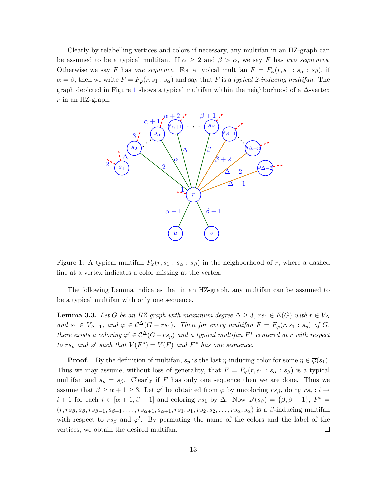Clearly by relabelling vertices and colors if necessary, any multifan in an HZ-graph can be assumed to be a typical multifan. If  $\alpha \geq 2$  and  $\beta > \alpha$ , we say F has two sequences. Otherwise we say F has one sequence. For a typical multifan  $F = F_{\varphi}(r, s_1 : s_{\alpha} : s_{\beta})$ , if  $\alpha = \beta$ , then we write  $F = F_{\varphi}(r, s_1 : s_\alpha)$  and say that F is a typical 2-inducing multifan. The graph depicted in Figure [1](#page-12-0) shows a typical multifan within the neighborhood of a  $\Delta$ -vertex  $r$  in an HZ-graph.



<span id="page-12-0"></span>Figure 1: A typical multifan  $F_{\varphi}(r, s_1 : s_{\alpha} : s_{\beta})$  in the neighborhood of r, where a dashed line at a vertex indicates a color missing at the vertex.

The following Lemma indicates that in an HZ-graph, any multifan can be assumed to be a typical multifan with only one sequence.

<span id="page-12-1"></span>**Lemma 3.3.** Let G be an HZ-graph with maximum degree  $\Delta \geq 3$ ,  $rs_1 \in E(G)$  with  $r \in V_{\Delta}$ and  $s_1 \in V_{\Delta-1}$ , and  $\varphi \in C^{\Delta}(G - rs_1)$ . Then for every multifan  $F = F_{\varphi}(r, s_1 : s_p)$  of  $G$ , there exists a coloring  $\varphi' \in C^{\Delta}(G - rs_p)$  and a typical multifan  $F^*$  centered at r with respect to  $rs_p$  and  $\varphi'$  such that  $V(F^*) = V(F)$  and  $F^*$  has one sequence.

**Proof.** By the definition of multifan,  $s_p$  is the last  $\eta$ -inducing color for some  $\eta \in \overline{\varphi}(s_1)$ . Thus we may assume, without loss of generality, that  $F = F_{\varphi}(r, s_1 : s_{\alpha} : s_{\beta})$  is a typical multifan and  $s_p = s_\beta$ . Clearly if F has only one sequence then we are done. Thus we assume that  $\beta \ge \alpha + 1 \ge 3$ . Let  $\varphi'$  be obtained from  $\varphi$  by uncoloring  $rs_{\beta}$ , doing  $rs_i : i \to$  $i+1$  for each  $i \in [\alpha+1,\beta-1]$  and coloring  $rs_1$  by  $\Delta$ . Now  $\overline{\varphi}'(s_{\beta}) = {\beta, \beta+1}, F^* =$  $(r, rs_{\beta}, s_{\beta}, rs_{\beta-1}, s_{\beta-1}, \ldots, rs_{\alpha+1}, s_{\alpha+1}, rs_1, s_1, rs_2, s_2, \ldots, rs_{\alpha}, s_{\alpha})$  is a  $\beta$ -inducing multifan with respect to  $rs_{\beta}$  and  $\varphi'$ . By permuting the name of the colors and the label of the vertices, we obtain the desired multifan.  $\Box$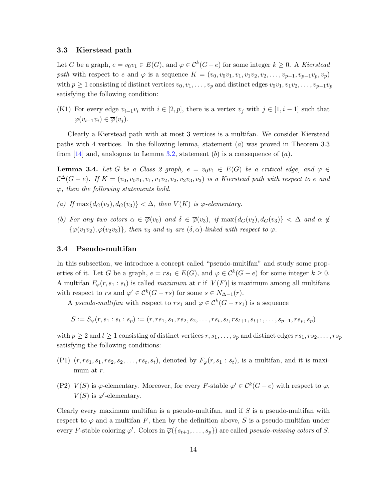#### <span id="page-13-0"></span>3.3 Kierstead path

Let G be a graph,  $e = v_0v_1 \in E(G)$ , and  $\varphi \in C^k(G-e)$  for some integer  $k \geq 0$ . A Kierstead path with respect to e and  $\varphi$  is a sequence  $K = (v_0, v_0v_1, v_1, v_1v_2, v_2, \ldots, v_{p-1}, v_{p-1}v_p, v_p)$ with  $p \geq 1$  consisting of distinct vertices  $v_0, v_1, \ldots, v_p$  and distinct edges  $v_0v_1, v_1v_2, \ldots, v_{p-1}v_p$ satisfying the following condition:

(K1) For every edge  $v_{i-1}v_i$  with  $i \in [2, p]$ , there is a vertex  $v_i$  with  $j \in [1, i-1]$  such that  $\varphi(v_{i-1}v_i) \in \overline{\varphi}(v_i)$ .

Clearly a Kierstead path with at most 3 vertices is a multifan. We consider Kierstead paths with 4 vertices. In the following lemma, statement  $(a)$  was proved in Theorem 3.3 from [\[14\]](#page-48-1) and, analogous to Lemma [3.2,](#page-10-2) statement (b) is a consequence of  $(a)$ .

<span id="page-13-2"></span>**Lemma 3.4.** Let G be a Class 2 graph,  $e = v_0v_1 \in E(G)$  be a critical edge, and  $\varphi \in$  $\mathcal{C}^{\Delta}(G-e)$ . If  $K=(v_0, v_0v_1, v_1, v_1v_2, v_2, v_2v_3, v_3)$  is a Kierstead path with respect to e and  $\varphi$ , then the following statements hold.

- (a) If  $\max\{d_G(v_2), d_G(v_3)\} < \Delta$ , then  $V(K)$  is  $\varphi$ -elementary.
- (b) For any two colors  $\alpha \in \overline{\varphi}(v_0)$  and  $\delta \in \overline{\varphi}(v_3)$ , if  $\max\{d_G(v_2), d_G(v_3)\} < \Delta$  and  $\alpha \notin$  $\{\varphi(v_1v_2), \varphi(v_2v_3)\},\$  then  $v_3$  and  $v_0$  are  $(\delta, \alpha)$ -linked with respect to  $\varphi$ .

#### <span id="page-13-1"></span>3.4 Pseudo-multifan

In this subsection, we introduce a concept called "pseudo-multifan" and study some properties of it. Let G be a graph,  $e = rs_1 \in E(G)$ , and  $\varphi \in C^k(G - e)$  for some integer  $k \geq 0$ . A multifan  $F_{\varphi}(r, s_1 : s_t)$  is called *maximum* at r if  $|V(F)|$  is maximum among all multifans with respect to rs and  $\varphi' \in \mathcal{C}^k(G - rs)$  for some  $s \in N_{\Delta-1}(r)$ .

A pseudo-multifan with respect to  $rs_1$  and  $\varphi \in \mathcal{C}^k(G - rs_1)$  is a sequence

$$
S := S_{\varphi}(r, s_1 : s_t : s_p) := (r, rs_1, s_1, rs_2, s_2, \dots, rs_t, s_t, rs_{t+1}, s_{t+1}, \dots, s_{p-1}, rs_p, s_p)
$$

with  $p \geq 2$  and  $t \geq 1$  consisting of distinct vertices  $r, s_1, \ldots, s_p$  and distinct edges  $rs_1, rs_2, \ldots, rs_p$ satisfying the following conditions:

- $(P1)$   $(r, rs_1, s_1, rs_2, s_2, \ldots, rs_t, s_t)$ , denoted by  $F_\varphi(r, s_1 : s_t)$ , is a multifan, and it is maximum at r.
- (P2)  $V(S)$  is  $\varphi$ -elementary. Moreover, for every F-stable  $\varphi' \in C^k(G-e)$  with respect to  $\varphi$ ,  $V(S)$  is  $\varphi'$ -elementary.

Clearly every maximum multifan is a pseudo-multifan, and if  $S$  is a pseudo-multifan with respect to  $\varphi$  and a multifan F, then by the definition above, S is a pseudo-multifan under every F-stable coloring  $\varphi'$ . Colors in  $\overline{\varphi}(\{s_{t+1},\ldots,s_p\})$  are called *pseudo-missing colors* of S.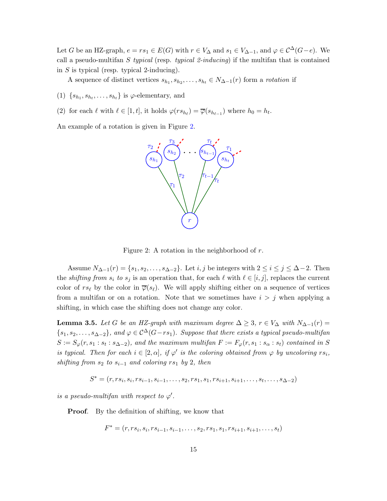Let G be an HZ-graph,  $e = rs_1 \in E(G)$  with  $r \in V_\Delta$  and  $s_1 \in V_{\Delta-1}$ , and  $\varphi \in C^{\Delta}(G-e)$ . We call a pseudo-multifan S typical (resp. typical 2-inducing) if the multifan that is contained in S is typical (resp. typical 2-inducing).

A sequence of distinct vertices  $s_{h_1}, s_{h_2}, \ldots, s_{h_t} \in N_{\Delta-1}(r)$  form a rotation if

(1)  $\{s_{h_1}, s_{h_t}, \ldots, s_{h_t}\}\$ is  $\varphi$ -elementary, and

(2) for each  $\ell$  with  $\ell \in [1, t]$ , it holds  $\varphi(rs_{h_{\ell}}) = \overline{\varphi}(s_{h_{\ell-1}})$  where  $h_0 = h_t$ .

An example of a rotation is given in Figure [2.](#page-14-0)



<span id="page-14-0"></span>Figure 2: A rotation in the neighborhood of  $r$ .

Assume  $N_{\Delta-1}(r) = \{s_1, s_2, \ldots, s_{\Delta-2}\}.$  Let  $i, j$  be integers with  $2 \le i \le j \le \Delta-2$ . Then the *shifting from*  $s_i$  to  $s_j$  is an operation that, for each  $\ell$  with  $\ell \in [i, j]$ , replaces the current color of  $rs_{\ell}$  by the color in  $\overline{\varphi}(s_{\ell})$ . We will apply shifting either on a sequence of vertices from a multifan or on a rotation. Note that we sometimes have  $i > j$  when applying a shifting, in which case the shifting does not change any color.

<span id="page-14-1"></span>**Lemma 3.5.** Let G be an HZ-graph with maximum degree  $\Delta \geq 3$ ,  $r \in V_{\Delta}$  with  $N_{\Delta-1}(r) =$  ${s_1, s_2, \ldots, s_{\Delta-2}}$ , and  $\varphi \in C^{\Delta}(G-rs_1)$ . Suppose that there exists a typical pseudo-multifan  $S := S_{\varphi}(r, s_1 : s_t : s_{\Delta - 2})$ , and the maximum multifan  $F := F_{\varphi}(r, s_1 : s_{\alpha} : s_t)$  contained in S is typical. Then for each  $i \in [2, \alpha]$ , if  $\varphi'$  is the coloring obtained from  $\varphi$  by uncoloring  $rs_i$ , shifting from  $s_2$  to  $s_{i-1}$  and coloring rs<sub>1</sub> by 2, then

$$
S^* = (r, rs_i, s_i, rs_{i-1}, s_{i-1}, \dots, s_2, rs_1, s_1, rs_{i+1}, s_{i+1}, \dots, s_t, \dots, s_{\Delta-2})
$$

is a pseudo-multifan with respect to  $\varphi'$ .

**Proof.** By the definition of shifting, we know that

$$
F^* = (r, rs_i, s_i, rs_{i-1}, s_{i-1}, \dots, s_2, rs_1, s_1, rs_{i+1}, s_{i+1}, \dots, s_t)
$$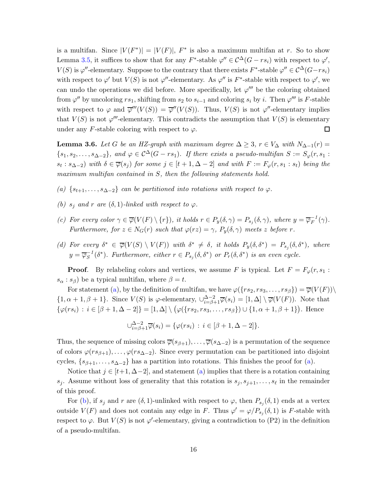is a multifan. Since  $|V(F^*)| = |V(F)|$ ,  $F^*$  is also a maximum multifan at r. So to show Lemma [3.5,](#page-14-1) it suffices to show that for any  $F^*$ -stable  $\varphi'' \in C^{\Delta}(G - rs_i)$  with respect to  $\varphi'$ ,  $V(S)$  is  $\varphi''$ -elementary. Suppose to the contrary that there exists  $F^*$ -stable  $\varphi'' \in C^{\Delta}(G-rs_i)$ with respect to  $\varphi'$  but  $V(S)$  is not  $\varphi''$ -elementary. As  $\varphi''$  is F<sup>\*</sup>-stable with respect to  $\varphi'$ , we can undo the operations we did before. More specifically, let  $\varphi'''$  be the coloring obtained from  $\varphi''$  by uncoloring  $rs_1$ , shifting from  $s_2$  to  $s_{i-1}$  and coloring  $s_i$  by i. Then  $\varphi'''$  is F-stable with respect to  $\varphi$  and  $\overline{\varphi}'''(V(S)) = \overline{\varphi}''(V(S))$ . Thus,  $V(S)$  is not  $\varphi''$ -elementary implies that  $V(S)$  is not  $\varphi'''$ -elementary. This contradicts the assumption that  $V(S)$  is elementary under any F-stable coloring with respect to  $\varphi$ .  $\Box$ 

<span id="page-15-4"></span>**Lemma 3.6.** Let G be an HZ-graph with maximum degree  $\Delta \geq 3$ ,  $r \in V_{\Delta}$  with  $N_{\Delta-1}(r) =$  $\{s_1, s_2, \ldots, s_{\Delta-2}\},$  and  $\varphi \in C^{\Delta}(G - rs_1)$ . If there exists a pseudo-multifan  $S := S_{\varphi}(r, s_1)$ :  $s_t : s_{\Delta-2}$ ) with  $\delta \in \overline{\varphi}(s_j)$  for some  $j \in [t+1, \Delta-2]$  and with  $F := F_{\varphi}(r, s_1 : s_t)$  being the maximum multifan contained in S, then the following statements hold.

- <span id="page-15-1"></span><span id="page-15-0"></span>(a)  $\{s_{t+1}, \ldots, s_{\Delta-2}\}$  can be partitioned into rotations with respect to  $\varphi$ .
- <span id="page-15-2"></span>(b)  $s_i$  and r are  $(\delta, 1)$ -linked with respect to  $\varphi$ .
- <span id="page-15-3"></span>(c) For every color  $\gamma \in \overline{\varphi}(V(F) \setminus \{r\}),$  it holds  $r \in P_y(\delta, \gamma) = P_{s_j}(\delta, \gamma)$ , where  $y = \overline{\varphi}_F^{-1}(\gamma)$ . Furthermore, for  $z \in N_G(r)$  such that  $\varphi(rz) = \gamma$ ,  $P_y(\delta, \gamma)$  meets z before r.
- (d) For every  $\delta^* \in \overline{\varphi}(V(S) \setminus V(F))$  with  $\delta^* \neq \delta$ , it holds  $P_y(\delta, \delta^*) = P_{s_j}(\delta, \delta^*)$ , where  $y = \overline{\varphi_S}^{-1}(\delta^*)$ . Furthermore, either  $r \in P_{s_j}(\delta, \delta^*)$  or  $P_r(\delta, \delta^*)$  is an even cycle.

**Proof.** By relabeling colors and vertices, we assume F is typical. Let  $F = F_{\varphi}(r, s_1 :$  $s_{\alpha}: s_{\beta}$  be a typical multifan, where  $\beta = t$ .

For statement [\(a\)](#page-15-0), by the definition of multifan, we have  $\varphi({\{rs_2, rs_3, ..., rs_\beta\}}) = \overline{\varphi}(V(F))\setminus$  $\{1,\alpha+1,\beta+1\}$ . Since  $V(S)$  is  $\varphi$ -elementary,  $\bigcup_{i=\beta+1}^{\Delta-2} \overline{\varphi}(s_i) = [1,\Delta] \setminus \overline{\varphi}(V(F))$ . Note that  $\{\varphi(rs_i) : i \in [\beta + 1, \Delta - 2]\} = [1, \Delta] \setminus (\varphi(\{rs_2, rs_3, \ldots, rs_\beta\}) \cup \{1, \alpha + 1, \beta + 1\})$ . Hence

$$
\bigcup_{i=\beta+1}^{\Delta-2} \overline{\varphi}(s_i) = \{ \varphi(rs_i) \, : \, i \in [\beta+1, \Delta-2] \}.
$$

Thus, the sequence of missing colors  $\overline{\varphi}(s_{\beta+1}), \ldots, \overline{\varphi}(s_{\Delta-2})$  is a permutation of the sequence of colors  $\varphi(rs_{\beta+1}), \ldots, \varphi(rs_{\Delta-2})$ . Since every permutation can be partitioned into disjoint cycles,  $\{s_{\beta+1}, \ldots, s_{\Delta-2}\}\$  has a partition into rotations. This finishes the proof for [\(a\)](#page-15-0).

Notice that  $j \in [t+1, \Delta-2]$ , and statement [\(a\)](#page-15-0) implies that there is a rotation containing  $s_j$ . Assume without loss of generality that this rotation is  $s_j, s_{j+1}, \ldots, s_\ell$  in the remainder of this proof.

For [\(b\)](#page-15-1), if  $s_j$  and r are  $(\delta, 1)$ -unlinked with respect to  $\varphi$ , then  $P_{s_j}(\delta, 1)$  ends at a vertex outside  $V(F)$  and does not contain any edge in F. Thus  $\varphi' = \varphi/P_{s_j}(\delta, 1)$  is F-stable with respect to  $\varphi$ . But  $V(S)$  is not  $\varphi'$ -elementary, giving a contradiction to (P2) in the definition of a pseudo-multifan.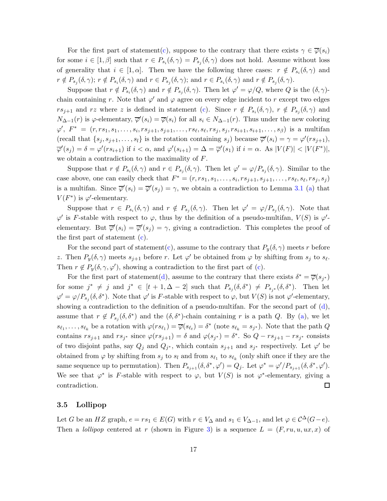For the first part of statement[\(c\)](#page-15-2), suppose to the contrary that there exists  $\gamma \in \overline{\varphi}(s_i)$ for some  $i \in [1, \beta]$  such that  $r \in P_{s_i}(\delta, \gamma) = P_{s_j}(\delta, \gamma)$  does not hold. Assume without loss of generality that  $i \in [1, \alpha]$ . Then we have the following three cases:  $r \notin P_{s_i}(\delta, \gamma)$  and  $r \notin P_{s_j}(\delta, \gamma); r \notin P_{s_i}(\delta, \gamma)$  and  $r \in P_{s_j}(\delta, \gamma);$  and  $r \in P_{s_i}(\delta, \gamma)$  and  $r \notin P_{s_j}(\delta, \gamma)$ .

Suppose that  $r \notin P_{s_i}(\delta, \gamma)$  and  $r \notin P_{s_j}(\delta, \gamma)$ . Then let  $\varphi' = \varphi/Q$ , where Q is the  $(\delta, \gamma)$ chain containing r. Note that  $\varphi'$  and  $\varphi$  agree on every edge incident to r except two edges  $rs_{j+1}$  and rz where z is defined in statement [\(c\)](#page-15-2). Since  $r \notin P_{s_i}(\delta, \gamma)$ ,  $r \notin P_{s_j}(\delta, \gamma)$  and  $N_{\Delta-1}(r)$  is  $\varphi$ -elementary,  $\overline{\varphi}'(s_i) = \overline{\varphi}(s_i)$  for all  $s_i \in N_{\Delta-1}(r)$ . Thus under the new coloring  $\varphi', F^* = (r, rs_1, s_1, \ldots, s_i, rs_{j+1}, s_{j+1}, \ldots, rs_\ell, s_\ell, rs_j, s_j, rs_{i+1}, s_{i+1}, \ldots, s_\beta)$  is a multifan (recall that  $\{s_j, s_{j+1}, \ldots, s_l\}$  is the rotation containing  $s_j$ ) because  $\overline{\varphi}'(s_i) = \gamma = \varphi'(rs_{j+1}),$  $\overline{\varphi}'(s_j) = \delta = \varphi'(rs_{i+1})$  if  $i < \alpha$ , and  $\varphi'(s_{i+1}) = \Delta = \overline{\varphi}'(s_1)$  if  $i = \alpha$ . As  $|V(F)| < |V(F^*)|$ , we obtain a contradiction to the maximality of  $F$ .

Suppose that  $r \notin P_{s_i}(\delta, \gamma)$  and  $r \in P_{s_j}(\delta, \gamma)$ . Then let  $\varphi' = \varphi/P_{s_j}(\delta, \gamma)$ . Similar to the case above, one can easily check that  $F^* = (r, rs_1, s_1, \ldots, s_i, rs_{j+1}, s_{j+1}, \ldots, rs_\ell, s_\ell, rs_j, s_j)$ is a multifan. Since  $\overline{\varphi}'(s_i) = \overline{\varphi}'(s_j) = \gamma$ , we obtain a contradiction to Lemma [3.1](#page-10-1) [\(a\)](#page-10-3) that  $V(F^*)$  is  $\varphi'$ -elementary.

Suppose that  $r \in P_{s_i}(\delta, \gamma)$  and  $r \notin P_{s_j}(\delta, \gamma)$ . Then let  $\varphi' = \varphi/P_{s_j}(\delta, \gamma)$ . Note that  $\varphi'$  is F-stable with respect to  $\varphi$ , thus by the definition of a pseudo-multifan,  $V(S)$  is  $\varphi'$ elementary. But  $\overline{\varphi}'(s_i) = \overline{\varphi}'(s_j) = \gamma$ , giving a contradiction. This completes the proof of the first part of statement [\(c\)](#page-15-2).

For the second part of statement[\(c\)](#page-15-2), assume to the contrary that  $P_y(\delta, \gamma)$  meets r before z. Then  $P_y(\delta, \gamma)$  meets  $s_{j+1}$  before r. Let  $\varphi'$  be obtained from  $\varphi$  by shifting from  $s_j$  to  $s_\ell$ . Then  $r \notin P_y(\delta, \gamma, \varphi')$ , showing a contradiction to the first part of [\(c\)](#page-15-2).

For the first part of statement[\(d\)](#page-15-3), assume to the contrary that there exists  $\delta^* = \overline{\varphi}(s_{j^*})$ for some  $j^* \neq j$  and  $j^* \in [t+1, \Delta-2]$  such that  $P_{s_j}(\delta, \delta^*) \neq P_{s_{j^*}}(\delta, \delta^*)$ . Then let  $\varphi' = \varphi/P_{s_j}(\delta, \delta^*)$ . Note that  $\varphi'$  is F-stable with respect to  $\varphi$ , but  $V(S)$  is not  $\varphi'$ -elementary, showing a contradiction to the definition of a pseudo-multifan. For the second part of [\(d\)](#page-15-3), assume that  $r \notin P_{s_j}(\delta, \delta^*)$  and the  $(\delta, \delta^*)$ -chain containing r is a path Q. By [\(a\)](#page-15-0), we let  $s_{\ell_1},\ldots,s_{\ell_k}$  be a rotation with  $\varphi(rs_{\ell_1}) = \overline{\varphi}(s_{\ell_t}) = \delta^*$  (note  $s_{\ell_k} = s_{j^*}$ ). Note that the path  $Q$ contains  $rs_{j+1}$  and  $rs_{j^*}$  since  $\varphi(rs_{j+1}) = \delta$  and  $\varphi(s_{j^*}) = \delta^*$ . So  $Q - rs_{j+1} - rs_{j^*}$  consists of two disjoint paths, say  $Q_j$  and  $Q_{j^*}$ , which contain  $s_{j+1}$  and  $s_{j^*}$  respectively. Let  $\varphi'$  be obtained from  $\varphi$  by shifting from  $s_j$  to  $s_l$  and from  $s_{\ell_1}$  to  $s_{\ell_k}$  (only shift once if they are the same sequence up to permutation). Then  $P_{s_{j+1}}(\delta, \delta^*, \varphi') = Q_j$ . Let  $\varphi^* = \varphi'/P_{s_{j+1}}(\delta, \delta^*, \varphi')$ . We see that  $\varphi^*$  is F-stable with respect to  $\varphi$ , but  $V(S)$  is not  $\varphi^*$ -elementary, giving a contradiction. 口

#### <span id="page-16-0"></span>3.5 Lollipop

Let G be an HZ graph,  $e = rs_1 \in E(G)$  with  $r \in V_{\Delta}$  and  $s_1 \in V_{\Delta-1}$ , and let  $\varphi \in C^{\Delta}(G-e)$ . Then a lollipop centered at r (shown in Figure [3\)](#page-17-1) is a sequence  $L = (F, ru, u, ux, x)$  of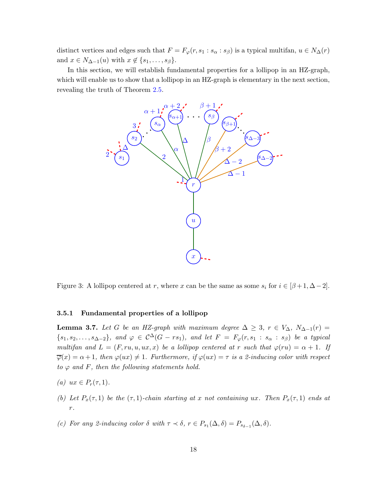distinct vertices and edges such that  $F = F_{\varphi}(r, s_1 : s_\alpha : s_\beta)$  is a typical multifan,  $u \in N_\Delta(r)$ and  $x \in N_{\Delta-1}(u)$  with  $x \notin \{s_1, \ldots, s_\beta\}.$ 

In this section, we will establish fundamental properties for a lollipop in an HZ-graph, which will enable us to show that a lollipop in an HZ-graph is elementary in the next section, revealing the truth of Theorem [2.5.](#page-6-0)



<span id="page-17-1"></span>Figure 3: A lollipop centered at r, where x can be the same as some  $s_i$  for  $i \in [\beta + 1, \Delta - 2]$ .

#### <span id="page-17-0"></span>3.5.1 Fundamental properties of a lollipop

<span id="page-17-4"></span>**Lemma 3.7.** Let G be an HZ-graph with maximum degree  $\Delta \geq 3$ ,  $r \in V_{\Delta}$ ,  $N_{\Delta-1}(r) =$  ${s_1, s_2, \ldots, s_{\Delta-2}}$ , and  $\varphi \in C^{\Delta}(G - rs_1)$ , and let  $F = F_{\varphi}(r, s_1 : s_{\alpha} : s_{\beta})$  be a typical multifan and  $L = (F, ru, u, ux, x)$  be a lollipop centered at r such that  $\varphi(ru) = \alpha + 1$ . If  $\overline{\varphi}(x) = \alpha + 1$ , then  $\varphi(ux) \neq 1$ . Furthermore, if  $\varphi(ux) = \tau$  is a 2-inducing color with respect to  $\varphi$  and F, then the following statements hold.

- <span id="page-17-3"></span><span id="page-17-2"></span>(a)  $ux \in P_r(\tau, 1)$ .
- (b) Let  $P_x(\tau,1)$  be the  $(\tau,1)$ -chain starting at x not containing ux. Then  $P_x(\tau,1)$  ends at r.
- (c) For any 2-inducing color  $\delta$  with  $\tau \prec \delta$ ,  $r \in P_{s_1}(\Delta, \delta) = P_{s_{\delta-1}}(\Delta, \delta)$ .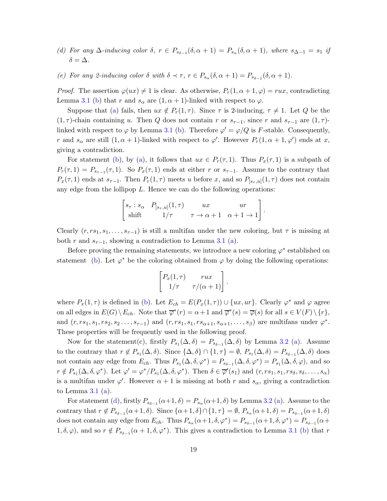- <span id="page-18-1"></span><span id="page-18-0"></span>(d) For any  $\Delta$ -inducing color  $\delta$ ,  $r \in P_{s_{\delta-1}}(\delta, \alpha+1) = P_{s_\alpha}(\delta, \alpha+1)$ , where  $s_{\Delta-1} = s_1$  if  $\delta = \Delta$ .
- (e) For any 2-inducing color  $\delta$  with  $\delta \prec \tau$ ,  $r \in P_{s_\alpha}(\delta, \alpha + 1) = P_{s_{\delta-1}}(\delta, \alpha + 1)$ .

*Proof.* The assertion  $\varphi(ux) \neq 1$  is clear. As otherwise,  $P_r(1, \alpha + 1, \varphi) = rux$ , contradicting Lemma [3.1](#page-10-1) [\(b\)](#page-10-4) that r and  $s_{\alpha}$  are  $(1, \alpha + 1)$ -linked with respect to  $\varphi$ .

Suppose that [\(a\)](#page-17-2) fails, then  $ux \notin P_r(1, \tau)$ . Since  $\tau$  is 2-inducing,  $\tau \neq 1$ . Let Q be the  $(1, \tau)$ -chain containing u. Then Q does not contain r or  $s_{\tau-1}$ , since r and  $s_{\tau-1}$  are  $(1, \tau)$ linked with respect to  $\varphi$  by Lemma [3.1](#page-10-1) [\(b\)](#page-10-4). Therefore  $\varphi' = \varphi/Q$  is F-stable. Consequently, r and  $s_{\alpha}$  are still  $(1, \alpha + 1)$ -linked with respect to  $\varphi'$ . However  $P_r(1, \alpha + 1, \varphi')$  ends at x, giving a contradiction.

For statement [\(b\)](#page-17-3), by [\(a\)](#page-17-2), it follows that  $ux \in P_r(\tau, 1)$ . Thus  $P_x(\tau, 1)$  is a subpath of  $P_r(\tau,1) = P_{s_{\tau-1}}(\tau,1)$ . So  $P_x(\tau,1)$  ends at either r or  $s_{\tau-1}$ . Assume to the contrary that  $P_x(\tau,1)$  ends at  $s_{\tau-1}$ . Then  $P_r(1,\tau)$  meets u before x, and so  $P_{[s_{\tau},u]}(1,\tau)$  does not contain any edge from the lollipop  $L$ . Hence we can do the following operations:

$$
\begin{bmatrix} s_{\tau} : s_{\alpha} & P_{[s_{\tau},u]}(1,\tau) & ux & ur\\ \text{shift} & 1/\tau & \tau \to \alpha+1 & \alpha+1 \to 1 \end{bmatrix}
$$

.

Clearly  $(r, rs_1, s_1, \ldots, s_{\tau-1})$  is still a multifan under the new coloring, but  $\tau$  is missing at both r and  $s_{\tau-1}$ , showing a contradiction to Lemma [3.1](#page-10-1) [\(a\)](#page-10-3).

Before proving the remaining statements, we introduce a new coloring  $\varphi^*$  established on statement [\(b\)](#page-17-3). Let  $\varphi^*$  be the coloring obtained from  $\varphi$  by doing the following operations:

$$
\begin{bmatrix} P_x(1,\tau) & rux \\ 1/\tau & \tau/(\alpha+1) \end{bmatrix}.
$$

where  $P_x(1,\tau)$  is defined in [\(b\)](#page-17-3). Let  $E_{ch} = E(P_x(1,\tau)) \cup \{ux,ur\}$ . Clearly  $\varphi^*$  and  $\varphi$  agree on all edges in  $E(G) \setminus E_{ch}$ . Note that  $\overline{\varphi}^*(r) = \alpha + 1$  and  $\overline{\varphi}^*(s) = \overline{\varphi}(s)$  for all  $s \in V(F) \setminus \{r\}$ , and  $(r, rs_1, s_1, rs_2, s_2 \ldots, s_{\tau-1})$  and  $(r, rs_1, s_1, rs_{\alpha+1}, s_{\alpha+1}, \ldots, s_\beta)$  are multifans under  $\varphi^*$ . These properties will be frequently used in the following proof.

Now for the statement(c), firstly  $P_{s_1}(\Delta, \delta) = P_{s_{\delta-1}}(\Delta, \delta)$  by Lemma [3.2](#page-10-2) [\(a\)](#page-11-1). Assume to the contrary that  $r \notin P_{s_1}(\Delta, \delta)$ . Since  $\{\Delta, \delta\} \cap \{1, \tau\} = \emptyset$ ,  $P_{s_1}(\Delta, \delta) = P_{s_{\delta-1}}(\Delta, \delta)$  does not contain any edge from  $E_{ch}$ . Thus  $P_{s_1}(\Delta, \delta, \varphi^*) = P_{s_{\delta-1}}(\Delta, \delta, \varphi^*) = P_{s_1}(\Delta, \delta, \varphi)$ , and so  $r \notin P_{s_1}(\Delta, \delta, \varphi^*)$ . Let  $\varphi' = \varphi^* / P_{s_1}(\Delta, \delta, \varphi^*)$ . Then  $\delta \in \overline{\varphi}'(s_1)$  and  $(r, rs_1, rs_1, rs_\delta, s_\delta, \ldots, s_\alpha)$ is a multifan under  $\varphi'$ . However  $\alpha + 1$  is missing at both r and  $s_{\alpha}$ , giving a contradiction to Lemma  $3.1$  [\(a\)](#page-10-3).

For statement [\(d\)](#page-18-0), firstly  $P_{s_{\delta-1}}(\alpha+1,\delta) = P_{s_{\alpha}}(\alpha+1,\delta)$  by Lemma [3.2](#page-10-2) [\(a\)](#page-11-1). Assume to the contrary that  $r \notin P_{s_{\delta-1}}(\alpha+1,\delta)$ . Since  $\{\alpha+1,\delta\} \cap \{1,\tau\} = \emptyset$ ,  $P_{s_\alpha}(\alpha+1,\delta) = P_{s_{\delta-1}}(\alpha+1,\delta)$ does not contain any edge from  $E_{ch}$ . Thus  $P_{s_\alpha}(\alpha+1,\delta,\varphi^*) = P_{s_{\delta-1}}(\alpha+1,\delta,\varphi^*) = P_{s_{\delta-1}}(\alpha+1)$  $1, \delta, \varphi$ , and so  $r \notin P_{s_{\delta-1}}(\alpha+1,\delta,\varphi^*)$ . This gives a contradiction to Lemma [3.1](#page-10-1) [\(b\)](#page-10-4) that r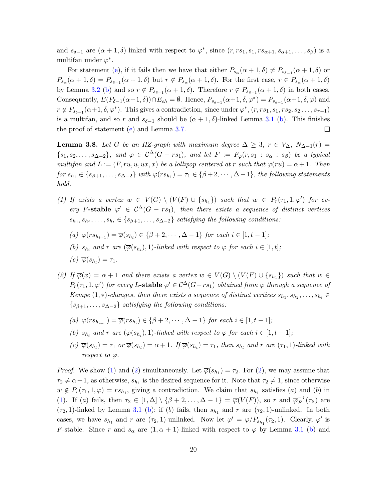and  $s_{\delta-1}$  are  $(\alpha+1,\delta)$ -linked with respect to  $\varphi^*$ , since  $(r,rs_1,s_1,rs_{\alpha+1},s_{\alpha+1},\ldots,s_\beta)$  is a multifan under  $\varphi^*$ .

For statement [\(e\)](#page-18-1), if it fails then we have that either  $P_{s_\alpha}(\alpha+1,\delta) \neq P_{s_{\delta-1}}(\alpha+1,\delta)$  or  $P_{s_{\alpha}}(\alpha+1,\delta)=P_{s_{\delta-1}}(\alpha+1,\delta)$  but  $r \notin P_{s_{\alpha}}(\alpha+1,\delta)$ . For the first case,  $r \in P_{s_{\alpha}}(\alpha+1,\delta)$ by Lemma [3.2](#page-10-2) [\(b\)](#page-11-2) and so  $r \notin P_{s_{\delta-1}}(\alpha+1,\delta)$ . Therefore  $r \notin P_{s_{\delta-1}}(\alpha+1,\delta)$  in both cases. Consequently,  $E(P_{\delta-1}(\alpha+1,\delta)) \cap E_{ch} = \emptyset$ . Hence,  $P_{s_{\delta-1}}(\alpha+1,\delta,\varphi^*) = P_{s_{\delta-1}}(\alpha+1,\delta,\varphi)$  and  $r \notin P_{s_{\delta-1}}(\alpha+1,\delta,\varphi^*)$ . This gives a contradiction, since under  $\varphi^*, (r, rs_1, s_1, rs_2, s_2 \ldots, s_{\tau-1})$ is a multifan, and so r and  $s_{\delta-1}$  should be  $(\alpha + 1, \delta)$ -linked Lemma [3.1](#page-10-1) [\(b\)](#page-10-4). This finishes the proof of statement [\(e\)](#page-18-1) and Lemma [3.7.](#page-17-4)  $\Box$ 

<span id="page-19-2"></span>**Lemma 3.8.** Let G be an HZ-graph with maximum degree  $\Delta \geq 3$ ,  $r \in V_{\Delta}$ ,  $N_{\Delta-1}(r) =$  ${s_1, s_2, \ldots, s_{\Delta-2}},$  and  $\varphi \in C^{\Delta}(G - rs_1)$ , and let  $F := F_{\varphi}(r, s_1 : s_{\alpha} : s_{\beta})$  be a typical multifan and  $L := (F, ru, u, ux, x)$  be a lollipop centered at r such that  $\varphi(ru) = \alpha + 1$ . Then  $for s_{h_1} \in \{s_{\beta+1}, \ldots, s_{\Delta-2}\}$  with  $\varphi(rs_{h_1}) = \tau_1 \in \{\beta+2, \cdots, \Delta-1\}$ , the following statements hold.

- <span id="page-19-0"></span>(1) If exists a vertex  $w \in V(G) \setminus (V(F) \cup \{s_{h_1}\})$  such that  $w \in P_r(\tau_1, 1, \varphi')$  for every F-stable  $\varphi' \in C^{\Delta}(G - rs_1)$ , then there exists a sequence of distinct vertices  $s_{h_1}, s_{h_2}, \ldots, s_{h_t} \in \{s_{\beta+1}, \ldots, s_{\Delta-2}\}\$  satisfying the following conditions:
	- (a)  $\varphi(rs_{h_{i+1}}) = \overline{\varphi}(s_{h_i}) \in \{\beta+2,\cdots,\Delta-1\}$  for each  $i \in [1,t-1]$ ;
	- (b)  $s_{h_i}$  and r are  $(\overline{\varphi}(s_{h_i}), 1)$ -linked with respect to  $\varphi$  for each  $i \in [1, t]$ ;
	- $(c) \overline{\varphi}(s_{h_t}) = \tau_1.$
- <span id="page-19-1"></span>(2) If  $\overline{\varphi}(x) = \alpha + 1$  and there exists a vertex  $w \in V(G) \setminus (V(F) \cup \{s_{h_1}\})$  such that  $w \in$  $P_r(\tau_1, 1, \varphi')$  for every L-stable  $\varphi' \in C^{\Delta}(G-rs_1)$  obtained from  $\varphi$  through a sequence of Kempe  $(1,*)$ -changes, then there exists a sequence of distinct vertices  $s_{h_1}, s_{h_2}, \ldots, s_{h_t} \in$  $\{s_{\beta+1}, \ldots, s_{\Delta-2}\}\$  satisfying the following conditions:
	- (a)  $\varphi(rs_{h_{i+1}}) = \overline{\varphi}(rs_{h_i}) \in \{\beta+2,\cdots,\Delta-1\}$  for each  $i \in [1,t-1]$ ;
	- (b)  $s_{h_i}$  and r are  $(\overline{\varphi}(s_{h_i}), 1)$ -linked with respect to  $\varphi$  for each  $i \in [1, t-1]$ ;
	- (c)  $\overline{\varphi}(s_{h_t}) = \tau_1$  or  $\overline{\varphi}(s_{h_t}) = \alpha + 1$ . If  $\overline{\varphi}(s_{h_t}) = \tau_1$ , then  $s_{h_t}$  and r are  $(\tau_1, 1)$ -linked with respect to  $\varphi$ .

*Proof.* We show [\(1\)](#page-19-0) and [\(2\)](#page-19-1) simultaneously. Let  $\overline{\varphi}(s_{h_1}) = \tau_2$ . For (2), we may assume that  $\tau_2 \neq \alpha+1$ , as otherwise,  $s_{h_1}$  is the desired sequence for it. Note that  $\tau_2 \neq 1$ , since otherwise  $w \notin P_r(\tau_1, 1, \varphi) = rs_{h_1}$ , giving a contradiction. We claim that  $s_{h_1}$  satisfies (a) and (b) in [\(1\)](#page-19-0). If (a) fails, then  $\tau_2 \in [1, \Delta] \setminus {\beta + 2, ..., \Delta - 1} = \overline{\varphi}(V(F))$ , so r and  $\overline{\varphi}_F^{-1}(\tau_2)$  are  $(\tau_2, 1)$ -linked by Lemma [3.1](#page-10-1) [\(b\)](#page-10-4); if (b) fails, then  $s_{h_1}$  and r are  $(\tau_2, 1)$ -unlinked. In both cases, we have  $s_{h_1}$  and r are  $(\tau_2, 1)$ -unlinked. Now let  $\varphi' = \varphi/P_{s_{h_1}}(\tau_2, 1)$ . Clearly,  $\varphi'$  is F-stable. Since r and  $s_{\alpha}$  are  $(1, \alpha + 1)$ -linked with respect to  $\varphi$  by Lemma [3.1](#page-10-1) [\(b\)](#page-10-4) and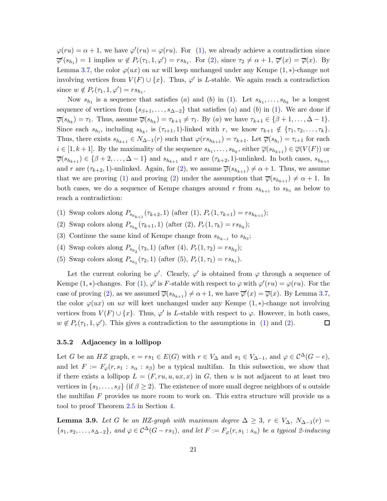$\varphi(ru) = \alpha + 1$ , we have  $\varphi'(ru) = \varphi(ru)$ . For [\(1\)](#page-19-0), we already achieve a contradiction since  $\overline{\varphi}'(s_{h_1}) = 1$  implies  $w \notin P_r(\tau_1, 1, \varphi') = rs_{h_1}$ . For [\(2\)](#page-19-1), since  $\tau_2 \neq \alpha + 1$ ,  $\overline{\varphi}'(x) = \overline{\varphi}(x)$ . By Lemma [3.7,](#page-17-4) the color  $\varphi(ux)$  on ux will keep unchanged under any Kempe  $(1,*)$ -change not involving vertices from  $V(F) \cup \{x\}$ . Thus,  $\varphi'$  is L-stable. We again reach a contradiction since  $w \notin P_r(\tau_1, 1, \varphi') = rs_{h_1}.$ 

Now  $s_{h_1}$  is a sequence that satisfies (*a*) and (*b*) in [\(1\)](#page-19-0). Let  $s_{h_1}, \ldots, s_{h_k}$  be a longest sequence of vertices from  $\{s_{\beta+1}, \ldots, s_{\Delta-2}\}\$  that satisfies (a) and (b) in [\(1\)](#page-19-0). We are done if  $\overline{\varphi}(s_{h_k}) = \tau_1$ . Thus, assume  $\overline{\varphi}(s_{h_k}) = \tau_{k+1} \neq \tau_1$ . By (a) we have  $\tau_{k+1} \in {\beta + 1, ..., \Delta - 1}$ . Since each  $s_{h_i}$ , including  $s_{h_k}$ , is  $(\tau_{i+1}, 1)$ -linked with r, we know  $\tau_{k+1} \notin {\tau_1, \tau_2, \ldots, \tau_k}$ . Thus, there exists  $s_{h_{k+1}} \in N_{\Delta-1}(r)$  such that  $\varphi(rs_{h_{k+1}}) = \tau_{k+1}$ . Let  $\overline{\varphi}(s_{h_i}) = \tau_{i+1}$  for each  $i \in [1, k+1]$ . By the maximality of the sequence  $s_{h_1}, \ldots, s_{h_k}$ , either  $\overline{\varphi}(s_{h_{k+1}}) \in \overline{\varphi}(V(F))$  or  $\overline{\varphi}(s_{h_{k+1}}) \in {\beta+2,\ldots,\Delta-1}$  and  $s_{h_{k+1}}$  and  $r$  are  $(\tau_{k+2}, 1)$ -unlinked. In both cases,  $s_{h_{k+1}}$ and r are  $(\tau_{k+2}, 1)$ -unlinked. Again, for  $(2)$ , we assume  $\overline{\varphi}(s_{h_{k+1}}) \neq \alpha + 1$ . Thus, we assume that we are proving [\(1\)](#page-19-0) and proving [\(2\)](#page-19-1) under the assumption that  $\overline{\varphi}(s_{h_{k+1}}) \neq \alpha + 1$ . In both cases, we do a sequence of Kempe changes around r from  $s_{h_{k+1}}$  to  $s_{h_1}$  as below to reach a contradiction:

- (1) Swap colors along  $P_{s_{h_{k+1}}}(\tau_{k+2}, 1)$  (after (1),  $P_r(1, \tau_{k+1}) = rs_{h_{k+1}}$ );
- (2) Swap colors along  $P_{s_{h_k}}(\tau_{k+1}, 1)$  (after (2),  $P_r(1, \tau_k) = rs_{h_k}$ );
- (3) Continue the same kind of Kempe change from  $s_{h_{k-1}}$  to  $s_{h_3}$ ;
- (4) Swap colors along  $P_{s_{h_2}}(\tau_3, 1)$  (after (4),  $P_r(1, \tau_2) = rs_{h_2}$ );
- (5) Swap colors along  $P_{s_{h_1}}(\tau_2, 1)$  (after (5),  $P_r(1, \tau_1) = rs_{h_1}$ ).

Let the current coloring be  $\varphi'$ . Clearly,  $\varphi'$  is obtained from  $\varphi$  through a sequence of Kempe (1, \*)-changes. For [\(1\)](#page-19-0),  $\varphi'$  is F-stable with respect to  $\varphi$  with  $\varphi'(ru) = \varphi(ru)$ . For the case of proving [\(2\)](#page-19-1), as we assumed  $\overline{\varphi}(s_{h_{k+1}}) \neq \alpha+1$ , we have  $\overline{\varphi}'(x) = \overline{\varphi}(x)$ . By Lemma [3.7,](#page-17-4) the color  $\varphi(ux)$  on ux will keet unchanged under any Kempe  $(1,*)$ -change not involving vertices from  $V(F) \cup \{x\}$ . Thus,  $\varphi'$  is L-stable with respect to  $\varphi$ . However, in both cases,  $w \notin P_r(\tau_1, 1, \varphi')$ . This gives a contradiction to the assumptions in [\(1\)](#page-19-0) and [\(2\)](#page-19-1). 口

#### <span id="page-20-0"></span>3.5.2 Adjacency in a lollipop

Let G be an HZ graph,  $e = rs_1 \in E(G)$  with  $r \in V_{\Delta}$  and  $s_1 \in V_{\Delta-1}$ , and  $\varphi \in C^{\Delta}(G - e)$ , and let  $F := F_{\varphi}(r, s_1 : s_{\alpha} : s_{\beta})$  be a typical multifan. In this subsection, we show that if there exists a lollipop  $L = (F, ru, u, ux, x)$  in G, then u is not adjacent to at least two vertices in  $\{s_1, \ldots, s_\beta\}$  (if  $\beta \geq 2$ ). The existence of more small degree neighbors of u outside the multifan  $F$  provides us more room to work on. This extra structure will provide us a tool to proof Theorem [2.5](#page-6-0) in Section [4.](#page-30-0)

<span id="page-20-1"></span>**Lemma 3.9.** Let G be an HZ-graph with maximum degree  $\Delta \geq 3$ ,  $r \in V_{\Delta}$ ,  $N_{\Delta-1}(r) =$  $\{s_1, s_2, \ldots, s_{\Delta-2}\}\$ , and  $\varphi \in C^{\Delta}(G - rs_1)$ , and let  $F := F_{\varphi}(r, s_1 : s_{\alpha})$  be a typical 2-inducing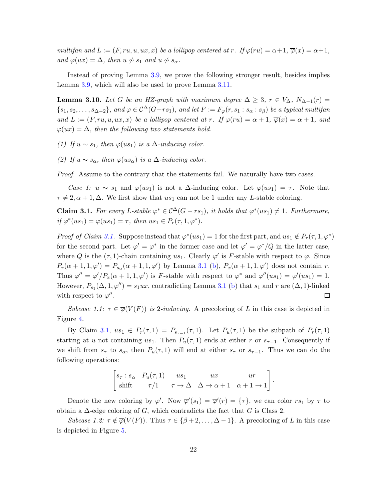multifan and  $L := (F, ru, u, ux, x)$  be a lollipop centered at r. If  $\varphi(ru) = \alpha + 1$ ,  $\overline{\varphi}(x) = \alpha + 1$ , and  $\varphi(ux) = \Delta$ , then  $u \nsim s_1$  and  $u \nsim s_\alpha$ .

Instead of proving Lemma [3.9,](#page-20-1) we prove the following stronger result, besides implies Lemma [3.9,](#page-20-1) which will also be used to prove Lemma [3.11.](#page-24-0)

<span id="page-21-1"></span>**Lemma 3.10.** Let G be an HZ-graph with maximum degree  $\Delta \geq 3$ ,  $r \in V_{\Delta}$ ,  $N_{\Delta-1}(r) =$  ${s_1, s_2, \ldots, s_{\Delta-2}}$ , and  $\varphi \in C^{\Delta}(G-rs_1)$ , and let  $F := F_{\varphi}(r, s_1 : s_{\alpha} : s_{\beta})$  be a typical multifan and  $L := (F, ru, u, ux, x)$  be a lollipop centered at r. If  $\varphi(ru) = \alpha + 1$ ,  $\overline{\varphi}(x) = \alpha + 1$ , and  $\varphi(ux) = \Delta$ , then the following two statements hold.

(1) If  $u \sim s_1$ , then  $\varphi(us_1)$  is a  $\Delta$ -inducing color.

(2) If  $u \sim s_\alpha$ , then  $\varphi(us_\alpha)$  is a  $\Delta$ -inducing color.

Proof. Assume to the contrary that the statements fail. We naturally have two cases.

Case 1:  $u \sim s_1$  and  $\varphi(us_1)$  is not a  $\Delta$ -inducing color. Let  $\varphi(us_1) = \tau$ . Note that  $\tau \neq 2, \alpha + 1, \Delta$ . We first show that us<sub>1</sub> can not be 1 under any L-stable coloring.

<span id="page-21-0"></span>**Claim 3.1.** For every L-stable  $\varphi^* \in C^{\Delta}(G - rs_1)$ , it holds that  $\varphi^*(us_1) \neq 1$ . Furthermore, if  $\varphi^*(us_1) = \varphi(us_1) = \tau$ , then  $us_1 \in P_r(\tau, 1, \varphi^*)$ .

*Proof of Claim [3.1.](#page-21-0)* Suppose instead that  $\varphi^*(us_1) = 1$  for the first part, and  $us_1 \notin P_r(\tau, 1, \varphi^*)$ for the second part. Let  $\varphi' = \varphi^*$  in the former case and let  $\varphi' = \varphi^*/Q$  in the latter case, where Q is the  $(\tau, 1)$ -chain containing us<sub>1</sub>. Clearly  $\varphi'$  is F-stable with respect to  $\varphi$ . Since  $P_r(\alpha+1,1,\varphi') = P_{s_\alpha}(\alpha+1,1,\varphi')$  by Lemma [3.1](#page-10-1) [\(b\)](#page-10-4),  $P_x(\alpha+1,1,\varphi')$  does not contain r. Thus  $\varphi'' = \varphi' / P_x(\alpha + 1, 1, \varphi')$  is F-stable with respect to  $\varphi^*$  and  $\varphi''(u s_1) = \varphi'(u s_1) = 1$ . However,  $P_{s_1}(\Delta, 1, \varphi'') = s_1ux$ , contradicting Lemma [3.1](#page-10-1) [\(b\)](#page-10-4) that  $s_1$  and  $r$  are  $(\Delta, 1)$ -linked with respect to  $\varphi''$ .  $\Box$ 

Subcase 1.1:  $\tau \in \overline{\varphi}(V(F))$  is 2-inducing. A precoloring of L in this case is depicted in Figure [4.](#page-22-0)

By Claim [3.1,](#page-21-0)  $us_1 \in P_r(\tau,1) = P_{s_{\tau-1}}(\tau,1)$ . Let  $P_u(\tau,1)$  be the subpath of  $P_r(\tau,1)$ starting at u not containing us<sub>1</sub>. Then  $P_u(\tau, 1)$  ends at either r or s<sub> $\tau-1$ </sub>. Consequently if we shift from  $s_{\tau}$  to  $s_{\alpha}$ , then  $P_u(\tau, 1)$  will end at either  $s_{\tau}$  or  $s_{\tau-1}$ . Thus we can do the following operations:

$$
\begin{bmatrix} s_{\tau} : s_{\alpha} & P_u(\tau, 1) & us_1 & ux & ur \\ \text{shift} & \tau/1 & \tau \to \Delta & \Delta \to \alpha + 1 & \alpha + 1 \to 1 \end{bmatrix}.
$$

Denote the new coloring by  $\varphi'$ . Now  $\overline{\varphi}'(s_1) = \overline{\varphi}'(r) = {\tau}$ , we can color  $rs_1$  by  $\tau$  to obtain a  $\Delta$ -edge coloring of G, which contradicts the fact that G is Class 2.

Subcase 1.2:  $\tau \notin \overline{\varphi}(V(F))$ . Thus  $\tau \in {\beta + 2, ..., \Delta - 1}$ . A precoloring of L in this case is depicted in Figure [5.](#page-23-0)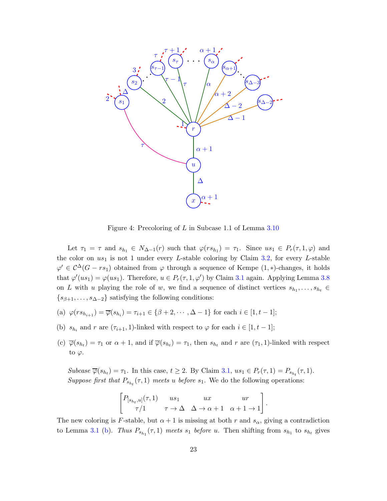

<span id="page-22-0"></span>Figure 4: Precoloring of L in Subcase 1.1 of Lemma [3.10](#page-21-1)

Let  $\tau_1 = \tau$  and  $s_{h_1} \in N_{\Delta-1}(r)$  such that  $\varphi(rs_{h_1}) = \tau_1$ . Since  $us_1 \in P_r(\tau, 1, \varphi)$  and the color on  $us_1$  is not 1 under every L-stable coloring by Claim [3.2,](#page-24-1) for every L-stable  $\varphi' \in C^{\Delta}(G - rs_1)$  obtained from  $\varphi$  through a sequence of Kempe  $(1, *)$ -changes, it holds that  $\varphi'(us_1) = \varphi(us_1)$ . Therefore,  $u \in P_r(\tau, 1, \varphi')$  by Claim [3.1](#page-21-0) again. Applying Lemma [3.8](#page-19-2) on L with u playing the role of w, we find a sequence of distinct vertices  $s_{h_1}, \ldots, s_{h_t} \in$  $\{s_{\beta+1}, \ldots, s_{\Delta-2}\}\$  satisfying the following conditions:

- (a)  $\varphi(rs_{h_{i+1}}) = \overline{\varphi}(s_{h_i}) = \tau_{i+1} \in {\beta+2, \cdots, \Delta-1}$  for each  $i \in [1, t-1]$ ;
- (b)  $s_{h_i}$  and r are  $(\tau_{i+1}, 1)$ -linked with respect to  $\varphi$  for each  $i \in [1, t-1]$ ;
- (c)  $\overline{\varphi}(s_{h_t}) = \tau_1$  or  $\alpha + 1$ , and if  $\overline{\varphi}(s_{h_t}) = \tau_1$ , then  $s_{h_t}$  and  $r$  are  $(\tau_1, 1)$ -linked with respect to  $\varphi$ .

Subcase  $\overline{\varphi}(s_{h_t}) = \tau_1$ . In this case,  $t \geq 2$ . By Claim [3.1,](#page-21-0)  $us_1 \in P_r(\tau, 1) = P_{s_{h_t}}(\tau, 1)$ . Suppose first that  $P_{s_{h_t}}(\tau,1)$  meets u before  $s_1$ . We do the following operations:

$$
\begin{bmatrix} P_{[s_{h_t}, u]}(\tau, 1) & us_1 & ux & ur\\ \tau/1 & \tau \to \Delta & \Delta \to \alpha + 1 & \alpha + 1 \to 1 \end{bmatrix}
$$

.

The new coloring is F-stable, but  $\alpha + 1$  is missing at both r and  $s_{\alpha}$ , giving a contradiction to Lemma [3.1](#page-10-1) [\(b\)](#page-10-4). Thus  $P_{s_{h_1}}(\tau,1)$  meets  $s_1$  before u. Then shifting from  $s_{h_1}$  to  $s_{h_t}$  gives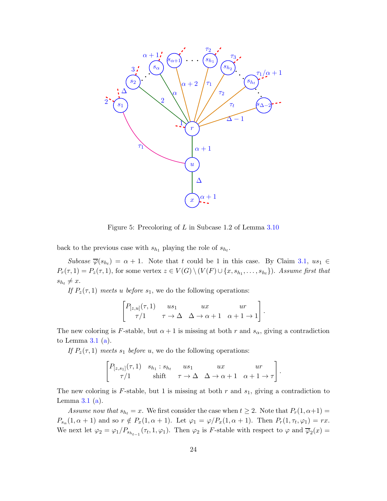

<span id="page-23-0"></span>Figure 5: Precoloring of L in Subcase 1.2 of Lemma [3.10](#page-21-1)

back to the previous case with  $s_{h_1}$  playing the role of  $s_{h_t}$ .

Subcase  $\overline{\varphi}(s_{h_t}) = \alpha + 1$ . Note that t could be 1 in this case. By Claim [3.1,](#page-21-0)  $us_1 \in$  $P_r(\tau,1) = P_z(\tau,1)$ , for some vertex  $z \in V(G) \setminus (V(F) \cup \{x, s_{h_1}, \ldots, s_{h_t}\})$ . Assume first that  $s_{h_t} \neq x.$ 

If  $P_z(\tau, 1)$  meets u before  $s_1$ , we do the following operations:

$$
\begin{bmatrix} P_{[z,u]}(\tau,1) & us_1 & ux & ur \\ \tau/1 & \tau \to \Delta & \Delta \to \alpha+1 & \alpha+1 \to 1 \end{bmatrix}.
$$

The new coloring is F-stable, but  $\alpha + 1$  is missing at both r and  $s_{\alpha}$ , giving a contradiction to Lemma  $3.1$  [\(a\)](#page-10-3).

If  $P_z(\tau, 1)$  meets  $s_1$  before u, we do the following operations:

$$
\begin{bmatrix} P_{[z,s_1]}(\tau,1) & s_{h_1} : s_{h_t} & us_1 & ux & ur \\ \tau/1 & \text{shift} & \tau \to \Delta & \Delta \to \alpha+1 & \alpha+1 \to \tau \end{bmatrix}.
$$

The new coloring is F-stable, but 1 is missing at both  $r$  and  $s_1$ , giving a contradiction to Lemma  $3.1$  [\(a\)](#page-10-3).

Assume now that  $s_{h_t} = x$ . We first consider the case when  $t \geq 2$ . Note that  $P_r(1, \alpha+1) =$  $P_{s_\alpha}(1, \alpha+1)$  and so  $r \notin P_x(1, \alpha+1)$ . Let  $\varphi_1 = \varphi/P_x(1, \alpha+1)$ . Then  $P_r(1, \tau_t, \varphi_1) = rx$ . We next let  $\varphi_2 = \varphi_1/P_{s_{h_{t-1}}}(\tau_t, 1, \varphi_1)$ . Then  $\varphi_2$  is F-stable with respect to  $\varphi$  and  $\overline{\varphi}_2(x) =$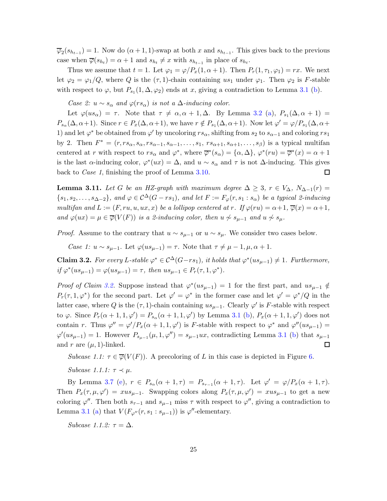$\overline{\varphi}_2(s_{h_{t-1}}) = 1$ . Now do  $(\alpha + 1, 1)$ -swap at both x and  $s_{h_{t-1}}$ . This gives back to the previous case when  $\overline{\varphi}(s_{h_t}) = \alpha + 1$  and  $s_{h_t} \neq x$  with  $s_{h_{t-1}}$  in place of  $s_{h_t}$ .

Thus we assume that  $t = 1$ . Let  $\varphi_1 = \varphi/P_x(1, \alpha + 1)$ . Then  $P_r(1, \tau_1, \varphi_1) = rx$ . We next let  $\varphi_2 = \varphi_1/Q$ , where Q is the  $(\tau, 1)$ -chain containing us<sub>1</sub> under  $\varphi_1$ . Then  $\varphi_2$  is F-stable with respect to  $\varphi$ , but  $P_{s_1}(1,\Delta,\varphi_2)$  ends at x, giving a contradiction to Lemma [3.1](#page-10-1) [\(b\)](#page-10-4).

Case 2:  $u \sim s_\alpha$  and  $\varphi(rs_\alpha)$  is not a  $\Delta$ -inducing color.

Let  $\varphi(us_{\alpha}) = \tau$ . Note that  $\tau \neq \alpha, \alpha + 1, \Delta$ . By Lemma [3.2](#page-10-2) [\(a\)](#page-11-1),  $P_{s_1}(\Delta, \alpha + 1) =$  $P_{s_{\alpha}}(\Delta, \alpha+1)$ . Since  $r \in P_x(\Delta, \alpha+1)$ , we have  $r \notin P_{s_1}(\Delta, \alpha+1)$ . Now let  $\varphi' = \varphi/P_{s_1}(\Delta, \alpha+1)$ 1) and let  $\varphi^*$  be obtained from  $\varphi'$  by uncoloring  $rs_\alpha$ , shifting from  $s_2$  to  $s_{\alpha-1}$  and coloring  $rs_1$ by 2. Then  $F^* = (r, rs_\alpha, s_\alpha, rs_{\alpha-1}, s_{\alpha-1}, \ldots, s_1, rs_{\alpha+1}, s_{\alpha+1}, \ldots, s_\beta)$  is a typical multifan centered at r with respect to  $rs_\alpha$  and  $\varphi^*$ , where  $\overline{\varphi}^*(s_\alpha) = {\alpha, \Delta}$ ,  $\varphi^*(ru) = \overline{\varphi}^*(x) = \alpha + 1$ is the last  $\alpha$ -inducing color,  $\varphi^*(ux) = \Delta$ , and  $u \sim s_\alpha$  and  $\tau$  is not  $\Delta$ -inducing. This gives back to Case 1, finishing the proof of Lemma [3.10.](#page-21-1)  $\Box$ 

<span id="page-24-0"></span>**Lemma 3.11.** Let G be an HZ-graph with maximum degree  $\Delta \geq 3$ ,  $r \in V_{\Delta}$ ,  $N_{\Delta-1}(r) =$  ${s_1, s_2, \ldots, s_{\Delta-2}}$ , and  $\varphi \in C^{\Delta}(G - rs_1)$ , and let  $F := F_{\varphi}(r, s_1 : s_{\alpha})$  be a typical 2-inducing multifan and  $L := (F, ru, u, ux, x)$  be a lollipop centered at r. If  $\varphi(ru) = \alpha + 1$ ,  $\overline{\varphi}(x) = \alpha + 1$ , and  $\varphi(ux) = \mu \in \overline{\varphi}(V(F))$  is a 2-inducing color, then  $u \not\sim s_{\mu-1}$  and  $u \not\sim s_{\mu}$ .

*Proof.* Assume to the contrary that  $u \sim s_{\mu-1}$  or  $u \sim s_{\mu}$ . We consider two cases below.

Case 1:  $u \sim s_{\mu-1}$ . Let  $\varphi(us_{\mu-1}) = \tau$ . Note that  $\tau \neq \mu - 1, \mu, \alpha + 1$ .

<span id="page-24-1"></span>**Claim 3.2.** For every L-stable  $\varphi^* \in C^{\Delta}(G-rs_1)$ , it holds that  $\varphi^*(us_{\mu-1}) \neq 1$ . Furthermore, if  $\varphi^*(us_{\mu-1}) = \varphi(us_{\mu-1}) = \tau$ , then  $us_{\mu-1} \in P_r(\tau, 1, \varphi^*)$ .

*Proof of Claim [3.2.](#page-24-1)* Suppose instead that  $\varphi^*(us_{\mu-1}) = 1$  for the first part, and  $us_{\mu-1} \notin$  $P_r(\tau, 1, \varphi^*)$  for the second part. Let  $\varphi' = \varphi^*$  in the former case and let  $\varphi' = \varphi^*/Q$  in the latter case, where Q is the  $(\tau, 1)$ -chain containing  $us_{\mu-1}$ . Clearly  $\varphi'$  is F-stable with respect to  $\varphi$ . Since  $P_r(\alpha+1,1,\varphi') = P_{s_\alpha}(\alpha+1,1,\varphi')$  by Lemma [3.1](#page-10-1) [\(b\)](#page-10-4),  $P_x(\alpha+1,1,\varphi')$  does not contain r. Thus  $\varphi'' = \varphi'/P_x(\alpha+1,1,\varphi')$  is F-stable with respect to  $\varphi^*$  and  $\varphi''(us_{\mu-1}) =$  $\varphi'(us_{\mu-1})=1$ . However  $P_{s_{\mu-1}}(\mu,1,\varphi'')=s_{\mu-1}ux$ , contradicting Lemma [3.1](#page-10-1) [\(b\)](#page-10-4) that  $s_{\mu-1}$ and r are  $(\mu, 1)$ -linked.  $\Box$ 

Subcase 1.1:  $\tau \in \overline{\varphi}(V(F))$ . A precoloring of L in this case is depicted in Figure [6.](#page-25-0)

Subcase 1.1.1:  $\tau \prec \mu$ .

By Lemma [3.7](#page-17-4) [\(e\)](#page-18-1),  $r \in P_{s_{\alpha}}(\alpha+1,\tau) = P_{s_{\tau-1}}(\alpha+1,\tau)$ . Let  $\varphi' = \varphi/P_x(\alpha+1,\tau)$ . Then  $P_x(\tau,\mu,\varphi') = x u s_{\mu-1}$ . Swapping colors along  $P_x(\tau,\mu,\varphi') = x u s_{\mu-1}$  to get a new coloring  $\varphi''$ . Then both  $s_{\tau-1}$  and  $s_{\mu-1}$  miss  $\tau$  with respect to  $\varphi''$ , giving a contradiction to Lemma [3.1](#page-10-1) [\(a\)](#page-10-3) that  $V(F_{\varphi''}(r, s_1 : s_{\mu-1}))$  is  $\varphi''$ -elementary.

Subcase 1.1.2:  $\tau = \Delta$ .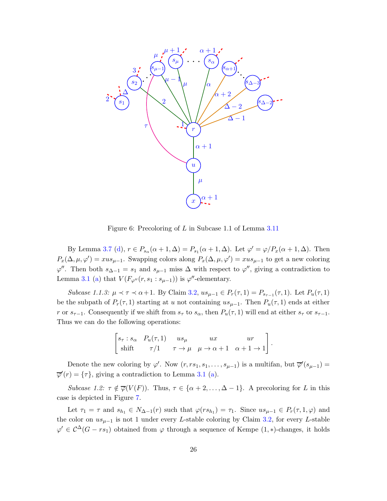

<span id="page-25-0"></span>Figure 6: Precoloring of L in Subcase 1.1 of Lemma [3.11](#page-24-0)

By Lemma [3.7](#page-17-4) [\(d\)](#page-18-0),  $r \in P_{s_\alpha}(\alpha+1,\Delta) = P_{s_1}(\alpha+1,\Delta)$ . Let  $\varphi' = \varphi/P_x(\alpha+1,\Delta)$ . Then  $P_x(\Delta, \mu, \varphi') = x u s_{\mu-1}$ . Swapping colors along  $P_x(\Delta, \mu, \varphi') = x u s_{\mu-1}$  to get a new coloring  $\varphi''$ . Then both  $s_{\Delta-1} = s_1$  and  $s_{\mu-1}$  miss  $\Delta$  with respect to  $\varphi''$ , giving a contradiction to Lemma [3.1](#page-10-1) [\(a\)](#page-10-3) that  $V(F_{\varphi''}(r, s_1 : s_{\mu-1}))$  is  $\varphi''$ -elementary.

Subcase 1.1.3:  $\mu \prec \tau \prec \alpha+1$ . By Claim [3.2,](#page-24-1)  $us_{\mu-1} \in P_r(\tau,1) = P_{s_{\tau-1}}(\tau,1)$ . Let  $P_u(\tau,1)$ be the subpath of  $P_r(\tau,1)$  starting at u not containing  $us_{\mu-1}$ . Then  $P_u(\tau,1)$  ends at either r or  $s_{\tau-1}$ . Consequently if we shift from  $s_{\tau}$  to  $s_{\alpha}$ , then  $P_u(\tau, 1)$  will end at either  $s_{\tau}$  or  $s_{\tau-1}$ . Thus we can do the following operations:

$$
\begin{bmatrix} s_{\tau} : s_{\alpha} & P_u(\tau, 1) & us_{\mu} & ux & ur \\ shift & \tau/1 & \tau \to \mu & \mu \to \alpha + 1 & \alpha + 1 \to 1 \end{bmatrix}.
$$

Denote the new coloring by  $\varphi'$ . Now  $(r, rs_1, s_1, \ldots, s_{\mu-1})$  is a multifan, but  $\overline{\varphi}'(s_{\mu-1})$  $\overline{\varphi}'(r) = {\tau},$  giving a contradiction to Lemma [3.1](#page-10-1) [\(a\)](#page-10-3).

Subcase 1.2:  $\tau \notin \overline{\varphi}(V(F))$ . Thus,  $\tau \in {\alpha + 2, ..., \Delta - 1}$ . A precoloring for L in this case is depicted in Figure [7.](#page-26-0)

Let  $\tau_1 = \tau$  and  $s_{h_1} \in N_{\Delta-1}(r)$  such that  $\varphi(rs_{h_1}) = \tau_1$ . Since  $us_{\mu-1} \in P_r(\tau, 1, \varphi)$  and the color on  $us_{\mu-1}$  is not 1 under every L-stable coloring by Claim [3.2,](#page-24-1) for every L-stable  $\varphi' \in C^{\Delta}(G - rs_1)$  obtained from  $\varphi$  through a sequence of Kempe  $(1, *)$ -changes, it holds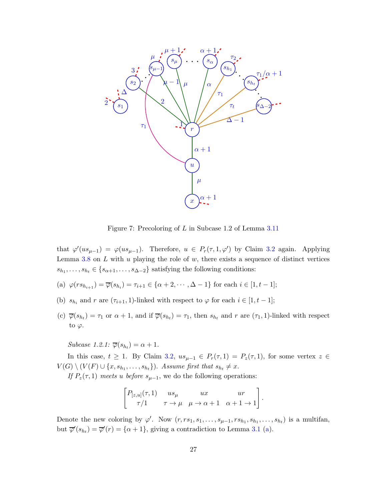

<span id="page-26-0"></span>Figure 7: Precoloring of L in Subcase 1.2 of Lemma [3.11](#page-24-0)

that  $\varphi'(us_{\mu-1}) = \varphi(us_{\mu-1})$ . Therefore,  $u \in P_r(\tau, 1, \varphi')$  by Claim [3.2](#page-24-1) again. Applying Lemma  $3.8$  on  $L$  with  $u$  playing the role of  $w$ , there exists a sequence of distinct vertices  $s_{h_1}, \ldots, s_{h_t} \in \{s_{\alpha+1}, \ldots, s_{\Delta-2}\}\$  satisfying the following conditions:

- (a)  $\varphi(rs_{h_{i+1}}) = \overline{\varphi}(s_{h_i}) = \tau_{i+1} \in {\alpha+2,\cdots,\Delta-1}$  for each  $i \in [1,t-1]$ ;
- (b)  $s_{h_i}$  and r are  $(\tau_{i+1}, 1)$ -linked with respect to  $\varphi$  for each  $i \in [1, t-1]$ ;
- (c)  $\overline{\varphi}(s_{h_t}) = \tau_1$  or  $\alpha + 1$ , and if  $\overline{\varphi}(s_{h_t}) = \tau_1$ , then  $s_{h_t}$  and r are  $(\tau_1, 1)$ -linked with respect to  $\varphi$ .

<span id="page-26-1"></span>Subcase 1.2.1:  $\overline{\varphi}(s_{h_t}) = \alpha + 1$ .

In this case,  $t \geq 1$ . By Claim [3.2,](#page-24-1)  $us_{\mu-1} \in P_r(\tau,1) = P_z(\tau,1)$ , for some vertex  $z \in$  $V(G) \setminus (V(F) \cup \{x, s_{h_1}, \ldots, s_{h_t}\})$ . Assume first that  $s_{h_t} \neq x$ .

If  $P_z(\tau,1)$  meets u before  $s_{\mu-1}$ , we do the following operations:

$$
\begin{bmatrix} P_{[z,u]}(\tau,1) & us_{\mu} & ux & ur\\ \tau/1 & \tau \to \mu & \mu \to \alpha+1 & \alpha+1 \to 1 \end{bmatrix}
$$

.

Denote the new coloring by  $\varphi'$ . Now  $(r, rs_1, s_1, \ldots, s_{\mu-1}, rs_{h_1}, s_{h_1}, \ldots, s_{h_t})$  is a multifan, but  $\overline{\varphi}'(s_{h_t}) = \overline{\varphi}'(r) = \{\alpha + 1\}$ , giving a contradiction to Lemma [3.1](#page-10-1) [\(a\)](#page-10-3).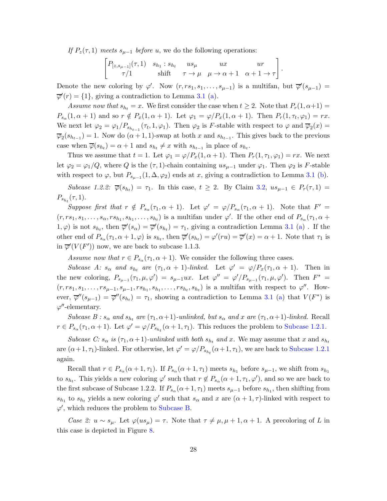If  $P_z(\tau, 1)$  meets  $s_{\mu-1}$  before u, we do the following operations:

$$
\begin{bmatrix} P_{[z,s_{\mu-1}]}(\tau,1) & s_{h_1} : s_{h_t} & us_{\mu} & ux & ur \\ \tau/1 & \text{shift} & \tau \to \mu & \mu \to \alpha+1 & \alpha+1 \to \tau \end{bmatrix}.
$$

Denote the new coloring by  $\varphi'$ . Now  $(r, rs_1, s_1, \ldots, s_{\mu-1})$  is a multifan, but  $\overline{\varphi}'(s_{\mu-1})$  $\overline{\varphi}'(r) = \{1\}$ , giving a contradiction to Lemma [3.1](#page-10-1) [\(a\)](#page-10-3).

Assume now that  $s_{h_t} = x$ . We first consider the case when  $t \geq 2$ . Note that  $P_r(1, \alpha+1) =$  $P_{s_\alpha}(1, \alpha+1)$  and so  $r \notin P_x(1, \alpha+1)$ . Let  $\varphi_1 = \varphi/P_x(1, \alpha+1)$ . Then  $P_r(1, \tau_t, \varphi_1) = rx$ . We next let  $\varphi_2 = \varphi_1/P_{s_{h_{t-1}}}(\tau_t, 1, \varphi_1)$ . Then  $\varphi_2$  is F-stable with respect to  $\varphi$  and  $\overline{\varphi}_2(x) =$  $\overline{\varphi}_2(s_{h_{t-1}}) = 1$ . Now do  $(\alpha + 1, 1)$ -swap at both x and  $s_{h_{t-1}}$ . This gives back to the previous case when  $\overline{\varphi}(s_{h_t}) = \alpha + 1$  and  $s_{h_t} \neq x$  with  $s_{h_{t-1}}$  in place of  $s_{h_t}$ .

Thus we assume that  $t = 1$ . Let  $\varphi_1 = \varphi/P_x(1, \alpha + 1)$ . Then  $P_r(1, \tau_1, \varphi_1) = rx$ . We next let  $\varphi_2 = \varphi_1/Q$ , where Q is the  $(\tau, 1)$ -chain containing  $us_{\mu-1}$  under  $\varphi_1$ . Then  $\varphi_2$  is F-stable with respect to  $\varphi$ , but  $P_{s_{\mu-1}}(1,\Delta,\varphi_2)$  ends at x, giving a contradiction to Lemma [3.1](#page-10-1) [\(b\)](#page-10-4).

Subcase 1.2.2:  $\overline{\varphi}(s_{h_t}) = \tau_1$ . In this case,  $t \geq 2$ . By Claim [3.2,](#page-24-1)  $us_{\mu-1} \in P_r(\tau, 1) =$  $P_{s_{h_t}}(\tau, 1).$ 

Suppose first that  $r \notin P_{s_\alpha}(\tau_1, \alpha+1)$ . Let  $\varphi' = \varphi/P_{s_\alpha}(\tau_1, \alpha+1)$ . Note that  $F' =$  $(r, rs_1, s_1, \ldots, s_\alpha, rs_{h_1}, s_{h_1}, \ldots, s_{h_t})$  is a multifan under  $\varphi'$ . If the other end of  $P_{s_\alpha}(\tau_1, \alpha +$  $(1, \varphi)$  is not  $s_{h_t}$ , then  $\overline{\varphi}'(s_{\alpha}) = \overline{\varphi}'(s_{h_t}) = \tau_1$ , giving a contradiction Lemma [3.1](#page-10-1) [\(a\)](#page-10-3). If the other end of  $P_{s_\alpha}(\tau_1, \alpha+1, \varphi)$  is  $s_{h_t}$ , then  $\overline{\varphi}'(s_{h_t}) = \varphi'(ru) = \overline{\varphi}'(x) = \alpha+1$ . Note that  $\tau_1$  is in  $\overline{\varphi}'(V(F'))$  now, we are back to subcase 1.1.3.

Assume now that  $r \in P_{s_\alpha}(\tau_1, \alpha + 1)$ . We consider the following three cases.

Subcase A:  $s_{\alpha}$  and  $s_{h_t}$  are  $(\tau_1, \alpha + 1)$ -linked. Let  $\varphi' = \varphi/P_x(\tau_1, \alpha + 1)$ . Then in the new coloring,  $P_{s_{\mu-1}}(\tau_1,\mu,\varphi') = s_{\mu-1}ux$ . Let  $\varphi'' = \varphi'/P_{s_{\mu-1}}(\tau_1,\mu,\varphi')$ . Then  $F^* =$  $(r, rs_1, s_1, \ldots, rs_{\mu-1}, s_{\mu-1}, rs_{h_1}, s_{h_1}, \ldots, rs_{h_t}, s_{h_t})$  is a multifan with respect to  $\varphi''$ . However,  $\overline{\varphi}''(s_{\mu-1}) = \overline{\varphi}''(s_{h_t}) = \tau_1$ , showing a contradiction to Lemma [3.1](#page-10-1) [\(a\)](#page-10-3) that  $V(F^*)$  is  $\varphi''$ -elementary.

<span id="page-27-0"></span>Subcase B :  $s_{\alpha}$  and  $s_{h}$  are  $(\tau_1, \alpha+1)$ -unlinked, but  $s_{\alpha}$  and x are  $(\tau_1, \alpha+1)$ -linked. Recall  $r \in P_{s_\alpha}(\tau_1, \alpha+1)$ . Let  $\varphi' = \varphi/P_{s_{h_t}}(\alpha+1, \tau_1)$ . This reduces the problem to [Subcase 1.2.1.](#page-26-1)

Subcase C:  $s_{\alpha}$  is  $(\tau_1, \alpha+1)$ -unlinked with both  $s_{h_t}$  and x. We may assume that x and  $s_{h_t}$ are  $(\alpha+1,\tau_1)$ -linked. For otherwise, let  $\varphi' = \varphi/P_{s_{h_t}}(\alpha+1,\tau_1)$ , we are back to [Subcase 1.2.1](#page-26-1) again.

Recall that  $r \in P_{s_\alpha}(\alpha+1,\tau_1)$ . If  $P_{s_\alpha}(\alpha+1,\tau_1)$  meets  $s_{h_1}$  before  $s_{\mu-1}$ , we shift from  $s_{h_1}$ to  $s_{h_t}$ . This yields a new coloring  $\varphi'$  such that  $r \notin P_{s_\alpha}(\alpha+1, \tau_1, \varphi')$ , and so we are back to the first subcase of Subcase 1.2.2. If  $P_{s_{\alpha}}(\alpha+1,\tau_1)$  meets  $s_{\mu-1}$  before  $s_{h_1}$ , then shifting from  $s_{h_1}$  to  $s_{h_t}$  yields a new coloring  $\varphi'$  such that  $s_\alpha$  and x are  $(\alpha + 1, \tau)$ -linked with respect to  $\varphi'$ , which reduces the problem to [Subcase B.](#page-27-0)

Case 2:  $u \sim s_{\mu}$ . Let  $\varphi(us_{\mu}) = \tau$ . Note that  $\tau \neq \mu, \mu + 1, \alpha + 1$ . A precoloring of L in this case is depicted in Figure [8.](#page-28-0)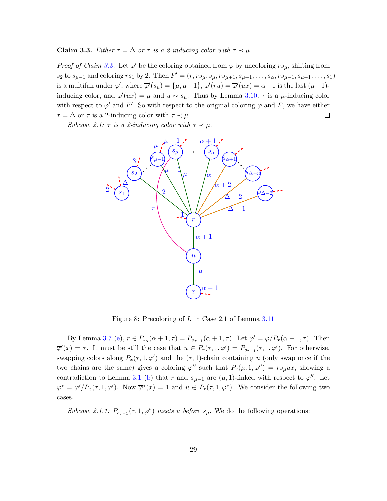<span id="page-28-1"></span>**Claim 3.3.** Either  $\tau = \Delta$  or  $\tau$  is a 2-inducing color with  $\tau \prec \mu$ .

*Proof of Claim [3.3.](#page-28-1)* Let  $\varphi'$  be the coloring obtained from  $\varphi$  by uncoloring  $rs_{\mu}$ , shifting from  $s_2$  to  $s_{\mu-1}$  and coloring  $rs_1$  by 2. Then  $F' = (r, rs_\mu, s_\mu, rs_{\mu+1}, s_{\mu+1}, \ldots, s_\alpha, rs_{\mu-1}, s_{\mu-1}, \ldots, s_1)$ is a multifan under  $\varphi'$ , where  $\overline{\varphi}'(s_{\mu}) = \{\mu, \mu+1\}, \varphi'(ru) = \overline{\varphi}'(ux) = \alpha+1$  is the last  $(\mu+1)$ inducing color, and  $\varphi'(ux) = \mu$  and  $u \sim s_{\mu}$ . Thus by Lemma [3.10,](#page-21-1)  $\tau$  is a  $\mu$ -inducing color with respect to  $\varphi'$  and F'. So with respect to the original coloring  $\varphi$  and F, we have either  $\tau = \Delta$  or  $\tau$  is a 2-inducing color with  $\tau \prec \mu$ .  $\Box$ 

Subcase 2.1:  $\tau$  is a 2-inducing color with  $\tau \prec \mu$ .



<span id="page-28-0"></span>Figure 8: Precoloring of L in Case 2.1 of Lemma [3.11](#page-24-0)

By Lemma [3.7](#page-17-4) [\(e\)](#page-18-1),  $r \in P_{s_\alpha}(\alpha+1,\tau) = P_{s_{\tau-1}}(\alpha+1,\tau)$ . Let  $\varphi' = \varphi/P_x(\alpha+1,\tau)$ . Then  $\overline{\varphi}'(x) = \tau$ . It must be still the case that  $u \in P_r(\tau, 1, \varphi') = P_{s_{\tau-1}}(\tau, 1, \varphi')$ . For otherwise, swapping colors along  $P_x(\tau, 1, \varphi')$  and the  $(\tau, 1)$ -chain containing u (only swap once if the two chains are the same) gives a coloring  $\varphi''$  such that  $P_r(\mu, 1, \varphi'') = rs_\mu ux$ , showing a contradiction to Lemma [3.1](#page-10-1) [\(b\)](#page-10-4) that r and  $s_{\mu-1}$  are  $(\mu, 1)$ -linked with respect to  $\varphi''$ . Let  $\varphi^* = \varphi' / P_x(\tau, 1, \varphi')$ . Now  $\overline{\varphi}^*(x) = 1$  and  $u \in P_r(\tau, 1, \varphi^*)$ . We consider the following two cases.

Subcase 2.1.1:  $P_{s_{\tau-1}}(\tau, 1, \varphi^*)$  meets u before  $s_{\mu}$ . We do the following operations: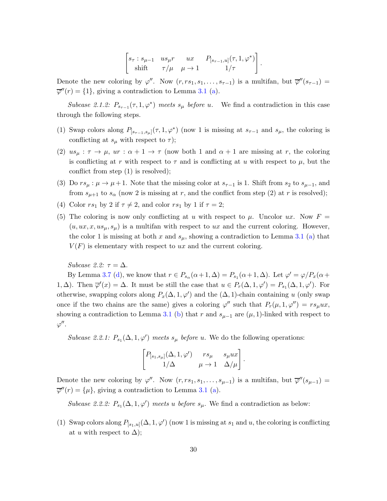$$
\begin{bmatrix} s_{\tau} : s_{\mu-1} & us_{\mu}r & ux & P_{[s_{\tau-1},u]}(\tau, 1, \varphi^*) \\ shift & \tau/\mu & \mu \to 1 & 1/\tau \end{bmatrix}.
$$

Denote the new coloring by  $\varphi''$ . Now  $(r, rs_1, s_1, \ldots, s_{\tau-1})$  is a multifan, but  $\overline{\varphi}''(s_{\tau-1})$  $\overline{\varphi}''(r) = \{1\}$ , giving a contradiction to Lemma [3.1](#page-10-1) [\(a\)](#page-10-3).

Subcase 2.1.2:  $P_{s_{\tau-1}}(\tau, 1, \varphi^*)$  meets  $s_{\mu}$  before u. We find a contradiction in this case through the following steps.

- (1) Swap colors along  $P_{[s_{\tau-1},s_{\mu}]}(\tau,1,\varphi^*)$  (now 1 is missing at  $s_{\tau-1}$  and  $s_{\mu}$ , the coloring is conflicting at  $s_\mu$  with respect to  $\tau$ );
- (2)  $us_{\mu} : \tau \to \mu$ ,  $ur : \alpha + 1 \to \tau$  (now both 1 and  $\alpha + 1$  are missing at r, the coloring is conflicting at r with respect to  $\tau$  and is conflicting at u with respect to  $\mu$ , but the conflict from step (1) is resolved);
- (3) Do  $rs_{\mu} : \mu \to \mu + 1$ . Note that the missing color at  $s_{\tau-1}$  is 1. Shift from  $s_2$  to  $s_{\mu-1}$ , and from  $s_{\mu+1}$  to  $s_{\alpha}$  (now 2 is missing at r, and the conflict from step (2) at r is resolved);
- (4) Color  $rs_1$  by 2 if  $\tau \neq 2$ , and color  $rs_1$  by 1 if  $\tau = 2$ ;
- (5) The coloring is now only conflicting at u with respect to  $\mu$ . Uncolor ux. Now  $F =$  $(u, ux, x, u s<sub>\mu</sub>, s<sub>\mu</sub>)$  is a multifan with respect to ux and the current coloring. However, the color 1 is missing at both x and  $s_{\mu}$ , showing a contradiction to Lemma [3.1](#page-10-1) [\(a\)](#page-10-3) that  $V(F)$  is elementary with respect to ux and the current coloring.

Subcase 2.2:  $\tau = \Delta$ .

By Lemma [3.7](#page-17-4) [\(d\)](#page-18-0), we know that  $r \in P_{s_\alpha}(\alpha+1,\Delta) = P_{s_1}(\alpha+1,\Delta)$ . Let  $\varphi' = \varphi/P_x(\alpha+\Delta)$ 1,  $\Delta$ ). Then  $\overline{\varphi}'(x) = \Delta$ . It must be still the case that  $u \in P_r(\Delta, 1, \varphi') = P_{s_1}(\Delta, 1, \varphi')$ . For otherwise, swapping colors along  $P_x(\Delta, 1, \varphi')$  and the  $(\Delta, 1)$ -chain containing u (only swap once if the two chains are the same) gives a coloring  $\varphi''$  such that  $P_r(\mu, 1, \varphi'') = rs_\mu ux$ , showing a contradiction to Lemma [3.1](#page-10-1) [\(b\)](#page-10-4) that r and  $s_{\mu-1}$  are  $(\mu, 1)$ -linked with respect to  $\varphi''$ .

Subcase 2.2.1:  $P_{s_1}(\Delta, 1, \varphi')$  meets  $s_\mu$  before u. We do the following operations:

$$
\begin{bmatrix} P_{[s_1,s_\mu]}(\Delta,1,\varphi') & rs_\mu & s_\mu ux \\ 1/\Delta & \mu \to 1 & \Delta/\mu \end{bmatrix}.
$$

Denote the new coloring by  $\varphi''$ . Now  $(r, rs_1, s_1, \ldots, s_{\mu-1})$  is a multifan, but  $\overline{\varphi}''(s_{\mu-1})$  $\overline{\varphi}''(r) = {\mu},$  giving a contradiction to Lemma [3.1](#page-10-1) [\(a\)](#page-10-3).

Subcase 2.2.2:  $P_{s_1}(\Delta, 1, \varphi')$  meets u before  $s_\mu$ . We find a contradiction as below:

(1) Swap colors along  $P_{[s_1,u]}(\Delta,1,\varphi')$  (now 1 is missing at  $s_1$  and u, the coloring is conflicting at u with respect to  $\Delta$ );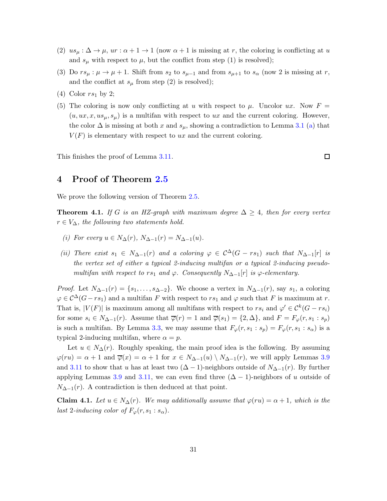- $(2)$   $us_{\mu} : \Delta \to \mu$ ,  $ur : \alpha + 1 \to 1$  (now  $\alpha + 1$  is missing at r, the coloring is conflicting at u and  $s_{\mu}$  with respect to  $\mu$ , but the conflict from step (1) is resolved);
- (3) Do  $rs_{\mu} : \mu \to \mu + 1$ . Shift from  $s_2$  to  $s_{\mu-1}$  and from  $s_{\mu+1}$  to  $s_{\alpha}$  (now 2 is missing at r, and the conflict at  $s_{\mu}$  from step (2) is resolved);
- (4) Color  $rs_1$  by 2;
- (5) The coloring is now only conflicting at u with respect to  $\mu$ . Uncolor ux. Now  $F =$  $(u, ux, x, us<sub>\mu</sub>, s<sub>\mu</sub>)$  is a multifan with respect to ux and the current coloring. However, the color  $\Delta$  is missing at both x and  $s_{\mu}$ , showing a contradiction to Lemma [3.1](#page-10-1) [\(a\)](#page-10-3) that  $V(F)$  is elementary with respect to ux and the current coloring.

<span id="page-30-0"></span>This finishes the proof of Lemma [3.11.](#page-24-0)

 $\Box$ 

### 4 Proof of Theorem [2.5](#page-6-0)

We prove the following version of Theorem [2.5.](#page-6-0)

<span id="page-30-3"></span><span id="page-30-2"></span>**Theorem 4.1.** If G is an HZ-graph with maximum degree  $\Delta \geq 4$ , then for every vertex  $r \in V_{\Delta}$ , the following two statements hold.

- <span id="page-30-4"></span>(i) For every  $u \in N_\Delta(r)$ ,  $N_{\Delta-1}(r) = N_{\Delta-1}(u)$ .
- (ii) There exist  $s_1 \in N_{\Delta-1}(r)$  and a coloring  $\varphi \in C^{\Delta}(G rs_1)$  such that  $N_{\Delta-1}[r]$  is the vertex set of either a typical 2-inducing multifan or a typical 2-inducing pseudomultifan with respect to rs<sub>1</sub> and  $\varphi$ . Consequently N<sub>∆−1</sub>[r] is  $\varphi$ -elementary.

*Proof.* Let  $N_{\Delta-1}(r) = \{s_1, \ldots, s_{\Delta-2}\}\.$  We choose a vertex in  $N_{\Delta-1}(r)$ , say  $s_1$ , a coloring  $\varphi \in C^{\Delta}(G-r_{s_1})$  and a multifan F with respect to  $rs_1$  and  $\varphi$  such that F is maximum at r. That is,  $|V(F)|$  is maximum among all multifans with respect to  $rs_i$  and  $\varphi' \in C^k(G - rs_i)$ for some  $s_i \in N_{\Delta-1}(r)$ . Assume that  $\overline{\varphi}(r) = 1$  and  $\overline{\varphi}(s_1) = \{2, \Delta\}$ , and  $F = F_{\varphi}(r, s_1 : s_p)$ is such a multifan. By Lemma [3.3,](#page-12-1) we may assume that  $F_{\varphi}(r, s_1 : s_p) = F_{\varphi}(r, s_1 : s_{\alpha})$  is a typical 2-inducing multifan, where  $\alpha = p$ .

Let  $u \in N_{\Delta}(r)$ . Roughly speaking, the main proof idea is the following. By assuming  $\varphi(ru) = \alpha + 1$  and  $\overline{\varphi}(x) = \alpha + 1$  for  $x \in N_{\Delta-1}(u) \setminus N_{\Delta-1}(r)$ , we will apply Lemmas [3.9](#page-20-1) and [3.11](#page-24-0) to show that u has at least two  $(\Delta - 1)$ -neighbors outside of  $N_{\Delta-1}(r)$ . By further applying Lemmas [3.9](#page-20-1) and [3.11,](#page-24-0) we can even find three  $(\Delta - 1)$ -neighbors of u outside of  $N_{\Delta-1}(r)$ . A contradiction is then deduced at that point.

<span id="page-30-1"></span>**Claim 4.1.** Let  $u \in N_\Delta(r)$ . We may additionally assume that  $\varphi(ru) = \alpha + 1$ , which is the last 2-inducing color of  $F_{\varphi}(r, s_1 : s_{\alpha}).$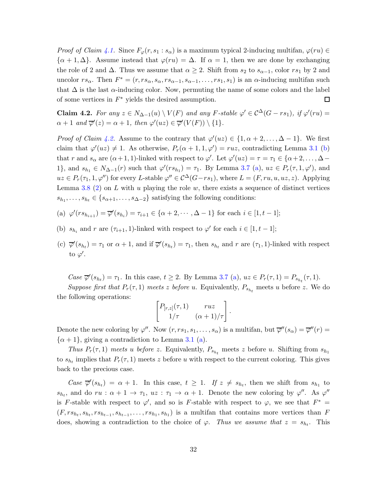*Proof of Claim [4.1.](#page-30-1)* Since  $F_{\varphi}(r, s_1 : s_{\alpha})$  is a maximum typical 2-inducing multifan,  $\varphi(ru) \in$  $\{\alpha+1,\Delta\}$ . Assume instead that  $\varphi(ru) = \Delta$ . If  $\alpha = 1$ , then we are done by exchanging the role of 2 and  $\Delta$ . Thus we assume that  $\alpha \geq 2$ . Shift from  $s_2$  to  $s_{\alpha-1}$ , color  $rs_1$  by 2 and uncolor  $rs_\alpha$ . Then  $F^* = (r, rs_\alpha, s_\alpha, rs_{\alpha-1}, s_{\alpha-1}, \ldots, rs_1, s_1)$  is an  $\alpha$ -inducing multifan such that  $\Delta$  is the last  $\alpha$ -inducing color. Now, permuting the name of some colors and the label of some vertices in  $F^*$  yields the desired assumption.  $\Box$ 

<span id="page-31-0"></span>**Claim 4.2.** For any  $z \in N_{\Delta-1}(u) \setminus V(F)$  and any F-stable  $\varphi' \in C^{\Delta}(G - rs_1)$ , if  $\varphi'(ru) =$  $\alpha + 1$  and  $\overline{\varphi}'(z) = \alpha + 1$ , then  $\varphi'(uz) \in \overline{\varphi}'(V(F)) \setminus \{1\}.$ 

*Proof of Claim [4.2.](#page-31-0)* Assume to the contrary that  $\varphi'(uz) \in \{1, \alpha + 2, ..., \Delta - 1\}$ . We first claim that  $\varphi'(uz) \neq 1$ . As otherwise,  $P_r(\alpha+1,1,\varphi') = ruz$ , contradicting Lemma [3.1](#page-10-1) [\(b\)](#page-10-4) that r and  $s_{\alpha}$  are  $(\alpha+1,1)$ -linked with respect to  $\varphi'$ . Let  $\varphi'(uz) = \tau = \tau_1 \in {\alpha+2,\ldots,\Delta-1}$ 1}, and  $s_{h_1} \in N_{\Delta-1}(r)$  such that  $\varphi'(rs_{h_1}) = \tau_1$ . By Lemma [3.7](#page-17-4) [\(a\)](#page-17-2),  $uz \in P_r(\tau, 1, \varphi')$ , and  $uz \in P_r(\tau_1, 1, \varphi'')$  for every L-stable  $\varphi'' \in C^{\Delta}(G-rs_1)$ , where  $L = (F, ru, u, uz, z)$ . Applying Lemma [3.8](#page-19-2) [\(2\)](#page-19-1) on L with u playing the role w, there exists a sequence of distinct vertices  $s_{h_1}, \ldots, s_{h_t} \in \{s_{\alpha+1}, \ldots, s_{\Delta-2}\}\$  satisfying the following conditions:

- (a)  $\varphi'(rs_{h_{i+1}}) = \overline{\varphi}'(s_{h_i}) = \tau_{i+1} \in {\alpha+2,\cdots,\Delta-1}$  for each  $i \in [1,t-1]$ ;
- (b)  $s_{h_i}$  and r are  $(\tau_{i+1}, 1)$ -linked with respect to  $\varphi'$  for each  $i \in [1, t-1]$ ;
- (c)  $\overline{\varphi}'(s_{h_t}) = \tau_1$  or  $\alpha + 1$ , and if  $\overline{\varphi}'(s_{h_t}) = \tau_1$ , then  $s_{h_t}$  and r are  $(\tau_1, 1)$ -linked with respect to  $\varphi'$ .

Case  $\overline{\varphi}'(s_{h_t}) = \tau_1$ . In this case,  $t \geq 2$ . By Lemma [3.7](#page-17-4) [\(a\)](#page-17-2),  $uz \in P_r(\tau, 1) = P_{s_{h_t}}(\tau, 1)$ . Suppose first that  $P_r(\tau,1)$  meets z before u. Equivalently,  $P_{s_{h_t}}$  meets u before z. We do the following operations:

$$
\begin{bmatrix} P_{[r,z]}(\tau,1) & ruz \\ 1/\tau & (\alpha+1)/\tau \end{bmatrix}
$$

.

Denote the new coloring by  $\varphi''$ . Now  $(r, rs_1, s_1, \ldots, s_\alpha)$  is a multifan, but  $\overline{\varphi}''(s_\alpha) = \overline{\varphi}''(r) =$  $\{\alpha+1\}$ , giving a contradiction to Lemma [3.1](#page-10-1) [\(a\)](#page-10-3).

Thus  $P_r(\tau,1)$  meets u before z. Equivalently,  $P_{s_{h_t}}$  meets z before u. Shifting from  $s_{h_1}$ to  $s_{h_t}$  implies that  $P_r(\tau,1)$  meets z before u with respect to the current coloring. This gives back to the precious case.

Case  $\overline{\varphi}'(s_{h_t}) = \alpha + 1$ . In this case,  $t \geq 1$ . If  $z \neq s_{h_t}$ , then we shift from  $s_{h_1}$  to  $s_{h_t}$ , and do  $ru : \alpha + 1 \to \tau_1$ ,  $uz : \tau_1 \to \alpha + 1$ . Denote the new coloring by  $\varphi''$ . As  $\varphi''$ is F-stable with respect to  $\varphi'$ , and so is F-stable with respect to  $\varphi$ , we see that  $F^* =$  $(F, rs_{h_t}, rs_{h_{t-1}}, s_{h_{t-1}}, \ldots, rs_{h_1}, s_{h_1})$  is a multifan that contains more vertices than F does, showing a contradiction to the choice of  $\varphi$ . Thus we assume that  $z = s_{h_t}$ . This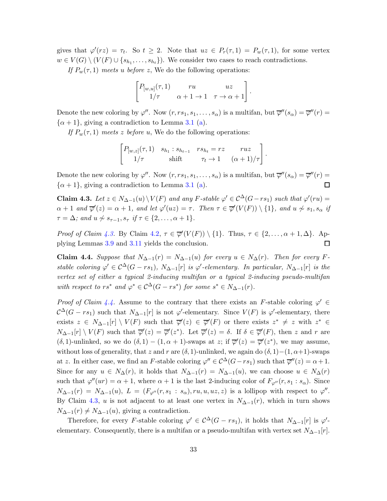gives that  $\varphi'(rz) = \tau_t$ . So  $t \geq 2$ . Note that  $uz \in P_r(\tau,1) = P_w(\tau,1)$ , for some vertex  $w \in V(G) \setminus (V(F) \cup \{s_{h_1}, \ldots, s_{h_t}\})$ . We consider two cases to reach contradictions.

If  $P_w(\tau, 1)$  meets u before z, We do the following operations:

$$
\begin{bmatrix} P_{[w,u]}(\tau,1) & ru & uz \\ 1/\tau & \alpha+1 \to 1 & \tau \to \alpha+1 \end{bmatrix}
$$

.

.

Denote the new coloring by  $\varphi''$ . Now  $(r, rs_1, s_1, \ldots, s_\alpha)$  is a multifan, but  $\overline{\varphi}''(s_\alpha) = \overline{\varphi}''(r) =$  $\{\alpha+1\}$ , giving a contradiction to Lemma [3.1](#page-10-1) [\(a\)](#page-10-3).

If  $P_w(\tau, 1)$  meets z before u, We do the following operations:

$$
\begin{bmatrix} P_{[w,z]}(\tau,1) & s_{h_1} : s_{h_{t-1}} & rs_{h_t} = rz & ruz \\ 1/\tau & \text{shift} & \tau_t \to 1 & (\alpha+1)/\tau \end{bmatrix}
$$

Denote the new coloring by  $\varphi''$ . Now  $(r, rs_1, s_1, \ldots, s_\alpha)$  is a multifan, but  $\overline{\varphi}''(s_\alpha) = \overline{\varphi}''(r) =$  $\{\alpha+1\}$ , giving a contradiction to Lemma [3.1](#page-10-1) [\(a\)](#page-10-3). □

<span id="page-32-0"></span>Claim 4.3. Let  $z \in N_{\Delta-1}(u) \setminus V(F)$  and any F-stable  $\varphi' \in C^{\Delta}(G-rs_1)$  such that  $\varphi'(ru) =$  $\alpha+1$  and  $\overline{\varphi}'(z)=\alpha+1$ , and let  $\varphi'(uz)=\tau$ . Then  $\tau\in\overline{\varphi}'(V(F))\setminus\{1\}$ , and  $u\not\sim s_1, s_\alpha$  if  $\tau = \Delta$ ; and  $u \nsim s_{\tau-1}, s_{\tau}$  if  $\tau \in \{2, \ldots, \alpha + 1\}.$ 

*Proof of Claim [4.3.](#page-32-0)* By Claim [4.2,](#page-31-0)  $\tau \in \overline{\varphi}'(V(F)) \setminus \{1\}$ . Thus,  $\tau \in \{2,\ldots,\alpha+1,\Delta\}$ . Applying Lemmas [3.9](#page-20-1) and [3.11](#page-24-0) yields the conclusion.  $\Box$ 

<span id="page-32-1"></span>Claim 4.4. Suppose that  $N_{\Delta-1}(r) = N_{\Delta-1}(u)$  for every  $u \in N_{\Delta}(r)$ . Then for every Fstable coloring  $\varphi' \in C^{\Delta}(G - rs_1)$ ,  $N_{\Delta-1}[r]$  is  $\varphi'$ -elementary. In particular,  $N_{\Delta-1}[r]$  is the vertex set of either a typical 2-inducing multifan or a typical 2-inducing pseudo-multifan with respect to  $rs^*$  and  $\varphi^* \in C^{\Delta}(G - rs^*)$  for some  $s^* \in N_{\Delta-1}(r)$ .

Proof of Claim [4.4.](#page-32-1) Assume to the contrary that there exists an F-stable coloring  $\varphi' \in$  $\mathcal{C}^{\Delta}(G - rs_1)$  such that  $N_{\Delta-1}[r]$  is not  $\varphi'$ -elementary. Since  $V(F)$  is  $\varphi'$ -elementary, there exists  $z \in N_{\Delta-1}[r] \setminus V(F)$  such that  $\overline{\varphi}'(z) \in \overline{\varphi}'(F)$  or there exists  $z^* \neq z$  with  $z^* \in$  $N_{\Delta-1}[r] \setminus V(F)$  such that  $\overline{\varphi}'(z) = \overline{\varphi}'(z^*)$ . Let  $\overline{\varphi}'(z) = \delta$ . If  $\delta \in \overline{\varphi}'(F)$ , then z and r are  $(\delta, 1)$ -unlinked, so we do  $(\delta, 1) - (1, \alpha + 1)$ -swaps at z; if  $\overline{\varphi}'(z) = \overline{\varphi}'(z^*)$ , we may assume, without loss of generality, that z and r are  $(\delta, 1)$ -unlinked, we again do  $(\delta, 1)$ - $(1, \alpha+1)$ -swaps at z. In either case, we find an F-stable coloring  $\varphi'' \in C^{\Delta}(G-rs_1)$  such that  $\overline{\varphi}''(z) = \alpha + 1$ . Since for any  $u \in N_\Delta(r)$ , it holds that  $N_{\Delta-1}(r) = N_{\Delta-1}(u)$ , we can choose  $u \in N_\Delta(r)$ such that  $\varphi''(ur) = \alpha + 1$ , where  $\alpha + 1$  is the last 2-inducing color of  $F_{\varphi''}(r, s_1 : s_\alpha)$ . Since  $N_{\Delta-1}(r) = N_{\Delta-1}(u), L = (F_{\varphi''}(r, s_1 : s_\alpha), ru, u, uz, z)$  is a lollipop with respect to  $\varphi''$ . By Claim [4.3,](#page-32-0) u is not adjacent to at least one vertex in  $N_{\Delta-1}(r)$ , which in turn shows  $N_{\Delta-1}(r) \neq N_{\Delta-1}(u)$ , giving a contradiction.

Therefore, for every F-stable coloring  $\varphi' \in C^{\Delta}(G - rs_1)$ , it holds that  $N_{\Delta-1}[r]$  is  $\varphi'$ elementary. Consequently, there is a multifan or a pseudo-multifan with vertex set  $N_{\Delta-1}[r]$ .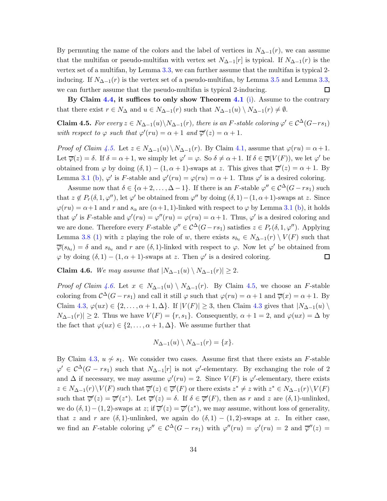By permuting the name of the colors and the label of vertices in  $N_{\Delta-1}(r)$ , we can assume that the multifan or pseudo-multifan with vertex set  $N_{\Delta-1}[r]$  is typical. If  $N_{\Delta-1}(r)$  is the vertex set of a multifan, by Lemma [3.3,](#page-12-1) we can further assume that the multifan is typical 2 inducing. If  $N_{\Delta-1}(r)$  is the vertex set of a pseudo-multifan, by Lemma [3.5](#page-14-1) and Lemma [3.3,](#page-12-1) we can further assume that the pseudo-multifan is typical 2-inducing.  $\Box$ 

By Claim [4.4,](#page-32-1) it suffices to only show Theorem [4.1](#page-30-2) [\(i\)](#page-30-3). Assume to the contrary that there exist  $r \in N_{\Delta}$  and  $u \in N_{\Delta-1}(r)$  such that  $N_{\Delta-1}(u) \setminus N_{\Delta-1}(r) \neq \emptyset$ .

<span id="page-33-0"></span>**Claim 4.5.** For every  $z \in N_{\Delta-1}(u) \setminus N_{\Delta-1}(r)$ , there is an F-stable coloring  $\varphi' \in C^{\Delta}(G-rs_1)$ with respect to  $\varphi$  such that  $\varphi'(ru) = \alpha + 1$  and  $\overline{\varphi}'(z) = \alpha + 1$ .

*Proof of Claim [4.5.](#page-33-0)* Let  $z \in N_{\Delta-1}(u) \setminus N_{\Delta-1}(r)$ . By Claim [4.1,](#page-30-1) assume that  $\varphi(ru) = \alpha + 1$ . Let  $\overline{\varphi}(z) = \delta$ . If  $\delta = \alpha + 1$ , we simply let  $\varphi' = \varphi$ . So  $\delta \neq \alpha + 1$ . If  $\delta \in \overline{\varphi}(V(F))$ , we let  $\varphi'$  be obtained from  $\varphi$  by doing  $(\delta, 1) - (1, \alpha + 1)$ -swaps at z. This gives that  $\overline{\varphi}'(z) = \alpha + 1$ . By Lemma [3.1](#page-10-1) [\(b\)](#page-10-4),  $\varphi'$  is F-stable and  $\varphi'(ru) = \varphi(ru) = \alpha + 1$ . Thus  $\varphi'$  is a desired coloring.

Assume now that  $\delta \in {\alpha+2,\ldots,\Delta-1}$ . If there is an F-stable  $\varphi'' \in C^{\Delta}(G - rs_1)$  such that  $z \notin P_r(\delta, 1, \varphi'')$ , let  $\varphi'$  be obtained from  $\varphi''$  by doing  $(\delta, 1) - (1, \alpha + 1)$ -swaps at z. Since  $\varphi(ru) = \alpha + 1$  and r and  $s_\alpha$  are  $(\alpha + 1, 1)$ -linked with respect to  $\varphi$  by Lemma [3.1](#page-10-1) [\(b\)](#page-10-4), it holds that  $\varphi'$  is F-stable and  $\varphi'(ru) = \varphi''(ru) = \varphi(ru) = \alpha + 1$ . Thus,  $\varphi'$  is a desired coloring and we are done. Therefore every F-stable  $\varphi'' \in C^{\Delta}(G-rs_1)$  satisfies  $z \in P_r(\delta, 1, \varphi'')$ . Applying Lemma [3.8](#page-19-2) [\(1\)](#page-19-0) with z playing the role of w, there exists  $s_{h_t} \in N_{\Delta-1}(r) \setminus V(F)$  such that  $\overline{\varphi}(s_{h_t}) = \delta$  and  $s_{h_t}$  and r are  $(\delta, 1)$ -linked with respect to  $\varphi$ . Now let  $\varphi'$  be obtained from  $\varphi$  by doing  $(\delta, 1) - (1, \alpha + 1)$ -swaps at z. Then  $\varphi'$  is a desired coloring.  $\Box$ 

<span id="page-33-1"></span>Claim 4.6. We may assume that  $|N_{\Delta-1}(u) \setminus N_{\Delta-1}(r)| \geq 2$ .

Proof of Claim [4.6.](#page-33-1) Let  $x \in N_{\Delta-1}(u) \setminus N_{\Delta-1}(r)$ . By Claim [4.5,](#page-33-0) we choose an F-stable coloring from  $\mathcal{C}^{\Delta}(G - rs_1)$  and call it still  $\varphi$  such that  $\varphi(ru) = \alpha + 1$  and  $\overline{\varphi}(x) = \alpha + 1$ . By Claim [4.3,](#page-32-0)  $\varphi(ux) \in \{2, \ldots, \alpha+1, \Delta\}$ . If  $|V(F)| \geq 3$ , then Claim [4.3](#page-32-0) gives that  $|N_{\Delta-1}(u)|$  $N_{\Delta-1}(r)| \geq 2$ . Thus we have  $V(F) = \{r, s_1\}$ . Consequently,  $\alpha + 1 = 2$ , and  $\varphi(ux) = \Delta$  by the fact that  $\varphi(ux) \in \{2, \ldots, \alpha+1, \Delta\}$ . We assume further that

$$
N_{\Delta-1}(u) \setminus N_{\Delta-1}(r) = \{x\}.
$$

By Claim [4.3,](#page-32-0)  $u \nsim s_1$ . We consider two cases. Assume first that there exists an F-stable  $\varphi' \in C^{\Delta}(G - rs_1)$  such that  $N_{\Delta-1}[r]$  is not  $\varphi'$ -elementary. By exchanging the role of 2 and  $\Delta$  if necessary, we may assume  $\varphi'(ru) = 2$ . Since  $V(F)$  is  $\varphi'$ -elementary, there exists  $z \in N_{\Delta-1}(r) \setminus V(F)$  such that  $\overline{\varphi}'(z) \in \overline{\varphi}'(F)$  or there exists  $z^* \neq z$  with  $z^* \in N_{\Delta-1}(r) \setminus V(F)$ such that  $\overline{\varphi}'(z) = \overline{\varphi}'(z^*)$ . Let  $\overline{\varphi}'(z) = \delta$ . If  $\delta \in \overline{\varphi}'(F)$ , then as r and z are  $(\delta, 1)$ -unlinked, we do  $(\delta, 1) - (1, 2)$ -swaps at z; if  $\overline{\varphi}'(z) = \overline{\varphi}'(z^*)$ , we may assume, without loss of generality, that z and r are  $(\delta, 1)$ -unlinked, we again do  $(\delta, 1) - (1, 2)$ -swaps at z. In either case, we find an F-stable coloring  $\varphi'' \in C^{\Delta}(G - rs_1)$  with  $\varphi''(ru) = \varphi'(ru) = 2$  and  $\overline{\varphi}''(z) =$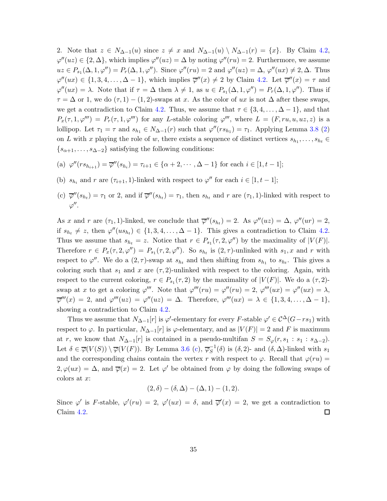2. Note that  $z \in N_{\Delta-1}(u)$  since  $z \neq x$  and  $N_{\Delta-1}(u) \setminus N_{\Delta-1}(r) = \{x\}$ . By Claim [4.2,](#page-31-0)  $\varphi''(uz) \in \{2, \Delta\}$ , which implies  $\varphi''(uz) = \Delta$  by noting  $\varphi''(ru) = 2$ . Furthermore, we assume  $uz \in P_{s_1}(\Delta, 1, \varphi'') = P_r(\Delta, 1, \varphi'')$ . Since  $\varphi''(ru) = 2$  and  $\varphi''(uz) = \Delta, \varphi''(ux) \neq 2, \Delta$ . Thus  $\varphi''(ux) \in \{1, 3, 4, \ldots, \Delta - 1\}$ , which implies  $\overline{\varphi}''(x) \neq 2$  by Claim [4.2.](#page-31-0) Let  $\overline{\varphi}''(x) = \tau$  and  $\varphi''(ux) = \lambda$ . Note that if  $\tau = \Delta$  then  $\lambda \neq 1$ , as  $u \in P_{s_1}(\Delta, 1, \varphi'') = P_r(\Delta, 1, \varphi'')$ . Thus if  $\tau = \Delta$  or 1, we do  $(\tau, 1) - (1, 2)$ -swaps at x. As the color of ux is not  $\Delta$  after these swaps, we get a contradiction to Claim [4.2.](#page-31-0) Thus, we assume that  $\tau \in \{3, 4, \ldots, \Delta - 1\}$ , and that  $P_x(\tau, 1, \varphi'') = P_r(\tau, 1, \varphi'')$  for any L-stable coloring  $\varphi''',$  where  $L = (F, ru, u, uz, z)$  is a lollipop. Let  $\tau_1 = \tau$  and  $s_{h_1} \in N_{\Delta-1}(r)$  such that  $\varphi''(rs_{h_1}) = \tau_1$ . Applying Lemma [3.8](#page-19-2) [\(2\)](#page-19-1) on L with x playing the role of w, there exists a sequence of distinct vertices  $s_{h_1}, \ldots, s_{h_t} \in$  $\{s_{\alpha+1}, \ldots, s_{\Delta-2}\}\$  satisfying the following conditions:

(a) 
$$
\varphi''(rs_{h_{i+1}}) = \overline{\varphi}''(s_{h_i}) = \tau_{i+1} \in {\alpha+2, \cdots, \Delta-1}
$$
 for each  $i \in [1, t-1]$ ;

- (b)  $s_{h_i}$  and r are  $(\tau_{i+1}, 1)$ -linked with respect to  $\varphi''$  for each  $i \in [1, t-1]$ ;
- (c)  $\overline{\varphi}''(s_{h_t}) = \tau_1$  or 2, and if  $\overline{\varphi}''(s_{h_t}) = \tau_1$ , then  $s_{h_t}$  and r are  $(\tau_1, 1)$ -linked with respect to  $\varphi''$ .

As x and r are  $(\tau_1, 1)$ -linked, we conclude that  $\overline{\varphi}''(s_{h_t}) = 2$ . As  $\varphi''(uz) = \Delta$ ,  $\varphi''(ur) = 2$ , if  $s_{h_t} \neq z$ , then  $\varphi''(u s_{h_t}) \in \{1, 3, 4, \ldots, \Delta - 1\}$ . This gives a contradiction to Claim [4.2.](#page-31-0) Thus we assume that  $s_{h_t} = z$ . Notice that  $r \in P_{s_1}(\tau, 2, \varphi'')$  by the maximality of  $|V(F)|$ . Therefore  $r \in P_x(\tau, 2, \varphi'') = P_{s_1}(\tau, 2, \varphi'')$ . So  $s_{h_t}$  is  $(2, \tau)$ -unlinked with  $s_1, x$  and r with respect to  $\varphi''$ . We do a  $(2, \tau)$ -swap at  $s_{h_t}$  and then shifting from  $s_{h_1}$  to  $s_{h_t}$ . This gives a coloring such that  $s_1$  and x are  $(\tau, 2)$ -unlinked with respect to the coloring. Again, with respect to the current coloring,  $r \in P_{s_1}(\tau, 2)$  by the maximality of  $|V(F)|$ . We do a  $(\tau, 2)$ swap at x to get a coloring  $\varphi'''$ . Note that  $\varphi'''(ru) = \varphi''(ru) = 2$ ,  $\varphi'''(ux) = \varphi''(ux) = \lambda$ ,  $\overline{\varphi}'''(x) = 2$ , and  $\varphi'''(uz) = \varphi''(uz) = \Delta$ . Therefore,  $\varphi'''(ux) = \lambda \in \{1, 3, 4, \ldots, \Delta - 1\}$ , showing a contradiction to Claim [4.2.](#page-31-0)

Thus we assume that  $N_{\Delta-1}[r]$  is  $\varphi'$ -elementary for every F-stable  $\varphi' \in C^{\Delta}(G-rs_1)$  with respect to  $\varphi$ . In particular,  $N_{\Delta-1}[r]$  is  $\varphi$ -elementary, and as  $|V(F)| = 2$  and F is maximum at r, we know that  $N_{\Delta-1}[r]$  is contained in a pseudo-multifan  $S = S_{\varphi}(r, s_1 : s_1 : s_{\Delta-2})$ . Let  $\delta \in \overline{\varphi}(V(S)) \setminus \overline{\varphi}(V(F))$ . By Lemma [3.6](#page-15-4) [\(c\)](#page-15-2),  $\overline{\varphi}_S^{-1}$  $S^{-1}(\delta)$  is  $(\delta, 2)$ - and  $(\delta, \Delta)$ -linked with  $s_1$ and the corresponding chains contain the vertex r with respect to  $\varphi$ . Recall that  $\varphi(ru)$  =  $2, \varphi(ux) = \Delta$ , and  $\overline{\varphi}(x) = 2$ . Let  $\varphi'$  be obtained from  $\varphi$  by doing the following swaps of colors at x:

$$
(2, \delta) - (\delta, \Delta) - (\Delta, 1) - (1, 2).
$$

Since  $\varphi'$  is F-stable,  $\varphi'(ru) = 2$ ,  $\varphi'(ux) = \delta$ , and  $\overline{\varphi}'(x) = 2$ , we get a contradiction to Claim [4.2.](#page-31-0)  $\Box$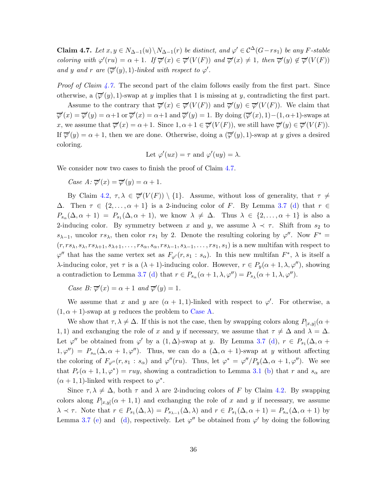<span id="page-35-0"></span>**Claim 4.7.** Let  $x, y \in N_{\Delta-1}(u) \setminus N_{\Delta-1}(r)$  be distinct, and  $\varphi' \in C^{\Delta}(G-rs_1)$  be any F-stable coloring with  $\varphi'(ru) = \alpha + 1$ . If  $\overline{\varphi}'(x) \in \overline{\varphi}'(V(F))$  and  $\overline{\varphi}'(x) \neq 1$ , then  $\overline{\varphi}'(y) \notin \overline{\varphi}'(V(F))$ and y and r are  $(\overline{\varphi}'(y), 1)$ -linked with respect to  $\varphi'$ .

*Proof of Claim [4.7.](#page-35-0)* The second part of the claim follows easily from the first part. Since otherwise, a  $(\overline{\varphi}'(y), 1)$ -swap at y implies that 1 is missing at y, contradicting the first part.

Assume to the contrary that  $\overline{\varphi}'(x) \in \overline{\varphi}'(V(F))$  and  $\overline{\varphi}'(y) \in \overline{\varphi}'(V(F))$ . We claim that  $\overline{\varphi}'(x) = \overline{\varphi}'(y) = \alpha + 1$  or  $\overline{\varphi}'(x) = \alpha + 1$  and  $\overline{\varphi}'(y) = 1$ . By doing  $(\overline{\varphi}'(x), 1) - (1, \alpha + 1)$ -swaps at x, we assume that  $\overline{\varphi}'(x) = \alpha + 1$ . Since  $1, \alpha + 1 \in \overline{\varphi}'(V(F))$ , we still have  $\overline{\varphi}'(y) \in \overline{\varphi}'(V(F))$ . If  $\overline{\varphi}'(y) = \alpha + 1$ , then we are done. Otherwise, doing a  $(\overline{\varphi}'(y), 1)$ -swap at y gives a desired coloring.

Let 
$$
\varphi'(ux) = \tau
$$
 and  $\varphi'(uy) = \lambda$ .

We consider now two cases to finish the proof of Claim [4.7.](#page-35-0)

<span id="page-35-1"></span>Case  $A: \overline{\varphi}'(x) = \overline{\varphi}'(y) = \alpha + 1.$ 

By Claim [4.2,](#page-31-0)  $\tau, \lambda \in \overline{\varphi}'(V(F)) \setminus \{1\}$ . Assume, without loss of generality, that  $\tau \neq$  $\Delta$ . Then  $\tau \in \{2,\ldots,\alpha+1\}$  is a 2-inducing color of F. By Lemma [3.7](#page-17-4) [\(d\)](#page-18-0) that  $r \in$  $P_{s_\alpha}(\Delta,\alpha+1) = P_{s_1}(\Delta,\alpha+1)$ , we know  $\lambda \neq \Delta$ . Thus  $\lambda \in \{2,\ldots,\alpha+1\}$  is also a 2-inducing color. By symmetry between x and y, we assume  $\lambda \prec \tau$ . Shift from  $s_2$  to  $s_{\lambda-1}$ , uncolor  $rs_{\lambda}$ , then color  $rs_1$  by 2. Denote the resulting coloring by  $\varphi''$ . Now  $F^* =$  $(r, rs_{\lambda}, s_{\lambda}, rs_{\lambda+1}, s_{\lambda+1}, \ldots, rs_{\alpha}, s_{\alpha}, rs_{\lambda-1}, s_{\lambda-1}, \ldots, rs_1, s_1)$  is a new multifan with respect to  $\varphi''$  that has the same vertex set as  $F_{\varphi'}(r, s_1 : s_\alpha)$ . In this new multifan  $F^*$ ,  $\lambda$  is itself a λ-inducing color, yet τ is a  $(λ + 1)$ -inducing color. However,  $r ∈ P_y(α + 1, λ, φ'')$ , showing a contradiction to Lemma [3.7](#page-17-4) [\(d\)](#page-18-0) that  $r \in P_{s_\alpha}(\alpha+1,\lambda,\varphi'') = P_{s_\lambda}(\alpha+1,\lambda,\varphi'')$ .

Case B:  $\overline{\varphi}'(x) = \alpha + 1$  and  $\overline{\varphi}'(y) = 1$ .

We assume that x and y are  $(\alpha + 1, 1)$ -linked with respect to  $\varphi'$ . For otherwise, a  $(1, \alpha + 1)$ -swap at y reduces the problem to [Case A.](#page-35-1)

We show that  $\tau, \lambda \neq \Delta$ . If this is not the case, then by swapping colors along  $P_{[x,y]}(\alpha +$ 1, 1) and exchanging the role of x and y if necessary, we assume that  $\tau \neq \Delta$  and  $\lambda = \Delta$ . Let  $\varphi''$  be obtained from  $\varphi'$  by a  $(1, \Delta)$ -swap at y. By Lemma [3.7](#page-17-4) [\(d\)](#page-18-0),  $r \in P_{s_1}(\Delta, \alpha +$  $1, \varphi' = P_{s_\alpha}(\Delta, \alpha + 1, \varphi'')$ . Thus, we can do a  $(\Delta, \alpha + 1)$ -swap at y without affecting the coloring of  $F_{\varphi''}(r, s_1 : s_\alpha)$  and  $\varphi''(ru)$ . Thus, let  $\varphi^* = \varphi''/P_y(\Delta, \alpha + 1, \varphi'')$ . We see that  $P_r(\alpha+1,1,\varphi^*) = ruy$ , showing a contradiction to Lemma [3.1](#page-10-1) [\(b\)](#page-10-4) that r and  $s_\alpha$  are  $(\alpha + 1, 1)$ -linked with respect to  $\varphi^*$ .

Since  $\tau, \lambda \neq \Delta$ , both  $\tau$  and  $\lambda$  are 2-inducing colors of F by Claim [4.2.](#page-31-0) By swapping colors along  $P_{[x,y]}(\alpha+1,1)$  and exchanging the role of x and y if necessary, we assume  $\lambda \prec \tau$ . Note that  $r \in P_{s_1}(\Delta, \lambda) = P_{s_{\lambda-1}}(\Delta, \lambda)$  and  $r \in P_{s_1}(\Delta, \alpha + 1) = P_{s_{\alpha}}(\Delta, \alpha + 1)$  by Lemma [3.7](#page-17-4) [\(e\)](#page-18-1) and [\(d\)](#page-18-0), respectively. Let  $\varphi''$  be obtained from  $\varphi'$  by doing the following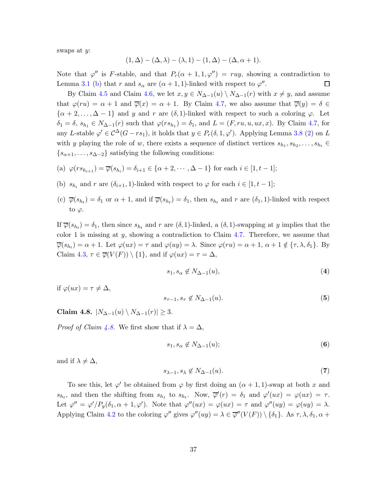swaps at y:

$$
(1, \Delta) - (\Delta, \lambda) - (\lambda, 1) - (1, \Delta) - (\Delta, \alpha + 1).
$$

Note that  $\varphi''$  is F-stable, and that  $P_r(\alpha+1,1,\varphi'') = ruy$ , showing a contradiction to Lemma [3.1](#page-10-1) [\(b\)](#page-10-4) that r and  $s_{\alpha}$  are  $(\alpha + 1, 1)$ -linked with respect to  $\varphi''$ .  $\Box$ 

By Claim [4.5](#page-33-0) and Claim [4.6,](#page-33-1) we let  $x, y \in N_{\Delta-1}(u) \setminus N_{\Delta-1}(r)$  with  $x \neq y$ , and assume that  $\varphi(ru) = \alpha + 1$  and  $\overline{\varphi}(x) = \alpha + 1$ . By Claim [4.7,](#page-35-0) we also assume that  $\overline{\varphi}(y) = \delta \in$  $\{\alpha+2,\ldots,\Delta-1\}$  and y and r are  $(\delta,1)$ -linked with respect to such a coloring  $\varphi$ . Let  $\delta_1 = \delta, s_{h_1} \in N_{\Delta-1}(r)$  such that  $\varphi(rs_{h_1}) = \delta_1$ , and  $L = (F, ru, u, ux, x)$ . By Claim [4.7,](#page-35-0) for any L-stable  $\varphi' \in C^{\Delta}(G-rs_1)$ , it holds that  $y \in P_r(\delta, 1, \varphi')$ . Applying Lemma [3.8](#page-19-2) [\(2\)](#page-19-1) on L with y playing the role of w, there exists a sequence of distinct vertices  $s_{h_1}, s_{h_2}, \ldots, s_{h_t} \in$  $\{s_{\alpha+1}, \ldots, s_{\Delta-2}\}\$  satisfying the following conditions:

(a) 
$$
\varphi(rs_{h_{i+1}}) = \overline{\varphi}(s_{h_i}) = \delta_{i+1} \in \{\alpha+2,\cdots,\Delta-1\}
$$
 for each  $i \in [1,t-1]$ ;

- (b)  $s_{h_i}$  and r are  $(\delta_{i+1}, 1)$ -linked with respect to  $\varphi$  for each  $i \in [1, t-1]$ ;
- (c)  $\overline{\varphi}(s_{h_t}) = \delta_1$  or  $\alpha + 1$ , and if  $\overline{\varphi}(s_{h_t}) = \delta_1$ , then  $s_{h_t}$  and r are  $(\delta_1, 1)$ -linked with respect to  $\varphi$ .

If  $\overline{\varphi}(s_{h_t}) = \delta_1$ , then since  $s_{h_t}$  and r are  $(\delta, 1)$ -linked, a  $(\delta, 1)$ -swapping at y implies that the color 1 is missing at  $y$ , showing a contradiction to Claim [4.7.](#page-35-0) Therefore, we assume that  $\overline{\varphi}(s_{h_t}) = \alpha + 1$ . Let  $\varphi(ux) = \tau$  and  $\varphi(uy) = \lambda$ . Since  $\varphi(ru) = \alpha + 1$ ,  $\alpha + 1 \notin {\tau, \lambda, \delta_1}$ . By Claim [4.3,](#page-32-0)  $\tau \in \overline{\varphi}(V(F)) \setminus \{1\}$ , and if  $\varphi(ux) = \tau = \Delta$ ,

<span id="page-36-3"></span>
$$
s_1, s_\alpha \notin N_{\Delta - 1}(u),\tag{4}
$$

if  $\varphi(ux) = \tau \neq \Delta$ ,

<span id="page-36-4"></span>
$$
s_{\tau-1}, s_{\tau} \notin N_{\Delta-1}(u). \tag{5}
$$

<span id="page-36-0"></span>Claim 4.8.  $|N_{\Delta-1}(u) \setminus N_{\Delta-1}(r)| \geq 3$ .

*Proof of Claim [4.8.](#page-36-0)* We first show that if  $\lambda = \Delta$ ,

<span id="page-36-1"></span>
$$
s_1, s_\alpha \notin N_{\Delta - 1}(u); \tag{6}
$$

and if  $\lambda \neq \Delta$ ,

<span id="page-36-2"></span>
$$
s_{\lambda-1}, s_{\lambda} \notin N_{\Delta-1}(u). \tag{7}
$$

To see this, let  $\varphi'$  be obtained from  $\varphi$  by first doing an  $(\alpha + 1, 1)$ -swap at both x and  $s_{h_t}$ , and then the shifting from  $s_{h_1}$  to  $s_{h_t}$ . Now,  $\overline{\varphi}'(r) = \delta_1$  and  $\varphi'(ux) = \varphi(ux) = \tau$ . Let  $\varphi'' = \varphi' / P_y(\delta_1, \alpha + 1, \varphi')$ . Note that  $\varphi''(ux) = \varphi(ux) = \tau$  and  $\varphi''(uy) = \varphi(uy) = \lambda$ . Applying Claim [4.2](#page-31-0) to the coloring  $\varphi''$  gives  $\varphi''(uy) = \lambda \in \overline{\varphi''}(V(F)) \setminus {\delta_1}$ . As  $\tau, \lambda, \delta_1, \alpha + \delta_2$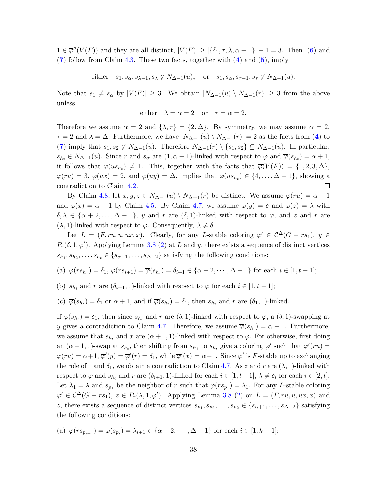$1 \in \overline{\varphi}''(V(F))$  and they are all distinct,  $|V(F)| \geq |\{\delta_1, \tau, \lambda, \alpha + 1\}| - 1 = 3$ . Then ([6](#page-36-1)) and  $(7)$  $(7)$  $(7)$  follow from Claim [4.3.](#page-32-0) These two facts, together with  $(4)$  $(4)$  $(4)$  and  $(5)$  $(5)$  $(5)$ , imply

either  $s_1, s_\alpha, s_{\lambda-1}, s_\lambda \notin N_{\Delta-1}(u)$ , or  $s_1, s_\alpha, s_{\tau-1}, s_\tau \notin N_{\Delta-1}(u)$ .

Note that  $s_1 \neq s_\alpha$  by  $|V(F)| \geq 3$ . We obtain  $|N_{\Delta-1}(u) \setminus N_{\Delta-1}(r)| \geq 3$  from the above unless

either 
$$
\lambda = \alpha = 2
$$
 or  $\tau = \alpha = 2$ .

Therefore we assume  $\alpha = 2$  and  $\{\lambda, \tau\} = \{2, \Delta\}$ . By symmetry, we may assume  $\alpha = 2$ ,  $\tau = 2$  and  $\lambda = \Delta$ . Furthermore, we have  $|N_{\Delta-1}(u) \setminus N_{\Delta-1}(r)| = 2$  as the facts from ([4](#page-36-3)) to ([7](#page-36-2)) imply that  $s_1, s_2 \notin N_{\Delta-1}(u)$ . Therefore  $N_{\Delta-1}(r) \setminus \{s_1, s_2\} \subseteq N_{\Delta-1}(u)$ . In particular,  $s_{h_t} \in N_{\Delta-1}(u)$ . Since r and  $s_\alpha$  are  $(1, \alpha+1)$ -linked with respect to  $\varphi$  and  $\overline{\varphi}(s_{h_t}) = \alpha+1$ , it follows that  $\varphi(us_{h_t}) \neq 1$ . This, together with the facts that  $\overline{\varphi}(V(F)) = \{1, 2, 3, \Delta\},\$  $\varphi(ru) = 3, \varphi(ux) = 2, \text{ and } \varphi(uy) = \Delta, \text{ implies that } \varphi(us_{h_t}) \in \{4, \ldots, \Delta - 1\}, \text{ showing a}$ contradiction to Claim [4.2.](#page-31-0) □

By Claim [4.8,](#page-36-0) let  $x, y, z \in N_{\Delta-1}(u) \setminus N_{\Delta-1}(r)$  be distinct. We assume  $\varphi(ru) = \alpha + 1$ and  $\overline{\varphi}(x) = \alpha + 1$  by Claim [4.5.](#page-33-0) By Claim [4.7,](#page-35-0) we assume  $\overline{\varphi}(y) = \delta$  and  $\overline{\varphi}(z) = \lambda$  with  $\delta, \lambda \in {\alpha + 2, ..., \Delta - 1}$ , y and r are  $(\delta, 1)$ -linked with respect to  $\varphi$ , and z and r are  $(\lambda, 1)$ -linked with respect to  $\varphi$ . Consequently,  $\lambda \neq \delta$ .

Let  $L = (F, ru, u, ux, x)$ . Clearly, for any L-stable coloring  $\varphi' \in C^{\Delta}(G - rs_1), y \in$  $P_r(\delta, 1, \varphi')$ . Applying Lemma [3.8](#page-19-2) [\(2\)](#page-19-1) at L and y, there exists a sequence of distinct vertices  $s_{h_1}, s_{h_2}, \ldots, s_{h_t} \in \{s_{\alpha+1}, \ldots, s_{\Delta-2}\}\$  satisfying the following conditions:

(a) 
$$
\varphi(rs_{h_1}) = \delta_1
$$
,  $\varphi(rs_{i+1}) = \overline{\varphi}(s_{h_i}) = \delta_{i+1} \in {\alpha+2, \cdots, \Delta-1}$  for each  $i \in [1, t-1]$ ;

(b)  $s_{h_i}$  and r are  $(\delta_{i+1}, 1)$ -linked with respect to  $\varphi$  for each  $i \in [1, t-1]$ ;

(c) 
$$
\overline{\varphi}(s_{h_t}) = \delta_1
$$
 or  $\alpha + 1$ , and if  $\overline{\varphi}(s_{h_t}) = \delta_1$ , then  $s_{h_t}$  and r are  $(\delta_1, 1)$ -linked.

If  $\overline{\varphi}(s_{h_t}) = \delta_1$ , then since  $s_{h_t}$  and r are  $(\delta, 1)$ -linked with respect to  $\varphi$ , a  $(\delta, 1)$ -swapping at y gives a contradiction to Claim [4.7.](#page-35-0) Therefore, we assume  $\overline{\varphi}(s_{h_t}) = \alpha + 1$ . Furthermore, we assume that  $s_{h_t}$  and x are  $(\alpha + 1, 1)$ -linked with respect to  $\varphi$ . For otherwise, first doing an  $(\alpha+1,1)$ -swap at  $s_{h_t}$ , then shifting from  $s_{h_1}$  to  $s_{h_t}$  give a coloring  $\varphi'$  such that  $\varphi'(ru)$  =  $\varphi(ru) = \alpha + 1$ ,  $\overline{\varphi}'(y) = \overline{\varphi}'(r) = \delta_1$ , while  $\overline{\varphi}'(x) = \alpha + 1$ . Since  $\varphi'$  is F-stable up to exchanging the role of 1 and  $\delta_1$ , we obtain a contradiction to Claim [4.7.](#page-35-0) As z and r are  $(\lambda, 1)$ -linked with respect to  $\varphi$  and  $s_{h_i}$  and  $r$  are  $(\delta_{i+1}, 1)$ -linked for each  $i \in [1, t-1]$ ,  $\lambda \neq \delta_i$  for each  $i \in [2, t]$ . Let  $\lambda_1 = \lambda$  and  $s_{p_1}$  be the neighbor of r such that  $\varphi(rs_{p_1}) = \lambda_1$ . For any L-stable coloring  $\varphi' \in C^{\Delta}(G - rs_1), z \in P_r(\lambda, 1, \varphi')$ . Applying Lemma [3.8](#page-19-2) [\(2\)](#page-19-1) on  $L = (F, ru, u, ux, x)$  and z, there exists a sequence of distinct vertices  $s_{p_1}, s_{p_2}, \ldots, s_{p_k} \in \{s_{\alpha+1}, \ldots, s_{\Delta-2}\}\$  satisfying the following conditions:

(a) 
$$
\varphi(rs_{p_{i+1}}) = \overline{\varphi(s_{p_i})} = \lambda_{i+1} \in \{\alpha+2, \cdots, \Delta-1\}
$$
 for each  $i \in [1, k-1]$ ;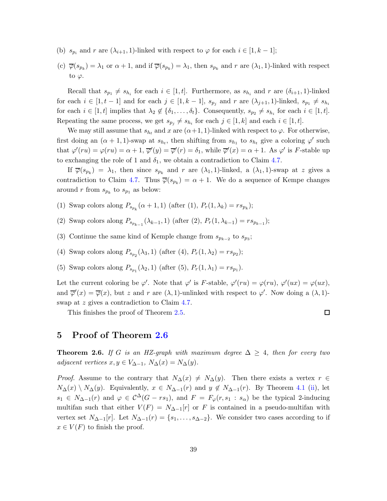- (b)  $s_{p_i}$  and r are  $(\lambda_{i+1}, 1)$ -linked with respect to  $\varphi$  for each  $i \in [1, k-1]$ ;
- (c)  $\overline{\varphi}(s_{p_k}) = \lambda_1$  or  $\alpha + 1$ , and if  $\overline{\varphi}(s_{p_k}) = \lambda_1$ , then  $s_{p_k}$  and  $r$  are  $(\lambda_1, 1)$ -linked with respect to  $\varphi$ .

Recall that  $s_{p_1} \neq s_{h_i}$  for each  $i \in [1, t]$ . Furthermore, as  $s_{h_i}$  and r are  $(\delta_{i+1}, 1)$ -linked for each  $i \in [1, t-1]$  and for each  $j \in [1, k-1]$ ,  $s_{p_j}$  and r are  $(\lambda_{j+1}, 1)$ -linked,  $s_{p_1} \neq s_{h_i}$ for each  $i \in [1, t]$  implies that  $\lambda_2 \notin \{\delta_1, \ldots, \delta_t\}$ . Consequently,  $s_{p_2} \neq s_{h_i}$  for each  $i \in [1, t]$ . Repeating the same process, we get  $s_{p_j} \neq s_{h_i}$  for each  $j \in [1, k]$  and each  $i \in [1, t]$ .

We may still assume that  $s_{h_t}$  and x are  $(\alpha+1,1)$ -linked with respect to  $\varphi$ . For otherwise, first doing an  $(\alpha + 1, 1)$ -swap at  $s_{h_t}$ , then shifting from  $s_{h_1}$  to  $s_{h_t}$  give a coloring  $\varphi'$  such that  $\varphi'(ru) = \varphi(ru) = \alpha + 1$ ,  $\overline{\varphi}'(y) = \overline{\varphi}'(r) = \delta_1$ , while  $\overline{\varphi}'(x) = \alpha + 1$ . As  $\varphi'$  is F-stable up to exchanging the role of 1 and  $\delta_1$ , we obtain a contradiction to Claim [4.7.](#page-35-0)

If  $\overline{\varphi}(s_{p_k}) = \lambda_1$ , then since  $s_{p_k}$  and r are  $(\lambda_1, 1)$ -linked, a  $(\lambda_1, 1)$ -swap at z gives a contradiction to Claim [4.7.](#page-35-0) Thus  $\overline{\varphi}(s_{p_k}) = \alpha + 1$ . We do a sequence of Kempe changes around r from  $s_{p_k}$  to  $s_{p_1}$  as below:

- (1) Swap colors along  $P_{s_{p_k}}(\alpha+1,1)$  (after (1),  $P_r(1,\lambda_k) = rs_{p_k}$ );
- (2) Swap colors along  $P_{s_{p_{k-1}}}(\lambda_{k-1}, 1)$  (after (2),  $P_r(1, \lambda_{k-1}) = rs_{p_{k-1}}$ );
- (3) Continue the same kind of Kemple change from  $s_{p_{k-2}}$  to  $s_{p_3}$ ;
- (4) Swap colors along  $P_{s_{p_2}}(\lambda_3, 1)$  (after (4),  $P_r(1, \lambda_2) = rs_{p_2}$ );
- (5) Swap colors along  $P_{s_{p_1}}(\lambda_2, 1)$  (after (5),  $P_r(1, \lambda_1) = rs_{p_1}$ ).

Let the current coloring be  $\varphi'$ . Note that  $\varphi'$  is F-stable,  $\varphi'(ru) = \varphi(ru)$ ,  $\varphi'(ux) = \varphi(ux)$ , and  $\overline{\varphi}'(x) = \overline{\varphi}(x)$ , but z and r are  $(\lambda, 1)$ -unlinked with respect to  $\varphi'$ . Now doing a  $(\lambda, 1)$ -swap at z gives a contradiction to Claim [4.7.](#page-35-0)

This finishes the proof of Theorem [2.5.](#page-6-0)

$$
\square
$$

### <span id="page-38-0"></span>5 Proof of Theorem [2.6](#page-6-1)

**Theorem 2.6.** If G is an HZ-graph with maximum degree  $\Delta \geq 4$ , then for every two adjacent vertices  $x, y \in V_{\Delta-1}, N_{\Delta}(x) = N_{\Delta}(y)$ .

*Proof.* Assume to the contrary that  $N_{\Delta}(x) \neq N_{\Delta}(y)$ . Then there exists a vertex  $r \in$  $N_{\Delta}(x) \setminus N_{\Delta}(y)$ . Equivalently,  $x \in N_{\Delta-1}(r)$  and  $y \notin N_{\Delta-1}(r)$ . By Theorem [4.1](#page-30-2) [\(ii\)](#page-30-4), let  $s_1 \in N_{\Delta-1}(r)$  and  $\varphi \in C^{\Delta}(G - rs_1)$ , and  $F = F_{\varphi}(r, s_1 : s_{\alpha})$  be the typical 2-inducing multifan such that either  $V(F) = N_{\Delta-1}[r]$  or F is contained in a pseudo-multifan with vertex set  $N_{\Delta-1}[r]$ . Let  $N_{\Delta-1}(r) = \{s_1, \ldots, s_{\Delta-2}\}\.$  We consider two cases according to if  $x \in V(F)$  to finish the proof.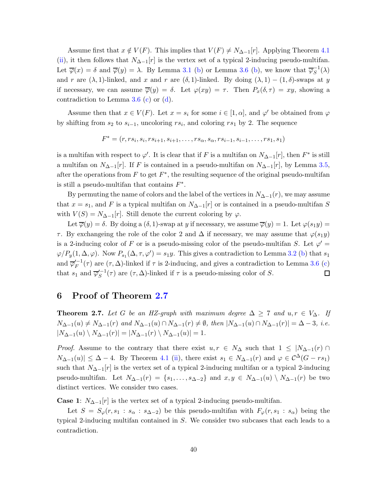Assume first that  $x \notin V(F)$ . This implies that  $V(F) \neq N_{\Delta-1}[r]$ . Applying Theorem [4.1](#page-30-2) [\(ii\)](#page-30-4), it then follows that  $N_{\Delta-1}[r]$  is the vertex set of a typical 2-inducing pseudo-multifan. Let  $\overline{\varphi}(x) = \delta$  and  $\overline{\varphi}(y) = \lambda$ . By Lemma [3.1](#page-10-1) [\(b\)](#page-15-1) or Lemma [3.6](#page-15-4) (b), we know that  $\overline{\varphi}_S^{-1}$  $S^{-1}(\lambda)$ and r are  $(\lambda, 1)$ -linked, and x and r are  $(\delta, 1)$ -linked. By doing  $(\lambda, 1) - (1, \delta)$ -swaps at y if necessary, we can assume  $\overline{\varphi}(y) = \delta$ . Let  $\varphi(xy) = \tau$ . Then  $P_x(\delta, \tau) = xy$ , showing a contradiction to Lemma  $3.6$  [\(c\)](#page-15-2) or [\(d\)](#page-15-3).

Assume then that  $x \in V(F)$ . Let  $x = s_i$  for some  $i \in [1, \alpha]$ , and  $\varphi'$  be obtained from  $\varphi$ by shifting from  $s_2$  to  $s_{i-1}$ , uncoloring  $rs_i$ , and coloring  $rs_1$  by 2. The sequence

$$
F^* = (r, rs_i, s_i, rs_{i+1}, s_{i+1}, \dots, rs_\alpha, s_\alpha, rs_{i-1}, s_{i-1}, \dots, rs_1, s_1)
$$

is a multifan with respect to  $\varphi'$ . It is clear that if F is a multifan on  $N_{\Delta-1}[r]$ , then  $F^*$  is still a multifan on  $N_{\Delta-1}[r]$ . If F is contained in a pseudo-multifan on  $N_{\Delta-1}[r]$ , by Lemma [3.5,](#page-14-1) after the operations from  $F$  to get  $F^*$ , the resulting sequence of the original pseudo-multifan is still a pseudo-multifan that contains  $F^*$ .

By permuting the name of colors and the label of the vertices in  $N_{\Delta-1}(r)$ , we may assume that  $x = s_1$ , and F is a typical multifan on  $N_{\Delta-1}[r]$  or is contained in a pseudo-multifan S with  $V(S) = N_{\Delta-1}[r]$ . Still denote the current coloring by  $\varphi$ .

Let  $\overline{\varphi}(y) = \delta$ . By doing a  $(\delta, 1)$ -swap at y if necessary, we assume  $\overline{\varphi}(y) = 1$ . Let  $\varphi(s_1y) =$ τ. By exchangeing the role of the color 2 and Δ if necessary, we may assume that  $\varphi(s_1y)$ is a 2-inducing color of F or is a pseudo-missing color of the pseudo-multifan S. Let  $\varphi' =$  $\varphi/P_y(1,\Delta,\varphi)$ . Now  $P_{s_1}(\Delta,\tau,\varphi')=s_1y$ . This gives a contradiction to Lemma [3.2](#page-10-2) [\(b\)](#page-11-2) that  $s_1$ and  $\overline{\varphi}'^{-1}_F$  $\mathcal{F}_F^{-1}(\tau)$  are  $(\tau, \Delta)$ -linked if  $\tau$  is 2-inducing, and gives a contradiction to Lemma [3.6](#page-15-4) [\(c\)](#page-15-2) that  $s_1$  and  $\overline{\varphi}'^{-1}_S$  $\int_{S}^{I-1}(\tau)$  are  $(\tau, \Delta)$ -linked if  $\tau$  is a pseudo-missing color of S.  $\Box$ 

### <span id="page-39-0"></span>6 Proof of Theorem [2.7](#page-6-2)

**Theorem 2.7.** Let G be an HZ-graph with maximum degree  $\Delta \geq 7$  and  $u, r \in V_{\Delta}$ . If  $N_{\Delta-1}(u) \neq N_{\Delta-1}(r)$  and  $N_{\Delta-1}(u) \cap N_{\Delta-1}(r) \neq \emptyset$ , then  $|N_{\Delta-1}(u) \cap N_{\Delta-1}(r)| = \Delta - 3$ , i.e.  $|N_{\Delta-1}(u) \setminus N_{\Delta-1}(r)| = |N_{\Delta-1}(r) \setminus N_{\Delta-1}(u)| = 1.$ 

*Proof.* Assume to the contrary that there exist  $u, r \in N_\Delta$  such that  $1 \leq |N_{\Delta-1}(r)| \cap$  $N_{\Delta-1}(u) \leq \Delta - 4$ . By Theorem [4.1](#page-30-2) [\(ii\)](#page-30-4), there exist  $s_1 \in N_{\Delta-1}(r)$  and  $\varphi \in C^{\Delta}(G - rs_1)$ such that  $N_{\Delta-1}[r]$  is the vertex set of a typical 2-inducing multifan or a typical 2-inducing pseudo-multifan. Let  $N_{\Delta-1}(r) = \{s_1, \ldots, s_{\Delta-2}\}\$ and  $x, y \in N_{\Delta-1}(u) \setminus N_{\Delta-1}(r)$  be two distinct vertices. We consider two cases.

**Case 1:**  $N_{\Delta-1}[r]$  is the vertex set of a typical 2-inducing pseudo-multifan.

Let  $S = S_{\varphi}(r, s_1 : s_{\alpha} : s_{\Delta-2})$  be this pseudo-multifan with  $F_{\varphi}(r, s_1 : s_{\alpha})$  being the typical 2-inducing multifan contained in S. We consider two subcases that each leads to a contradiction.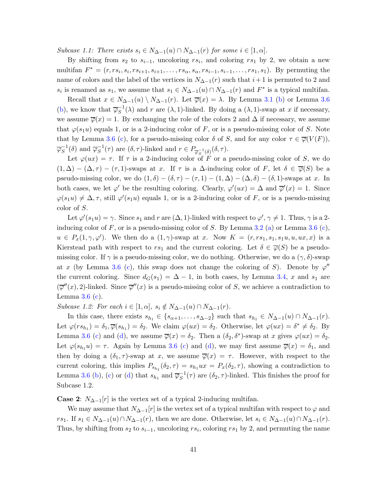Subcase 1.1: There exists  $s_i \in N_{\Delta-1}(u) \cap N_{\Delta-1}(r)$  for some  $i \in [1, \alpha]$ .

By shifting from  $s_2$  to  $s_{i-1}$ , uncoloring rs<sub>i</sub>, and coloring rs<sub>1</sub> by 2, we obtain a new multifan  $F^* = (r, rs_i, s_i, rs_{i+1}, s_{i+1}, \ldots, rs_\alpha, s_\alpha, rs_{i-1}, s_{i-1}, \ldots, rs_1, s_1)$ . By permuting the name of colors and the label of the vertices in  $N_{\Delta-1}(r)$  such that  $i+1$  is permuted to 2 and s<sub>i</sub> is renamed as s<sub>1</sub>, we assume that  $s_1 \in N_{\Delta-1}(u) \cap N_{\Delta-1}(r)$  and  $F^*$  is a typical multifan.

Recall that  $x \in N_{\Delta-1}(u) \setminus N_{\Delta-1}(r)$ . Let  $\overline{\varphi}(x) = \lambda$ . By Lemma [3.1](#page-10-1) [\(b\)](#page-10-4) or Lemma [3.6](#page-15-4) [\(b\)](#page-15-1), we know that  $\overline{\varphi}_S^{-1}$  $S^{-1}(\lambda)$  and r are  $(\lambda, 1)$ -linked. By doing a  $(\lambda, 1)$ -swap at x if necessary, we assume  $\overline{\varphi}(x) = 1$ . By exchanging the role of the colors 2 and  $\Delta$  if necessary, we assume that  $\varphi(s_1u)$  equals 1, or is a 2-inducing color of F, or is a pseudo-missing color of S. Note that by Lemma [3.6](#page-15-4) [\(c\)](#page-15-2), for a pseudo-missing color  $\delta$  of S, and for any color  $\tau \in \overline{\varphi}(V(F))$ ,  $\overline{\varphi}_S^{-1}(\delta)$  and  $\overline{\varphi}_S^{-1}(\tau)$  are  $(\delta, \tau)$ -linked and  $r \in P_{\overline{\varphi}_S^{-1}(\delta)}(\delta, \tau)$ .

Let  $\varphi(ux) = \tau$ . If  $\tau$  is a 2-inducing color of F or a pseudo-missing color of S, we do  $(1, \Delta) - (\Delta, \tau) - (\tau, 1)$ -swaps at x. If  $\tau$  is a  $\Delta$ -inducing color of F, let  $\delta \in \overline{\varphi}(S)$  be a pseudo-missing color, we do  $(1, \delta) - (\delta, \tau) - (\tau, 1) - (1, \Delta) - (\Delta, \delta) - (\delta, 1)$ -swaps at x. In both cases, we let  $\varphi'$  be the resulting coloring. Clearly,  $\varphi'(ux) = \Delta$  and  $\overline{\varphi}'(x) = 1$ . Since  $\varphi(s_1u) \neq \Delta, \tau$ , still  $\varphi'(s_1u)$  equals 1, or is a 2-inducing color of F, or is a pseudo-missing color of S.

Let  $\varphi'(s_1u) = \gamma$ . Since  $s_1$  and r are  $(\Delta,1)$ -linked with respect to  $\varphi', \gamma \neq 1$ . Thus,  $\gamma$  is a 2inducing color of  $F$ , or is a pseudo-missing color of  $S$ . By Lemma [3.2](#page-10-2) [\(a\)](#page-11-1) or Lemma [3.6](#page-15-4) [\(c\)](#page-15-2),  $u \in P_x(1, \gamma, \varphi')$ . We then do a  $(1, \gamma)$ -swap at x. Now  $K = (r, rs_1, s_1, s_1u, u, ux, x)$  is a Kierstead path with respect to  $rs_1$  and the current coloring. Let  $\delta \in \overline{\varphi}(S)$  be a pseudomissing color. If  $\gamma$  is a pseudo-missing color, we do nothing. Otherwise, we do a  $(\gamma, \delta)$ -swap at x (by Lemma [3.6](#page-15-4) [\(c\)](#page-15-2), this swap does not change the coloring of S). Denote by  $\varphi''$ the current coloring. Since  $d_G(s_1) = \Delta - 1$ , in both cases, by Lemma [3.4,](#page-13-2) x and  $s_1$  are  $(\overline{\varphi}''(x), 2)$ -linked. Since  $\overline{\varphi}''(x)$  is a pseudo-missing color of S, we achieve a contradiction to Lemma  $3.6$  [\(c\)](#page-15-2).

Subcase 1.2: For each  $i \in [1, \alpha]$ ,  $s_i \notin N_{\Delta-1}(u) \cap N_{\Delta-1}(r)$ .

In this case, there exists  $s_{h_1} \in \{s_{\alpha+1}, \ldots, s_{\Delta-2}\}\$  such that  $s_{h_1} \in N_{\Delta-1}(u) \cap N_{\Delta-1}(r)$ . Let  $\varphi(rs_{h_1}) = \delta_1, \overline{\varphi}(s_{h_1}) = \delta_2$ . We claim  $\varphi(ux) = \delta_2$ . Otherwise, let  $\varphi(ux) = \delta^* \neq \delta_2$ . By Lemma [3.6](#page-15-4) [\(c\)](#page-15-2) and [\(d\)](#page-15-3), we assume  $\overline{\varphi}(x) = \delta_2$ . Then a  $(\delta_2, \delta^*)$ -swap at x gives  $\varphi(ux) = \delta_2$ . Let  $\varphi(s_{h_1} u) = \tau$ . Again by Lemma [3.6](#page-15-4) [\(c\)](#page-15-2) and [\(d\)](#page-15-3), we may first assume  $\overline{\varphi}(x) = \delta_1$ , and then by doing a  $(\delta_1, \tau)$ -swap at x, we assume  $\overline{\varphi}(x) = \tau$ . However, with respect to the current coloring, this implies  $P_{s_{h_1}}(\delta_2, \tau) = s_{h_1}ux = P_x(\delta_2, \tau)$ , showing a contradiction to Lemma [3.6](#page-15-4) [\(b\)](#page-15-1), [\(c\)](#page-15-2) or [\(d\)](#page-15-3) that  $s_{h_1}$  and  $\overline{\varphi_S}^{-1}$  $S^{-1}(\tau)$  are  $(\delta_2, \tau)$ -linked. This finishes the proof for Subcase 1.2.

**Case 2:**  $N_{\Delta-1}[r]$  is the vertex set of a typical 2-inducing multifan.

We may assume that  $N_{\Delta-1}[r]$  is the vertex set of a typical multifan with respect to  $\varphi$  and rs<sub>1</sub>. If s<sub>1</sub> ∈  $N_{\Delta-1}(u) \cap N_{\Delta-1}(r)$ , then we are done. Otherwise, let  $s_i \in N_{\Delta-1}(u) \cap N_{\Delta-1}(r)$ . Thus, by shifting from  $s_2$  to  $s_{i-1}$ , uncoloring  $rs_i$ , coloring  $rs_1$  by 2, and permuting the name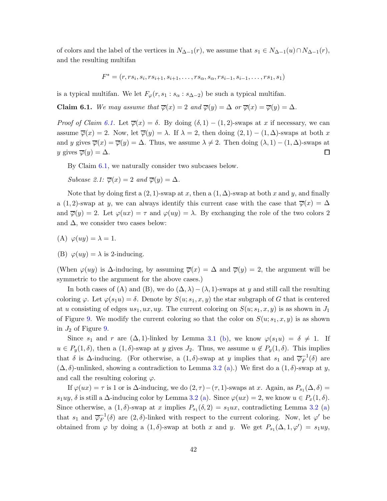of colors and the label of the vertices in  $N_{\Delta-1}(r)$ , we assume that  $s_1 \in N_{\Delta-1}(u) \cap N_{\Delta-1}(r)$ , and the resulting multifan

$$
F^* = (r, rs_i, s_i, rs_{i+1}, s_{i+1}, \dots, rs_\alpha, s_\alpha, rs_{i-1}, s_{i-1}, \dots, rs_1, s_1)
$$

is a typical multifan. We let  $F_{\varphi}(r, s_1 : s_{\alpha} : s_{\Delta-2})$  be such a typical multifan.

<span id="page-41-0"></span>**Claim 6.1.** We may assume that  $\overline{\varphi}(x) = 2$  and  $\overline{\varphi}(y) = \Delta$  or  $\overline{\varphi}(x) = \overline{\varphi}(y) = \Delta$ .

*Proof of Claim [6.1.](#page-41-0)* Let  $\overline{\varphi}(x) = \delta$ . By doing  $(\delta, 1) - (1, 2)$ -swaps at x if necessary, we can assume  $\overline{\varphi}(x) = 2$ . Now, let  $\overline{\varphi}(y) = \lambda$ . If  $\lambda = 2$ , then doing  $(2, 1) - (1, \Delta)$ -swaps at both x and y gives  $\overline{\varphi}(x) = \overline{\varphi}(y) = \Delta$ . Thus, we assume  $\lambda \neq 2$ . Then doing  $(\lambda, 1) - (1, \Delta)$ -swaps at y gives  $\overline{\varphi}(y) = \Delta$ .  $\Box$ 

By Claim [6.1,](#page-41-0) we naturally consider two subcases below.

<span id="page-41-1"></span>Subcase 2.1:  $\overline{\varphi}(x) = 2$  and  $\overline{\varphi}(y) = \Delta$ .

Note that by doing first a  $(2, 1)$ -swap at x, then a  $(1, \Delta)$ -swap at both x and y, and finally a (1, 2)-swap at y, we can always identify this current case with the case that  $\overline{\varphi}(x) = \Delta$ and  $\overline{\varphi}(y) = 2$ . Let  $\varphi(ux) = \tau$  and  $\varphi(uy) = \lambda$ . By exchanging the role of the two colors 2 and  $\Delta$ , we consider two cases below:

(A) 
$$
\varphi(uy) = \lambda = 1.
$$

(B)  $\varphi(uy) = \lambda$  is 2-inducing.

(When  $\varphi(uy)$  is  $\Delta$ -inducing, by assuming  $\overline{\varphi}(x) = \Delta$  and  $\overline{\varphi}(y) = 2$ , the argument will be symmetric to the argument for the above cases.)

In both cases of (A) and (B), we do  $(\Delta, \lambda) - (\lambda, 1)$ -swaps at y and still call the resulting coloring  $\varphi$ . Let  $\varphi(s_1u) = \delta$ . Denote by  $S(u; s_1, x, y)$  the star subgraph of G that is centered at u consisting of edges  $us_1, ux, uy$ . The current coloring on  $S(u; s_1, x, y)$  is as shown in  $J_1$ of Figure [9.](#page-42-0) We modify the current coloring so that the color on  $S(u; s_1, x, y)$  is as shown in  $J_2$  of Figure [9.](#page-42-0)

Since  $s_1$  and r are  $(\Delta, 1)$ -linked by Lemma [3.1](#page-10-1) [\(b\)](#page-10-4), we know  $\varphi(s_1u) = \delta \neq 1$ . If  $u \in P_y(1,\delta)$ , then a  $(1,\delta)$ -swap at y gives  $J_2$ . Thus, we assume  $u \notin P_y(1,\delta)$ . This implies that  $\delta$  is  $\Delta$ -inducing. (For otherwise, a  $(1,\delta)$ -swap at y implies that  $s_1$  and  $\overline{\varphi}_F^{-1}$  $F^{-1}(\delta)$  are  $(\Delta, \delta)$ -unlinked, showing a contradiction to Lemma [3.2](#page-10-2) [\(a\)](#page-11-1).) We first do a  $(1, \delta)$ -swap at y, and call the resulting coloring  $\varphi$ .

If  $\varphi(ux) = \tau$  is 1 or is  $\Delta$ -inducing, we do  $(2, \tau) - (\tau, 1)$ -swaps at x. Again, as  $P_{s_1}(\Delta, \delta) =$  $s_1uy, \delta$  is still a  $\Delta$ -inducing color by Lemma [3.2](#page-10-2) [\(a\)](#page-11-1). Since  $\varphi(ux) = 2$ , we know  $u \in P_x(1,\delta)$ . Since otherwise, a  $(1, \delta)$ -swap at x implies  $P_{s_1}(\delta, 2) = s_1ux$ , contradicting Lemma [3.2](#page-10-2) [\(a\)](#page-11-1) that  $s_1$  and  $\overline{\varphi}_F^{-1}$  $\overline{F}^{-1}(\delta)$  are  $(2,\delta)$ -linked with respect to the current coloring. Now, let  $\varphi'$  be obtained from  $\varphi$  by doing a  $(1, \delta)$ -swap at both x and y. We get  $P_{s_1}(\Delta, 1, \varphi') = s_1uy$ ,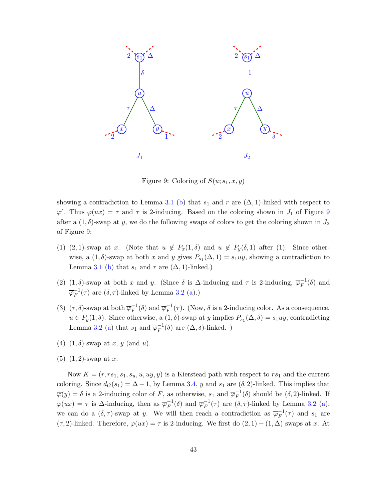

<span id="page-42-0"></span>Figure 9: Coloring of  $S(u; s_1, x, y)$ 

showing a contradiction to Lemma [3.1](#page-10-1) [\(b\)](#page-10-4) that  $s_1$  and r are  $(\Delta, 1)$ -linked with respect to  $\varphi'$ . Thus  $\varphi(ux) = \tau$  and  $\tau$  is 2-inducing. Based on the coloring shown in  $J_1$  of Figure [9](#page-42-0) after a  $(1, \delta)$ -swap at y, we do the following swaps of colors to get the coloring shown in  $J_2$ of Figure [9:](#page-42-0)

- (1) (2, 1)-swap at x. (Note that  $u \notin P_x(1,\delta)$  and  $u \notin P_y(\delta,1)$  after (1). Since otherwise, a  $(1, \delta)$ -swap at both x and y gives  $P_{s_1}(\Delta, 1) = s_1uy$ , showing a contradiction to Lemma [3.1](#page-10-1) [\(b\)](#page-10-4) that  $s_1$  and r are  $(\Delta, 1)$ -linked.)
- (2) (1, δ)-swap at both x and y. (Since  $\delta$  is  $\Delta$ -inducing and  $\tau$  is 2-inducing,  $\overline{\varphi}_F^{-1}$  $F^{-1}(\delta)$  and  $\overline{\varphi}_F^{-1}$  $_{F}^{-1}(\tau)$  are  $(\delta, \tau)$ -linked by Lemma [3.2](#page-10-2) [\(a\)](#page-11-1).)
- (3)  $(\tau, \delta)$ -swap at both  $\overline{\varphi}_F^{-1}$  $\overline{F}^1(\delta)$  and  $\overline{\varphi}_F^{-1}$  $_{F}^{-1}(\tau)$ . (Now,  $\delta$  is a 2-inducing color. As a consequence,  $u \in P_y(1,\delta)$ . Since otherwise, a  $(1,\delta)$ -swap at y implies  $P_{s_1}(\Delta,\delta) = s_1uy$ , contradicting Lemma [3.2](#page-10-2) [\(a\)](#page-11-1) that  $s_1$  and  $\overline{\varphi}_F^{-1}$  $_{F}^{-1}(\delta)$  are  $(\Delta, \delta)$ -linked.)
- (4)  $(1, \delta)$ -swap at x, y (and u).
- $(5)$   $(1, 2)$ -swap at x.

Now  $K = (r, rs_1, s_1, s_u, u, uy, y)$  is a Kierstead path with respect to  $rs_1$  and the current coloring. Since  $d_G(s_1) = \Delta - 1$ , by Lemma [3.4,](#page-13-2) y and  $s_1$  are  $(\delta, 2)$ -linked. This implies that  $\overline{\varphi}(y) = \delta$  is a 2-inducing color of F, as otherwise,  $s_1$  and  $\overline{\varphi}_F^{-1}$  $\overline{F}^1(\delta)$  should be  $(\delta, 2)$ -linked. If  $\varphi(ux) = \tau$  is  $\Delta$ -inducing, then as  $\overline{\varphi}_F^{-1}$  $_{F}^{-1}(\delta)$  and  $\overline{\varphi}_{F}^{-1}$  $_{F}^{-1}(\tau)$  are  $(\delta, \tau)$ -linked by Lemma [3.2](#page-10-2) [\(a\)](#page-11-1), we can do a  $(\delta, \tau)$ -swap at y. We will then reach a contradiction as  $\overline{\varphi}_F^{-1}$  $F^{-1}(\tau)$  and  $s_1$  are  $(\tau, 2)$ -linked. Therefore,  $\varphi(ux) = \tau$  is 2-inducing. We first do  $(2, 1) - (1, \Delta)$  swaps at x. At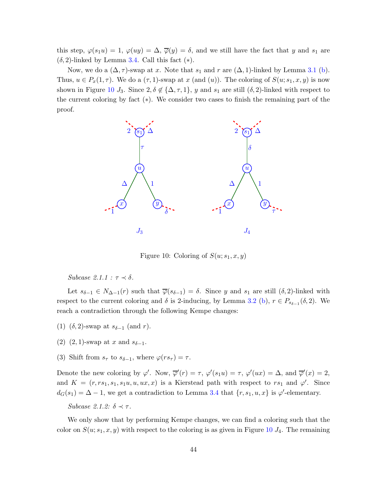this step,  $\varphi(s_1u) = 1$ ,  $\varphi(uy) = \Delta$ ,  $\overline{\varphi}(y) = \delta$ , and we still have the fact that y and  $s_1$  are  $(\delta, 2)$ -linked by Lemma [3.4.](#page-13-2) Call this fact  $(*).$ 

Now, we do a  $(\Delta, \tau)$ -swap at x. Note that  $s_1$  and r are  $(\Delta, 1)$ -linked by Lemma [3.1](#page-10-1) [\(b\)](#page-10-4). Thus,  $u \in P_x(1, \tau)$ . We do a  $(\tau, 1)$ -swap at x (and  $(u)$ ). The coloring of  $S(u; s_1, x, y)$  is now shown in Figure [10](#page-43-0)  $J_3$ . Since  $2, \delta \notin {\Delta, \tau, 1}$ , y and  $s_1$  are still  $(\delta, 2)$ -linked with respect to the current coloring by fact (∗). We consider two cases to finish the remaining part of the proof.



<span id="page-43-0"></span>Figure 10: Coloring of  $S(u; s_1, x, y)$ 

<span id="page-43-1"></span>Subcase 2.1.1 :  $\tau \prec \delta$ .

Let  $s_{\delta-1} \in N_{\Delta-1}(r)$  such that  $\overline{\varphi}(s_{\delta-1}) = \delta$ . Since y and  $s_1$  are still  $(\delta, 2)$ -linked with respect to the current coloring and  $\delta$  is 2-inducing, by Lemma [3.2](#page-10-2) [\(b\)](#page-11-2),  $r \in P_{s_{\delta-1}}(\delta, 2)$ . We reach a contradiction through the following Kempe changes:

- (1)  $(\delta, 2)$ -swap at  $s_{\delta-1}$  (and r).
- (2) (2, 1)-swap at x and  $s_{\delta-1}$ .
- (3) Shift from  $s_{\tau}$  to  $s_{\delta-1}$ , where  $\varphi(rs_{\tau}) = \tau$ .

Denote the new coloring by  $\varphi'$ . Now,  $\overline{\varphi}'(r) = \tau$ ,  $\varphi'(s_1u) = \tau$ ,  $\varphi'(ux) = \Delta$ , and  $\overline{\varphi}'(x) = 2$ , and  $K = (r, rs_1, s_1, s_1u, u, ux, x)$  is a Kierstead path with respect to  $rs_1$  and  $\varphi'$ . Since  $d_G(s_1) = \Delta - 1$ , we get a contradiction to Lemma [3.4](#page-13-2) that  $\{r, s_1, u, x\}$  is  $\varphi'$ -elementary.

Subcase 2.1.2:  $\delta \prec \tau$ .

We only show that by performing Kempe changes, we can find a coloring such that the color on  $S(u; s_1, x, y)$  with respect to the coloring is as given in Figure [10](#page-43-0)  $J_4$ . The remaining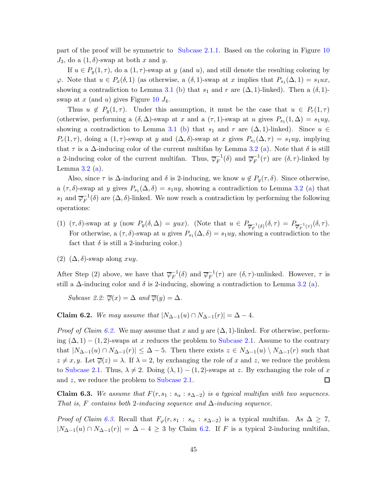part of the proof will be symmetric to [Subcase 2.1.1.](#page-43-1) Based on the coloring in Figure [10](#page-43-0)  $J_3$ , do a  $(1, \delta)$ -swap at both x and y.

If  $u \in P_u(1, \tau)$ , do a  $(1, \tau)$ -swap at y (and u), and still denote the resulting coloring by  $\varphi$ . Note that  $u \in P_x(\delta, 1)$  (as otherwise, a  $(\delta, 1)$ -swap at x implies that  $P_{s_1}(\Delta, 1) = s_1 u x$ , showing a contradiction to Lemma [3.1](#page-10-1) [\(b\)](#page-10-4) that  $s_1$  and r are  $(\Delta, 1)$ -linked). Then a  $(\delta, 1)$ swap at  $x$  (and  $u$ ) gives Figure [10](#page-43-0)  $J_4$ .

Thus  $u \notin P_y(1, \tau)$ . Under this assumption, it must be the case that  $u \in P_r(1, \tau)$ (otherwise, performing a  $(\delta, \Delta)$ -swap at x and a  $(\tau, 1)$ -swap at u gives  $P_{s_1}(1, \Delta) = s_1uy$ , showing a contradiction to Lemma [3.1](#page-10-1) [\(b\)](#page-10-4) that  $s_1$  and r are  $(\Delta, 1)$ -linked). Since  $u \in$  $P_r(1,\tau)$ , doing a  $(1,\tau)$ -swap at y and  $(\Delta,\delta)$ -swap at x gives  $P_{s_1}(\Delta,\tau) = s_1uy$ , implying that  $\tau$  is a  $\Delta$ -inducing color of the current multifan by Lemma [3.2](#page-10-2) [\(a\)](#page-11-1). Note that  $\delta$  is still a 2-inducing color of the current multifan. Thus,  $\overline{\varphi}_F^{-1}$  $_{F}^{-1}(\delta)$  and  $\overline{\varphi}_{F}^{-1}$  $_{F}^{-1}(\tau)$  are  $(\delta, \tau)$ -linked by Lemma  $3.2$  [\(a\)](#page-11-1).

Also, since  $\tau$  is  $\Delta$ -inducing and  $\delta$  is 2-inducing, we know  $u \notin P_u(\tau, \delta)$ . Since otherwise, a  $(\tau, \delta)$ -swap at y gives  $P_{s_1}(\Delta, \delta) = s_1uy$ , showing a contradiction to Lemma [3.2](#page-10-2) [\(a\)](#page-11-1) that  $s_1$  and  $\overline{\varphi}_F^{-1}$  $\overline{F}^{-1}(\delta)$  are  $(\Delta, \delta)$ -linked. We now reach a contradiction by performing the following operations:

- (1)  $(\tau, \delta)$ -swap at y (now  $P_y(\delta, \Delta) = yux$ ). (Note that  $u \in P_{\overline{\varphi}_F^{-1}(\delta)}(\delta, \tau) = P_{\overline{\varphi}_F^{-1}(\tau)}(\delta, \tau)$ . For otherwise, a  $(\tau, \delta)$ -swap at u gives  $P_{s_1}(\Delta, \delta) = s_1uy$ , showing a contradiction to the fact that  $\delta$  is still a 2-inducing color.)
- (2)  $(\Delta, \delta)$ -swap along xuy.

After Step (2) above, we have that  $\overline{\varphi}_F^{-1}$  $_{F}^{-1}(\delta)$  and  $\overline{\varphi}_{F}^{-1}$  $_{F}^{-1}(\tau)$  are  $(\delta, \tau)$ -unlinked. However,  $\tau$  is still a  $\Delta$ -inducing color and  $\delta$  is 2-inducing, showing a contradiction to Lemma [3.2](#page-10-2) [\(a\)](#page-11-1).

Subcase 2.2:  $\overline{\varphi}(x) = \Delta$  and  $\overline{\varphi}(y) = \Delta$ .

<span id="page-44-0"></span>Claim 6.2. We may assume that  $|N_{\Delta-1}(u) \cap N_{\Delta-1}(r)| = \Delta - 4$ .

*Proof of Claim [6.2.](#page-44-0)* We may assume that x and y are  $(\Delta, 1)$ -linked. For otherwise, performing  $(\Delta, 1) - (1, 2)$ -swaps at x reduces the problem to [Subcase 2.1.](#page-41-1) Assume to the contrary that  $|N_{\Delta-1}(u) \cap N_{\Delta-1}(r)| \leq \Delta - 5$ . Then there exists  $z \in N_{\Delta-1}(u) \setminus N_{\Delta-1}(r)$  such that  $z \neq x, y$ . Let  $\overline{\varphi}(z) = \lambda$ . If  $\lambda = 2$ , by exchanging the role of x and z, we reduce the problem to [Subcase 2.1.](#page-41-1) Thus,  $\lambda \neq 2$ . Doing  $(\lambda, 1) - (1, 2)$ -swaps at z. By exchanging the role of x  $\Box$ and z, we reduce the problem to [Subcase 2.1.](#page-41-1)

<span id="page-44-1"></span>**Claim 6.3.** We assume that  $F(r, s_1 : s_\alpha : s_{\Delta-2})$  is a typical multifan with two sequences. That is, F contains both 2-inducing sequence and  $\Delta$ -inducing sequence.

*Proof of Claim [6.3.](#page-44-1)* Recall that  $F_{\varphi}(r, s_1 : s_{\alpha} : s_{\Delta-2})$  is a typical multifan. As  $\Delta \geq 7$ ,  $|N_{\Delta-1}(u) \cap N_{\Delta-1}(r)| = \Delta - 4 \geq 3$  by Claim [6.2.](#page-44-0) If F is a typical 2-inducing multifan,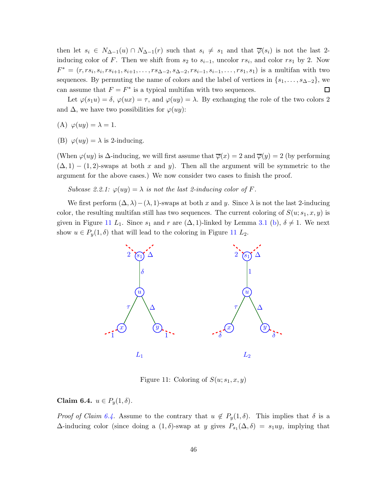then let  $s_i \in N_{\Delta-1}(u) \cap N_{\Delta-1}(r)$  such that  $s_i \neq s_1$  and that  $\overline{\varphi}(s_i)$  is not the last 2inducing color of F. Then we shift from  $s_2$  to  $s_{i-1}$ , uncolor  $rs_i$ , and color  $rs_1$  by 2. Now  $F^* = (r, rs_i, s_i, rs_{i+1}, s_{i+1}, \ldots, rs_{\Delta-2}, s_{\Delta-2}, rs_{i-1}, s_{i-1}, \ldots, rs_1, s_1)$  is a multifan with two sequences. By permuting the name of colors and the label of vertices in  $\{s_1, \ldots, s_{\Delta-2}\}\,$  we can assume that  $F = F^*$  is a typical multifan with two sequences.  $\Box$ 

Let  $\varphi(s_1u) = \delta, \varphi(ux) = \tau$ , and  $\varphi(uy) = \lambda$ . By exchanging the role of the two colors 2 and  $\Delta$ , we have two possibilities for  $\varphi(uy)$ :

(A)  $\varphi(uy) = \lambda = 1$ .

(B)  $\varphi(uy) = \lambda$  is 2-inducing.

(When  $\varphi(uy)$  is  $\Delta$ -inducing, we will first assume that  $\overline{\varphi}(x) = 2$  and  $\overline{\varphi}(y) = 2$  (by performing  $(\Delta, 1) - (1, 2)$ -swaps at both x and y). Then all the argument will be symmetric to the argument for the above cases.) We now consider two cases to finish the proof.

Subcase 2.2.1:  $\varphi(uy) = \lambda$  is not the last 2-inducing color of F.

We first perform  $(\Delta, \lambda) - (\lambda, 1)$ -swaps at both x and y. Since  $\lambda$  is not the last 2-inducing color, the resulting multifan still has two sequences. The current coloring of  $S(u; s_1, x, y)$  is given in Figure [11](#page-45-0)  $L_1$ . Since  $s_1$  and r are  $(\Delta, 1)$ -linked by Lemma [3.1](#page-10-1) [\(b\)](#page-10-4),  $\delta \neq 1$ . We next show  $u \in P_y(1,\delta)$  that will lead to the coloring in Figure [11](#page-45-0)  $L_2$ .



<span id="page-45-0"></span>Figure 11: Coloring of  $S(u; s_1, x, y)$ 

<span id="page-45-1"></span>Claim 6.4.  $u \in P_u(1, \delta)$ .

*Proof of Claim [6.4.](#page-45-1)* Assume to the contrary that  $u \notin P_y(1, \delta)$ . This implies that  $\delta$  is a  $\Delta$ -inducing color (since doing a  $(1, \delta)$ -swap at y gives  $P_{s_1}(\Delta, \delta) = s_1uy$ , implying that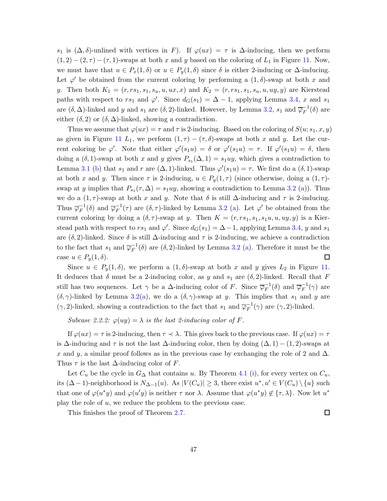s<sub>1</sub> is  $(\Delta, \delta)$ -unlined with vertices in F). If  $\varphi(ux) = \tau$  is  $\Delta$ -inducing, then we perform  $(1, 2) - (2, \tau) - (\tau, 1)$ -swaps at both x and y based on the coloring of  $L_1$  in Figure [11.](#page-45-0) Now, we must have that  $u \in P_x(1,\delta)$  or  $u \in P_y(1,\delta)$  since  $\delta$  is either 2-inducing or  $\Delta$ -inducing. Let  $\varphi'$  be obtained from the current coloring by performing a  $(1, \delta)$ -swap at both x and y. Then both  $K_1 = (r, rs_1, s_1, s_u, u, ux, x)$  and  $K_2 = (r, rs_1, s_1, s_u, u, uy, y)$  are Kierstead paths with respect to rs<sub>1</sub> and  $\varphi'$ . Since  $d_G(s_1) = \Delta - 1$ , applying Lemma [3.4,](#page-13-2) x and s<sub>1</sub> are  $(\delta, \Delta)$ -linked and y and  $s_1$  are  $(\delta, 2)$ -linked. However, by Lemma [3.2,](#page-10-2)  $s_1$  and  $\overline{\varphi}_F^{-1}$  $F^{-1}(\delta)$  are either  $(\delta, 2)$  or  $(\delta, \Delta)$ -linked, showing a contradiction.

Thus we assume that  $\varphi(ux) = \tau$  and  $\tau$  is 2-inducing. Based on the coloring of  $S(u; s_1, x, y)$ as given in Figure [11](#page-45-0)  $L_1$ , we perform  $(1, \tau) - (\tau, \delta)$ -swaps at both x and y. Let the current coloring be  $\varphi'$ . Note that either  $\varphi'(s_1u) = \delta$  or  $\varphi'(s_1u) = \tau$ . If  $\varphi'(s_1u) = \delta$ , then doing a  $(\delta, 1)$ -swap at both x and y gives  $P_{s_1}(\Delta, 1) = s_1uy$ , which gives a contradiction to Lemma [3.1](#page-10-1) [\(b\)](#page-10-4) that  $s_1$  and  $r$  are  $(\Delta, 1)$ -linked. Thus  $\varphi'(s_1u) = \tau$ . We first do a  $(\delta, 1)$ -swap at both x and y. Then since  $\tau$  is 2-inducing,  $u \in P_y(1, \tau)$  (since otherwise, doing a  $(1, \tau)$ swap at y implies that  $P_{s_1}(\tau, \Delta) = s_1uy$ , showing a contradiction to Lemma [3.2](#page-10-2) [\(a\)](#page-11-1)). Thus we do a  $(1, \tau)$ -swap at both x and y. Note that  $\delta$  is still  $\Delta$ -inducing and  $\tau$  is 2-inducing. Thus  $\overline{\varphi}_F^{-1}(\delta)$  and  $\overline{\varphi}_F^{-1}(\tau)$  are  $(\delta, \tau)$ -linked by Lemma [3.2](#page-10-2) [\(a\)](#page-11-1). Let  $\varphi'$  be obtained from the current coloring by doing a  $(\delta, \tau)$ -swap at y. Then  $K = (r, rs_1, s_1, s_1u, u, uy, y)$  is a Kierstead path with respect to  $rs_1$  and  $\varphi'$ . Since  $d_G(s_1) = \Delta - 1$ , applying Lemma [3.4,](#page-13-2) y and  $s_1$ are  $(\delta, 2)$ -linked. Since  $\delta$  is still  $\Delta$ -inducing and  $\tau$  is 2-inducing, we achieve a contradiction to the fact that  $s_1$  and  $\overline{\varphi}_F^{-1}$  $_{F}^{-1}(\delta)$  are  $(\delta, 2)$ -linked by Lemma [3.2](#page-10-2) [\(a\)](#page-11-1). Therefore it must be the  $\Box$ case  $u \in P_y(1,\delta)$ .

Since  $u \in P_y(1,\delta)$ , we perform a  $(1,\delta)$ -swap at both x and y gives  $L_2$  in Figure [11.](#page-45-0) It deduces that  $\delta$  must be a 2-inducing color, as y and  $s_1$  are  $(\delta, 2)$ -linked. Recall that F still has two sequences. Let  $\gamma$  be a  $\Delta$ -inducing color of F. Since  $\overline{\varphi}_F^{-1}$  $_{F}^{-1}(\delta)$  and  $\overline{\varphi}_{F}^{-1}$  $F^{-1}(\gamma)$  are  $(\delta, \gamma)$  $(\delta, \gamma)$ -linked by Lemma [3.2\(](#page-10-2)a), we do a  $(\delta, \gamma)$ -swap at y. This implies that  $s_1$  and y are  $(\gamma, 2)$ -linked, showing a contradiction to the fact that  $s_1$  and  $\overline{\varphi}_F^{-1}$  $_{F}^{-1}(\gamma)$  are  $(\gamma, 2)$ -linked.

Subcase 2.2.2:  $\varphi(uy) = \lambda$  is the last 2-inducing color of F.

If  $\varphi(ux) = \tau$  is 2-inducing, then  $\tau \prec \lambda$ . This gives back to the previous case. If  $\varphi(ux) = \tau$ is  $\Delta$ -inducing and  $\tau$  is not the last  $\Delta$ -inducing color, then by doing  $(\Delta, 1) - (1, 2)$ -swaps at x and y, a similar proof follows as in the previous case by exchanging the role of 2 and  $\Delta$ . Thus  $\tau$  is the last  $\Delta$ -inducing color of F.

Let  $C_u$  be the cycle in  $G_\Delta$  that contains u. By Theorem [4.1](#page-30-2) [\(i\)](#page-30-3), for every vertex on  $C_u$ , its  $(\Delta - 1)$ -neighborhood is  $N_{\Delta - 1}(u)$ . As  $|V(C_u)| \geq 3$ , there exist  $u^*, u' \in V(C_u) \setminus \{u\}$  such that one of  $\varphi(u^*y)$  and  $\varphi(u'y)$  is neither  $\tau$  nor  $\lambda$ . Assume that  $\varphi(u^*y) \notin {\tau, \lambda}$ . Now let  $u^*$ play the role of u, we reduce the problem to the previous case.

This finishes the proof of Theorem [2.7.](#page-6-2)

 $\Box$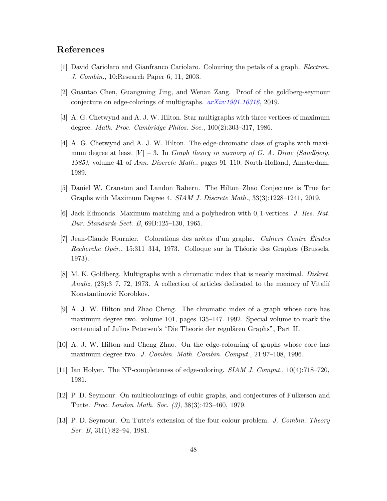## <span id="page-47-10"></span>References

- <span id="page-47-7"></span>[1] David Cariolaro and Gianfranco Cariolaro. Colouring the petals of a graph. Electron. J. Combin., 10:Research Paper 6, 11, 2003.
- <span id="page-47-5"></span>[2] Guantao Chen, Guangming Jing, and Wenan Zang. Proof of the goldberg-seymour conjecture on edge-colorings of multigraphs. [arXiv:1901.10316](http://arxiv.org/abs/1901.10316), 2019.
- <span id="page-47-6"></span>[3] A. G. Chetwynd and A. J. W. Hilton. Star multigraphs with three vertices of maximum degree. Math. Proc. Cambridge Philos. Soc., 100(2):303–317, 1986.
- [4] A. G. Chetwynd and A. J. W. Hilton. The edge-chromatic class of graphs with maximum degree at least  $|V| - 3$ . In *Graph theory in memory of G. A. Dirac (Sandbjerg,* 1985), volume 41 of Ann. Discrete Math., pages 91–110. North-Holland, Amsterdam, 1989.
- <span id="page-47-11"></span><span id="page-47-2"></span>[5] Daniel W. Cranston and Landon Rabern. The Hilton–Zhao Conjecture is True for Graphs with Maximum Degree 4. SIAM J. Discrete Math., 33(3):1228–1241, 2019.
- <span id="page-47-8"></span>[6] Jack Edmonds. Maximum matching and a polyhedron with 0, 1-vertices. J. Res. Nat. Bur. Standards Sect. B, 69B:125–130, 1965.
- [7] Jean-Claude Fournier. Colorations des arêtes d'un graphe. Cahiers Centre Études Recherche Opér., 15:311–314, 1973. Colloque sur la Théorie des Graphes (Brussels, 1973).
- <span id="page-47-3"></span>[8] M. K. Goldberg. Multigraphs with a chromatic index that is nearly maximal. Diskret. Analiz,  $(23):3-7, 72, 1973.$  A collection of articles dedicated to the memory of Vitali $\check{i}$ Konstantinovič Korobkov.
- <span id="page-47-12"></span>[9] A. J. W. Hilton and Zhao Cheng. The chromatic index of a graph whose core has maximum degree two. volume 101, pages 135–147. 1992. Special volume to mark the centennial of Julius Petersen's "Die Theorie der regulären Graphs", Part II.
- <span id="page-47-9"></span><span id="page-47-0"></span>[10] A. J. W. Hilton and Cheng Zhao. On the edge-colouring of graphs whose core has maximum degree two. J. Combin. Math. Combin. Comput., 21:97–108, 1996.
- <span id="page-47-1"></span>[11] Ian Holyer. The NP-completeness of edge-coloring. SIAM J. Comput., 10(4):718–720, 1981.
- <span id="page-47-4"></span>[12] P. D. Seymour. On multicolourings of cubic graphs, and conjectures of Fulkerson and Tutte. Proc. London Math. Soc. (3), 38(3):423–460, 1979.
- [13] P. D. Seymour. On Tutte's extension of the four-colour problem. J. Combin. Theory Ser. B, 31(1):82–94, 1981.